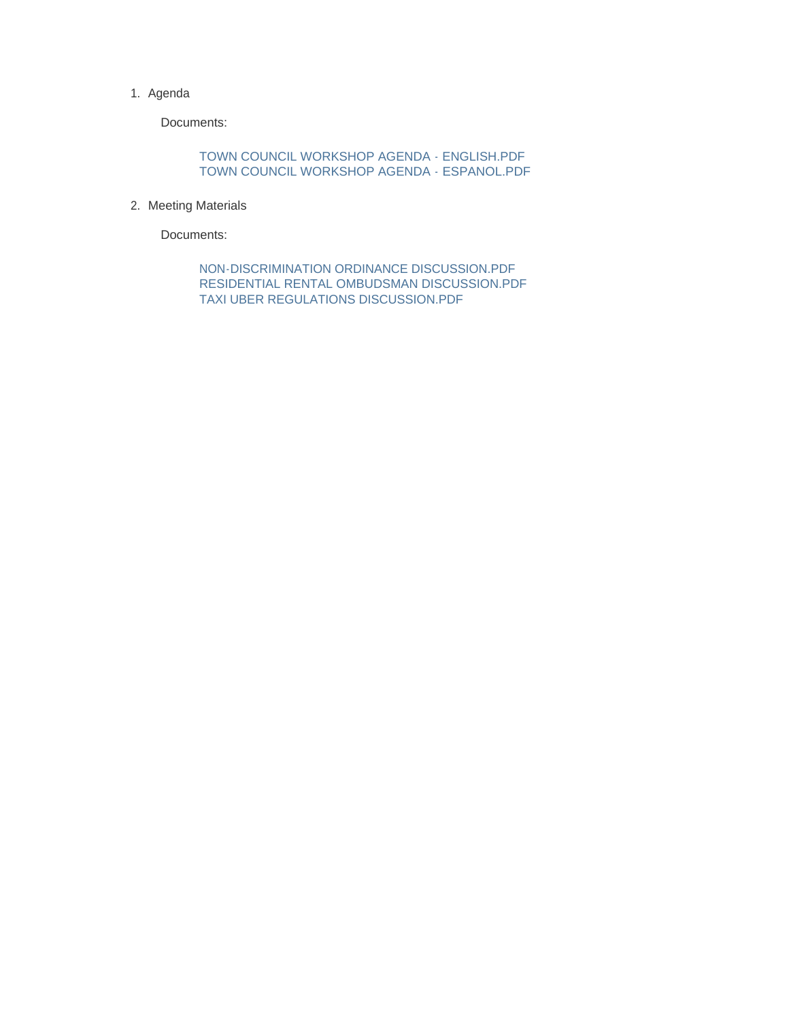#### 1. Agenda

Documents:

TOWN COUNCIL WORKSHOP AGENDA - ENGLISH.PDF TOWN COUNCIL WORKSHOP AGENDA - ESPANOL.PDF

2. Meeting Materials

Documents:

NON-DISCRIMINATION ORDINANCE DISCUSSION.PDF RESIDENTIAL RENTAL OMBUDSMAN DISCUSSION.PDF TAXI UBER REGULATIONS DISCUSSION.PDF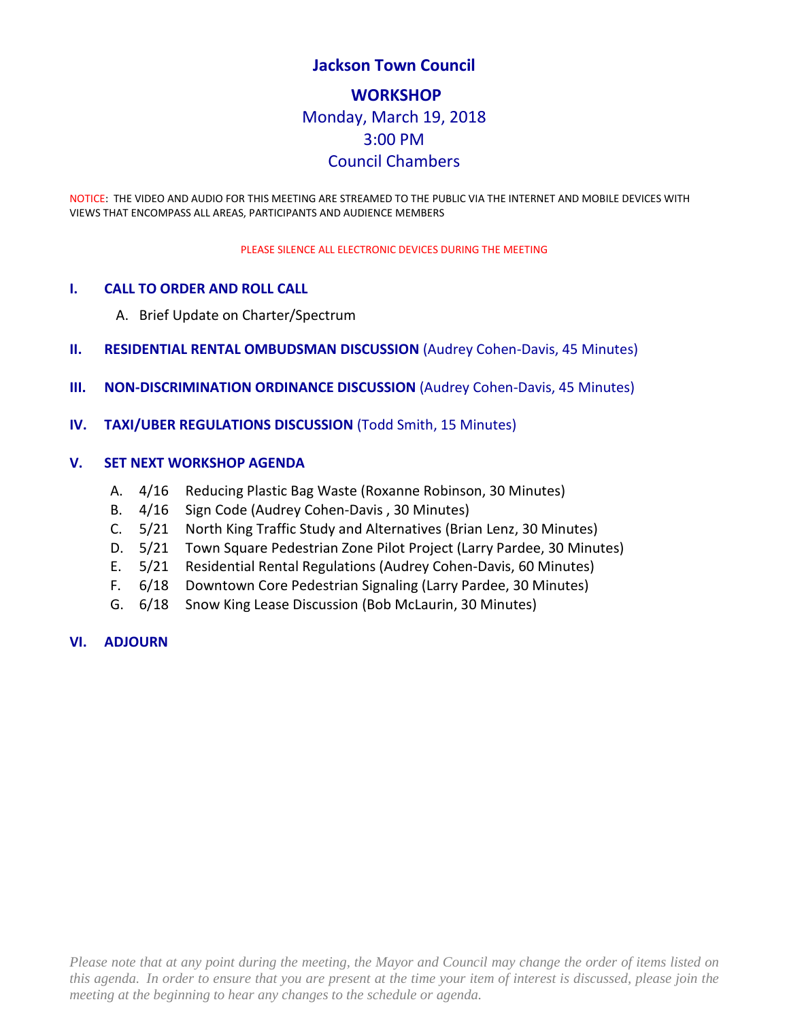# **Jackson Town Council WORKSHOP** Monday, March 19, 2018 3:00 PM Council Chambers

NOTICE: THE VIDEO AND AUDIO FOR THIS MEETING ARE STREAMED TO THE PUBLIC VIA THE INTERNET AND MOBILE DEVICES WITH VIEWS THAT ENCOMPASS ALL AREAS, PARTICIPANTS AND AUDIENCE MEMBERS

PLEASE SILENCE ALL ELECTRONIC DEVICES DURING THE MEETING

#### **I. CALL TO ORDER AND ROLL CALL**

- A. Brief Update on Charter/Spectrum
- **II. RESIDENTIAL RENTAL OMBUDSMAN DISCUSSION** (Audrey Cohen-Davis, 45 Minutes)
- **III. NON-DISCRIMINATION ORDINANCE DISCUSSION** (Audrey Cohen-Davis, 45 Minutes)
- **IV. TAXI/UBER REGULATIONS DISCUSSION** (Todd Smith, 15 Minutes)

#### **V. SET NEXT WORKSHOP AGENDA**

- A. 4/16 Reducing Plastic Bag Waste (Roxanne Robinson, 30 Minutes)
- B. 4/16 Sign Code (Audrey Cohen-Davis , 30 Minutes)
- C. 5/21 North King Traffic Study and Alternatives (Brian Lenz, 30 Minutes)
- D. 5/21 Town Square Pedestrian Zone Pilot Project (Larry Pardee, 30 Minutes)
- E. 5/21 Residential Rental Regulations (Audrey Cohen-Davis, 60 Minutes)
- F. 6/18 Downtown Core Pedestrian Signaling (Larry Pardee, 30 Minutes)
- G. 6/18 Snow King Lease Discussion (Bob McLaurin, 30 Minutes)

#### **VI. ADJOURN**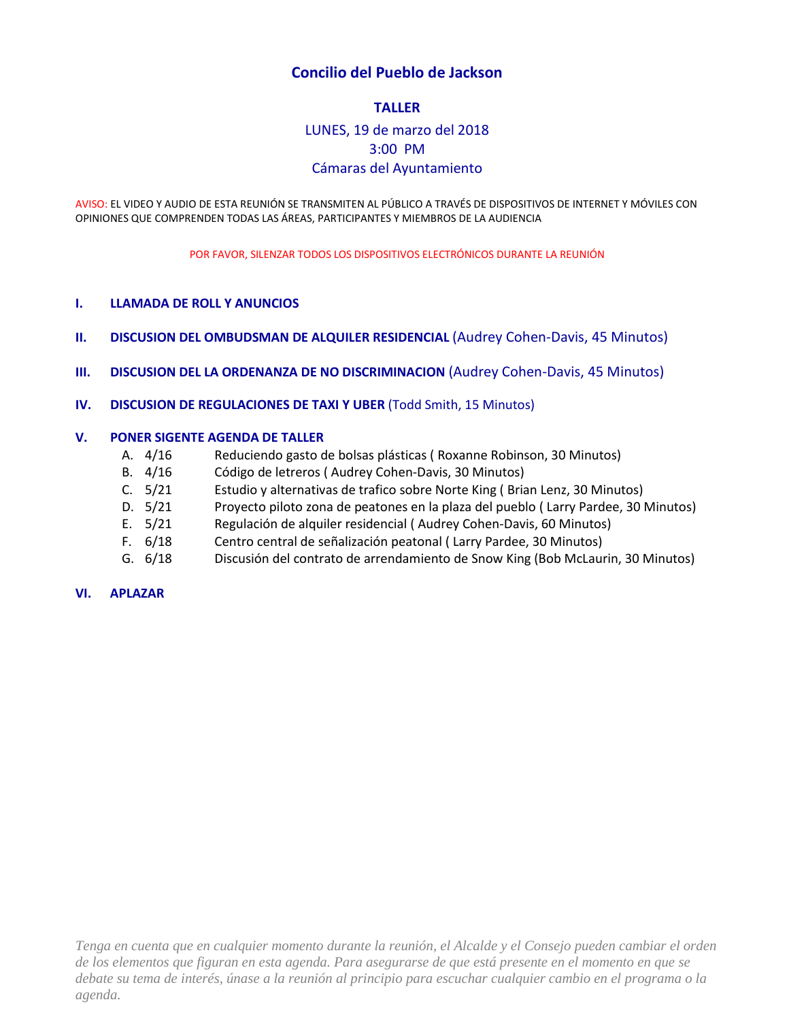#### **Concilio del Pueblo de Jackson**

#### **TALLER**

# LUNES, 19 de marzo del 2018 3:00 PM Cámaras del Ayuntamiento

AVISO: EL VIDEO Y AUDIO DE ESTA REUNIÓN SE TRANSMITEN AL PÚBLICO A TRAVÉS DE DISPOSITIVOS DE INTERNET Y MÓVILES CON OPINIONES QUE COMPRENDEN TODAS LAS ÁREAS, PARTICIPANTES Y MIEMBROS DE LA AUDIENCIA

POR FAVOR, SILENZAR TODOS LOS DISPOSITIVOS ELECTRÓNICOS DURANTE LA REUNIÓN

#### **I. LLAMADA DE ROLL Y ANUNCIOS**

- **II. DISCUSION DEL OMBUDSMAN DE ALQUILER RESIDENCIAL (Audrey Cohen-Davis, 45 Minutos)**
- **III. DISCUSION DEL LA ORDENANZA DE NO DISCRIMINACION** (Audrey Cohen-Davis, 45 Minutos)
- **IV. DISCUSION DE REGULACIONES DE TAXI Y UBER** (Todd Smith, 15 Minutos)

#### **V. PONER SIGENTE AGENDA DE TALLER**

- A. 4/16 Reduciendo gasto de bolsas plásticas ( Roxanne Robinson, 30 Minutos)
- B. 4/16 Código de letreros ( Audrey Cohen-Davis, 30 Minutos)
- C. 5/21 Estudio y alternativas de trafico sobre Norte King ( Brian Lenz, 30 Minutos)
- D. 5/21 Proyecto piloto zona de peatones en la plaza del pueblo ( Larry Pardee, 30 Minutos)
- E. 5/21 Regulación de alquiler residencial ( Audrey Cohen-Davis, 60 Minutos)
- F. 6/18 Centro central de señalización peatonal ( Larry Pardee, 30 Minutos)
- G. 6/18 Discusión del contrato de arrendamiento de Snow King (Bob McLaurin, 30 Minutos)

#### **VI. APLAZAR**

*Tenga en cuenta que en cualquier momento durante la reunión, el Alcalde y el Consejo pueden cambiar el orden de los elementos que figuran en esta agenda. Para asegurarse de que está presente en el momento en que se debate su tema de interés, únase a la reunión al principio para escuchar cualquier cambio en el programa o la agenda.*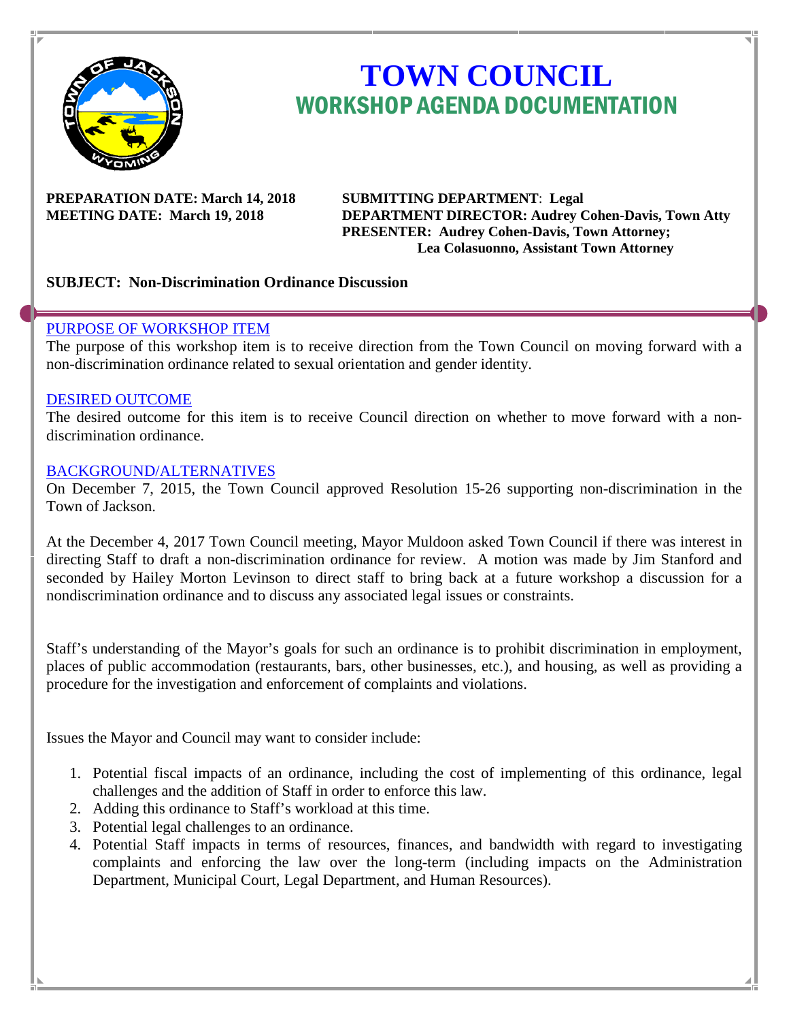

# **TOWN COUNCIL** WORKSHOP AGENDA DOCUMENTATION

# **PREPARATION DATE: March 14, 2018 SUBMITTING DEPARTMENT**: **Legal**

**MEETING DATE: March 19, 2018 DEPARTMENT DIRECTOR: Audrey Cohen-Davis, Town Atty PRESENTER: Audrey Cohen-Davis, Town Attorney; Lea Colasuonno, Assistant Town Attorney**

# **SUBJECT: Non-Discrimination Ordinance Discussion**

#### PURPOSE OF WORKSHOP ITEM

The purpose of this workshop item is to receive direction from the Town Council on moving forward with a non-discrimination ordinance related to sexual orientation and gender identity.

#### DESIRED OUTCOME

The desired outcome for this item is to receive Council direction on whether to move forward with a nondiscrimination ordinance.

#### BACKGROUND/ALTERNATIVES

On December 7, 2015, the Town Council approved Resolution 15-26 supporting non-discrimination in the Town of Jackson.

At the December 4, 2017 Town Council meeting, Mayor Muldoon asked Town Council if there was interest in directing Staff to draft a non-discrimination ordinance for review. A motion was made by Jim Stanford and seconded by Hailey Morton Levinson to direct staff to bring back at a future workshop a discussion for a nondiscrimination ordinance and to discuss any associated legal issues or constraints.

Staff's understanding of the Mayor's goals for such an ordinance is to prohibit discrimination in employment, places of public accommodation (restaurants, bars, other businesses, etc.), and housing, as well as providing a procedure for the investigation and enforcement of complaints and violations.

Issues the Mayor and Council may want to consider include:

- 1. Potential fiscal impacts of an ordinance, including the cost of implementing of this ordinance, legal challenges and the addition of Staff in order to enforce this law.
- 2. Adding this ordinance to Staff's workload at this time.
- 3. Potential legal challenges to an ordinance.
- 4. Potential Staff impacts in terms of resources, finances, and bandwidth with regard to investigating complaints and enforcing the law over the long-term (including impacts on the Administration Department, Municipal Court, Legal Department, and Human Resources).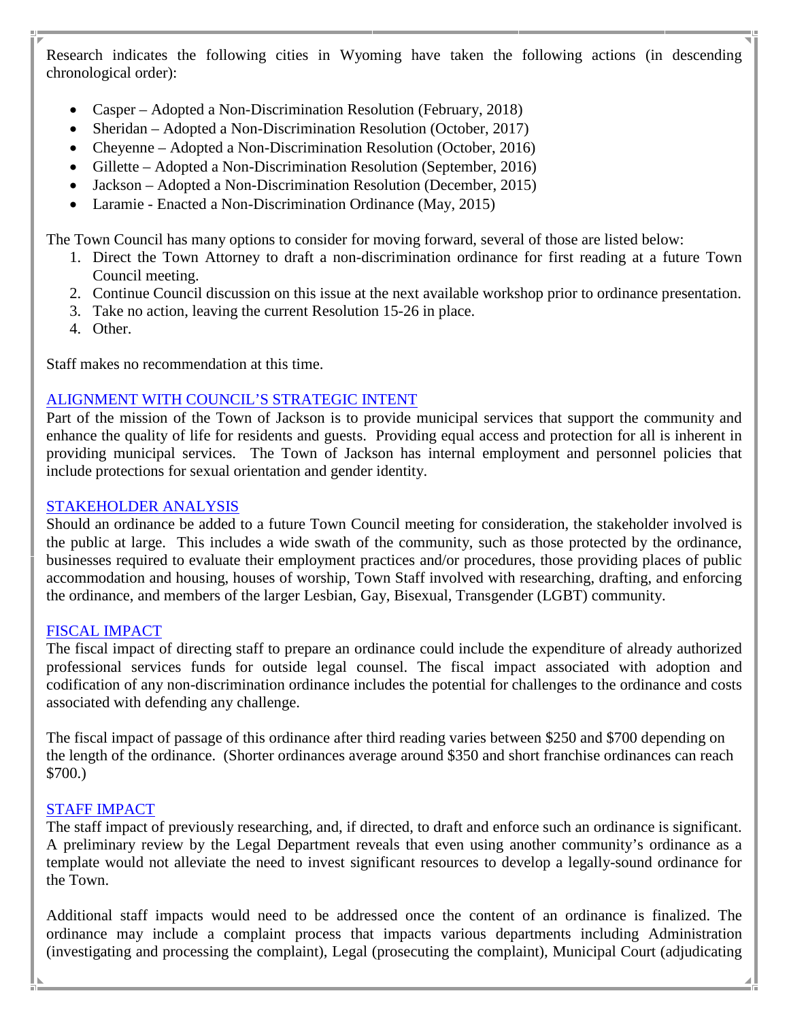Research indicates the following cities in Wyoming have taken the following actions (in descending chronological order):

- Casper Adopted a Non-Discrimination Resolution (February, 2018)
- Sheridan Adopted a Non-Discrimination Resolution (October, 2017)
- Cheyenne Adopted a Non-Discrimination Resolution (October, 2016)
- Gillette Adopted a Non-Discrimination Resolution (September, 2016)
- Jackson Adopted a Non-Discrimination Resolution (December, 2015)
- Laramie Enacted a Non-Discrimination Ordinance (May, 2015)

The Town Council has many options to consider for moving forward, several of those are listed below:

- 1. Direct the Town Attorney to draft a non-discrimination ordinance for first reading at a future Town Council meeting.
- 2. Continue Council discussion on this issue at the next available workshop prior to ordinance presentation.
- 3. Take no action, leaving the current Resolution 15-26 in place.
- 4. Other.

Staff makes no recommendation at this time.

# ALIGNMENT WITH COUNCIL'S STRATEGIC INTENT

Part of the mission of the Town of Jackson is to provide municipal services that support the community and enhance the quality of life for residents and guests. Providing equal access and protection for all is inherent in providing municipal services. The Town of Jackson has internal employment and personnel policies that include protections for sexual orientation and gender identity.

# STAKEHOLDER ANALYSIS

Should an ordinance be added to a future Town Council meeting for consideration, the stakeholder involved is the public at large. This includes a wide swath of the community, such as those protected by the ordinance, businesses required to evaluate their employment practices and/or procedures, those providing places of public accommodation and housing, houses of worship, Town Staff involved with researching, drafting, and enforcing the ordinance, and members of the larger Lesbian, Gay, Bisexual, Transgender (LGBT) community.

# FISCAL IMPACT

The fiscal impact of directing staff to prepare an ordinance could include the expenditure of already authorized professional services funds for outside legal counsel. The fiscal impact associated with adoption and codification of any non-discrimination ordinance includes the potential for challenges to the ordinance and costs associated with defending any challenge.

The fiscal impact of passage of this ordinance after third reading varies between \$250 and \$700 depending on the length of the ordinance. (Shorter ordinances average around \$350 and short franchise ordinances can reach \$700.)

# STAFF IMPACT

The staff impact of previously researching, and, if directed, to draft and enforce such an ordinance is significant. A preliminary review by the Legal Department reveals that even using another community's ordinance as a template would not alleviate the need to invest significant resources to develop a legally-sound ordinance for the Town.

Additional staff impacts would need to be addressed once the content of an ordinance is finalized. The ordinance may include a complaint process that impacts various departments including Administration (investigating and processing the complaint), Legal (prosecuting the complaint), Municipal Court (adjudicating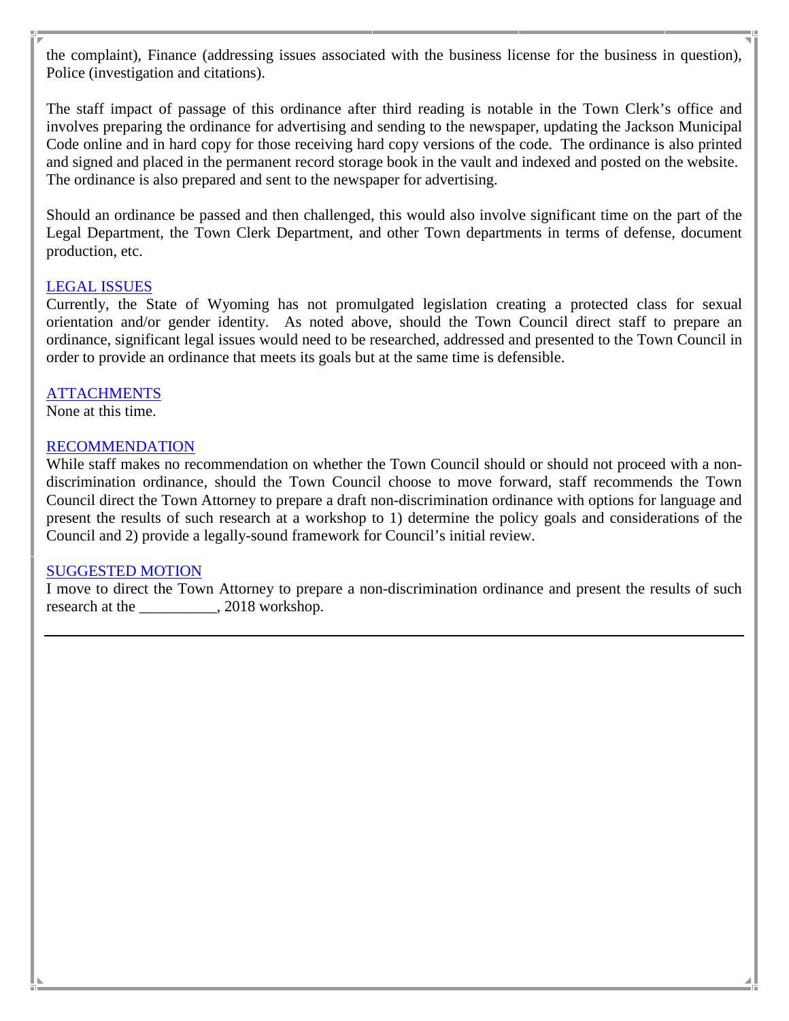the complaint), Finance (addressing issues associated with the business license for the business in question), Police (investigation and citations).

The staff impact of passage of this ordinance after third reading is notable in the Town Clerk's office and involves preparing the ordinance for advertising and sending to the newspaper, updating the Jackson Municipal Code online and in hard copy for those receiving hard copy versions of the code. The ordinance is also printed and signed and placed in the permanent record storage book in the vault and indexed and posted on the website. The ordinance is also prepared and sent to the newspaper for advertising.

Should an ordinance be passed and then challenged, this would also involve significant time on the part of the Legal Department, the Town Clerk Department, and other Town departments in terms of defense, document production, etc.

#### LEGAL ISSUES

Currently, the State of Wyoming has not promulgated legislation creating a protected class for sexual orientation and/or gender identity. As noted above, should the Town Council direct staff to prepare an ordinance, significant legal issues would need to be researched, addressed and presented to the Town Council in order to provide an ordinance that meets its goals but at the same time is defensible.

# **ATTACHMENTS**

None at this time.

#### RECOMMENDATION

While staff makes no recommendation on whether the Town Council should or should not proceed with a nondiscrimination ordinance, should the Town Council choose to move forward, staff recommends the Town Council direct the Town Attorney to prepare a draft non-discrimination ordinance with options for language and present the results of such research at a workshop to 1) determine the policy goals and considerations of the Council and 2) provide a legally-sound framework for Council's initial review.

#### SUGGESTED MOTION

I move to direct the Town Attorney to prepare a non-discrimination ordinance and present the results of such research at the \_\_\_\_\_\_\_\_\_\_\_, 2018 workshop.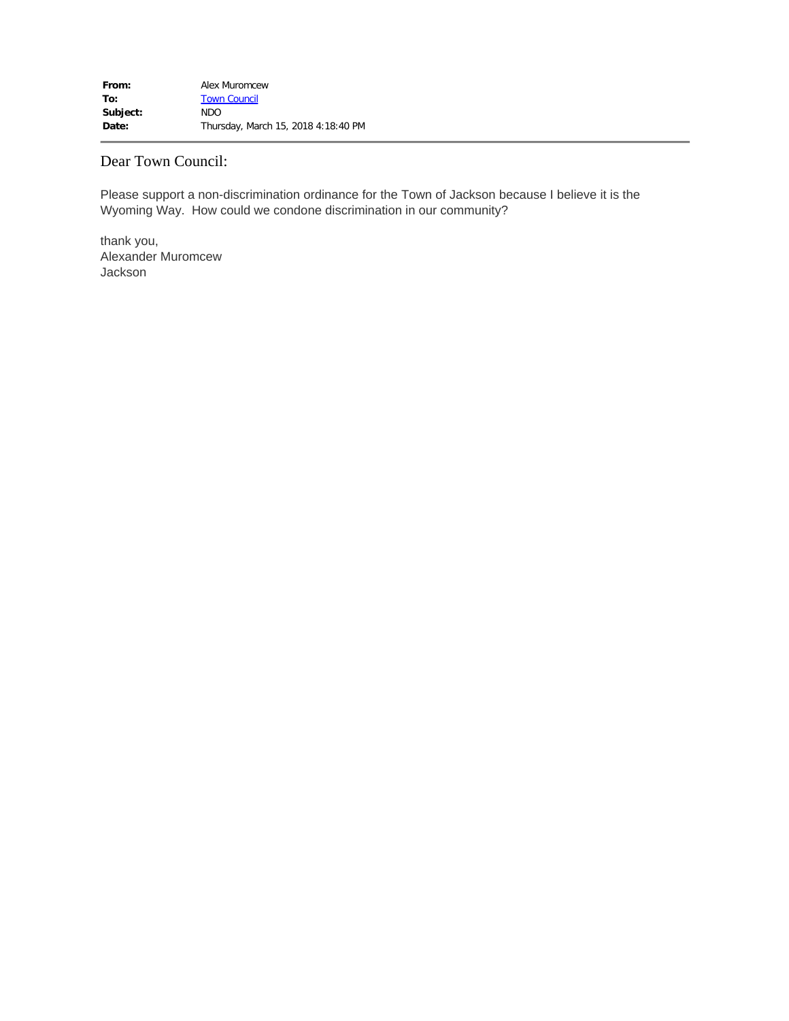#### Dear Town Council:

Please support a non-discrimination ordinance for the Town of Jackson because I believe it is the Wyoming Way. How could we condone discrimination in our community?

thank you, Alexander Muromcew Jackson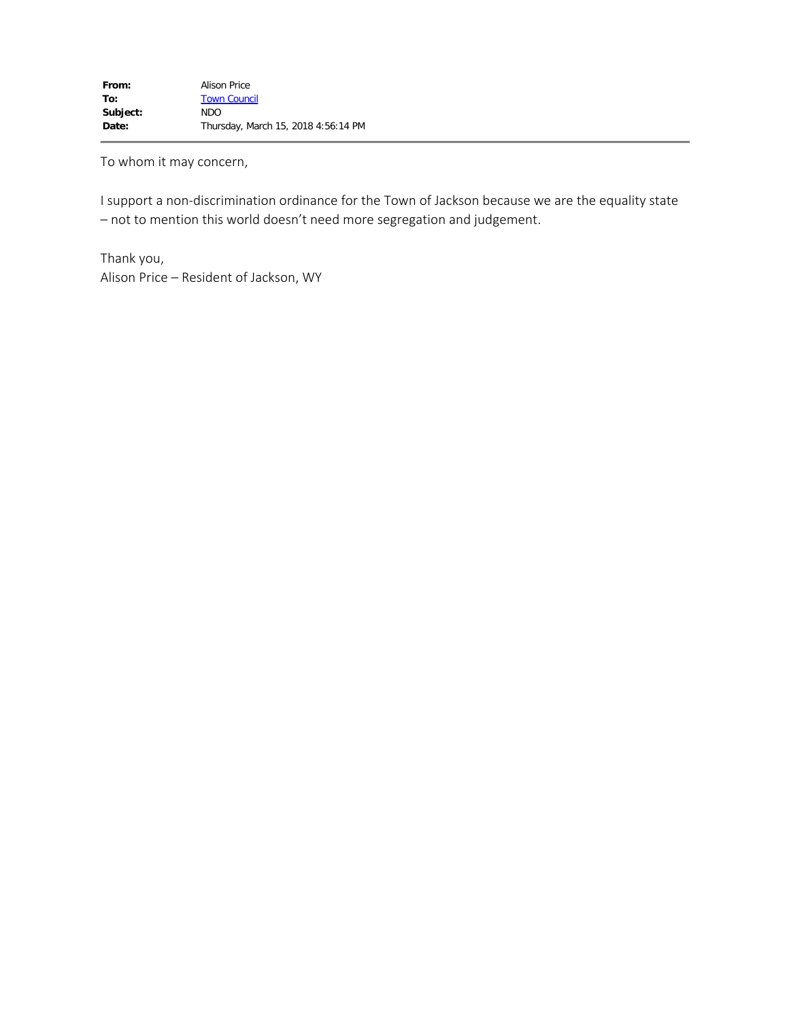To whom it may concern,

I support a non-discrimination ordinance for the Town of Jackson because we are the equality state – not to mention this world doesn't need more segregation and judgement.

Thank you, Alison Price – Resident of Jackson, WY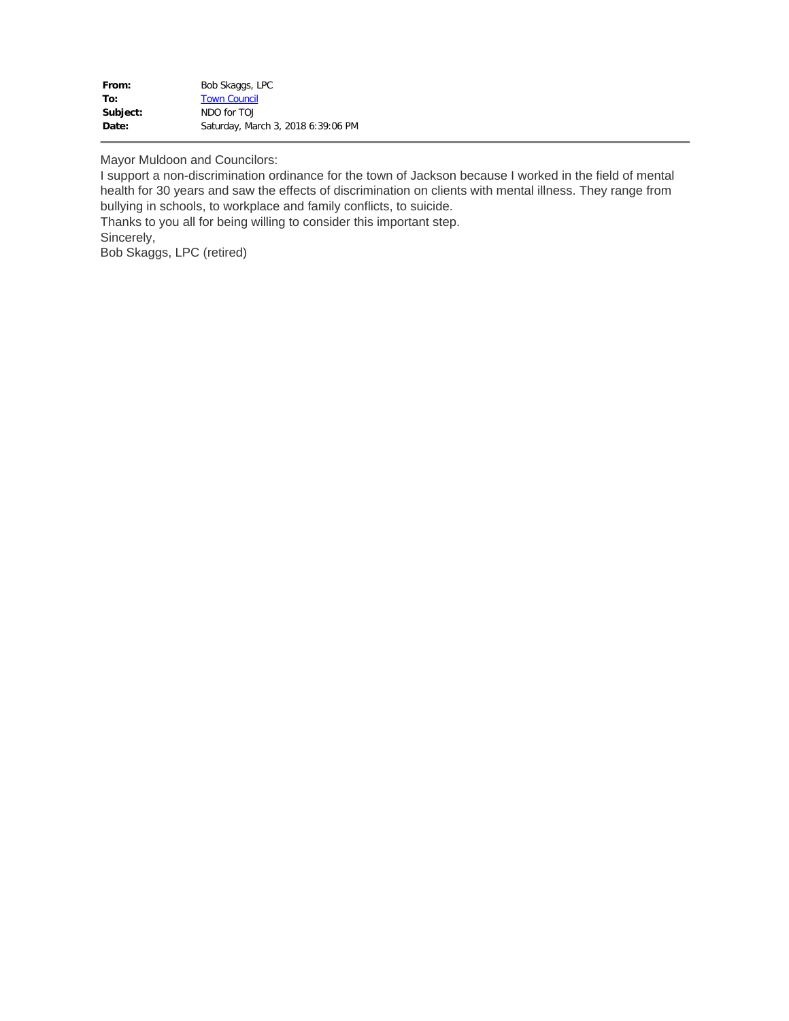| From:    | Bob Skaggs, LPC                    |
|----------|------------------------------------|
| To:      | <b>Town Council</b>                |
| Subject: | NDO for TO.                        |
| Date:    | Saturday, March 3, 2018 6:39:06 PM |

Mayor Muldoon and Councilors:

I support a non-discrimination ordinance for the town of Jackson because I worked in the field of mental health for 30 years and saw the effects of discrimination on clients with mental illness. They range from bullying in schools, to workplace and family conflicts, to suicide.

Thanks to you all for being willing to consider this important step. Sincerely,

Bob Skaggs, LPC (retired)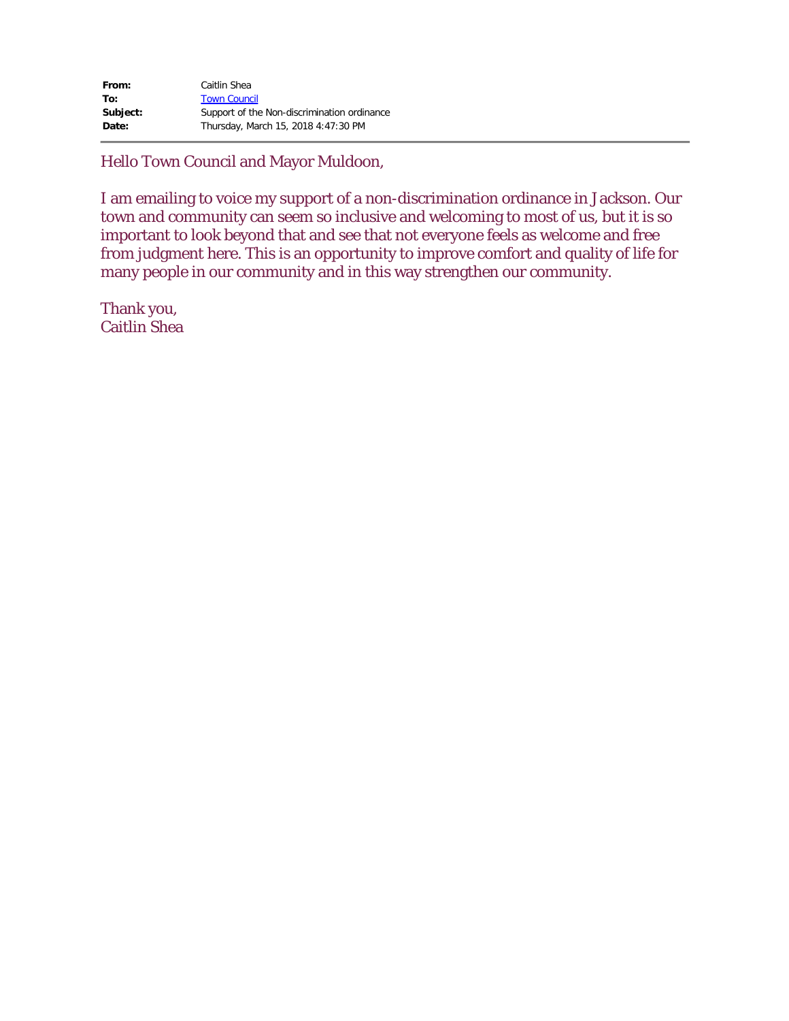| From:    | Caitlin Shea                                |
|----------|---------------------------------------------|
| To:      | <b>Town Council</b>                         |
| Subject: | Support of the Non-discrimination ordinance |
| Date:    | Thursday, March 15, 2018 4:47:30 PM         |

Hello Town Council and Mayor Muldoon,

I am emailing to voice my support of a non-discrimination ordinance in Jackson. Our town and community can seem so inclusive and welcoming to most of us, but it is so important to look beyond that and see that not everyone feels as welcome and free from judgment here. This is an opportunity to improve comfort and quality of life for many people in our community and in this way strengthen our community.

Thank you, Caitlin Shea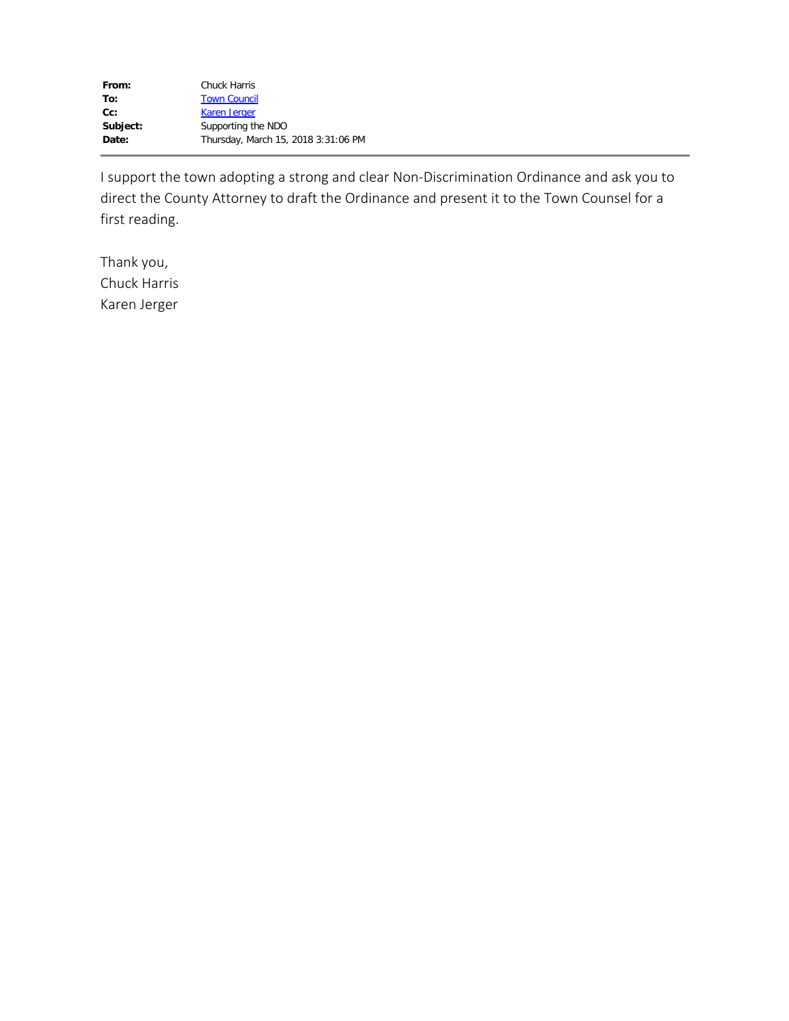I support the town adopting a strong and clear Non-Discrimination Ordinance and ask you to direct the County Attorney to draft the Ordinance and present it to the Town Counsel for a first reading.

Thank you, Chuck Harris Karen Jerger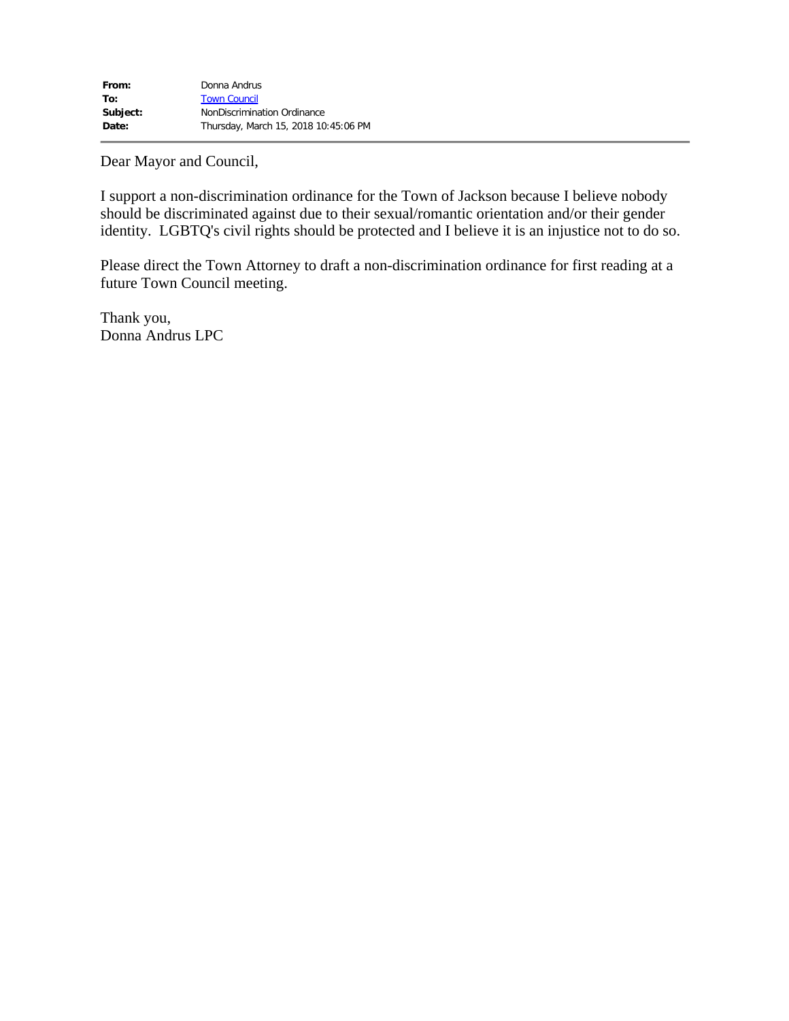Dear Mayor and Council,

I support a non-discrimination ordinance for the Town of Jackson because I believe nobody should be discriminated against due to their sexual/romantic orientation and/or their gender identity. LGBTQ's civil rights should be protected and I believe it is an injustice not to do so.

Please direct the Town Attorney to draft a non-discrimination ordinance for first reading at a future Town Council meeting.

Thank you, Donna Andrus LPC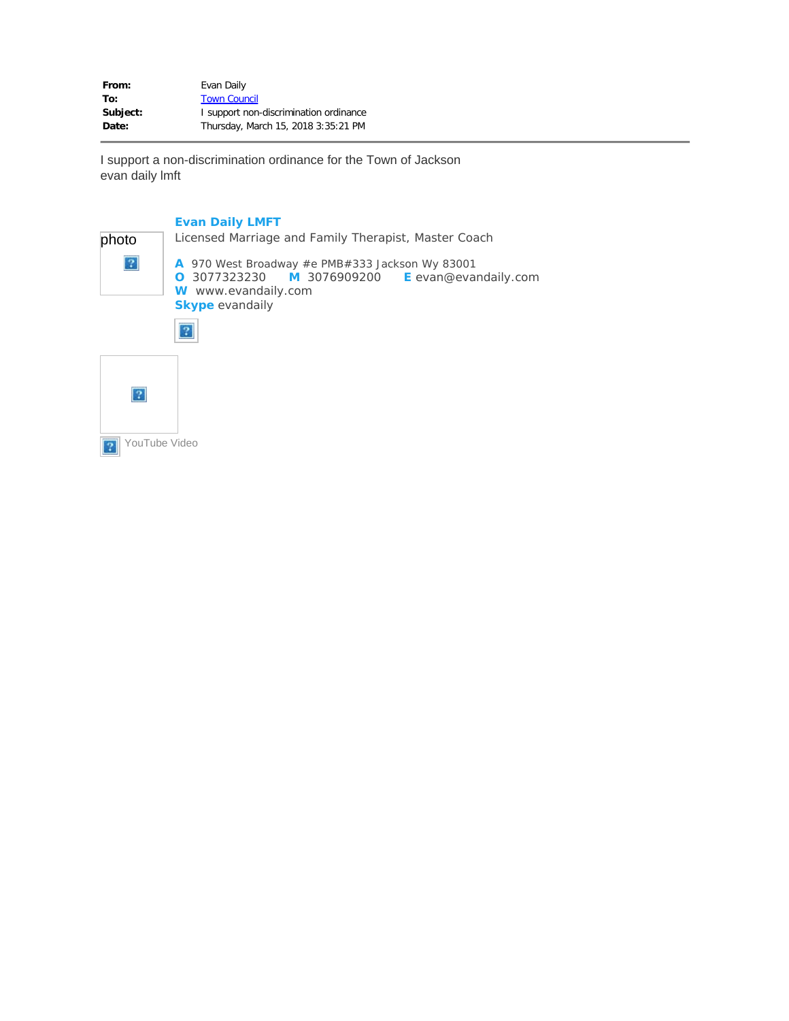From: Evan Daily To: [Town Council](mailto:electedofficials@jacksonwy.gov) Subject: **I** support non-discrimination ordinance **Date:** Thursday, March 15, 2018 3:35:21 PM

I support a non-discrimination ordinance for the Town of Jackson evan daily lmft

#### **Evan Daily LMFT**

| photo | Licensed Marriage and Family Therapist, Master Coach                                                                                                                          |
|-------|-------------------------------------------------------------------------------------------------------------------------------------------------------------------------------|
| 12    | A 970 West Broadway #e PMB#333 Jackson Wy 83001<br><b>O</b> 3077323230 <b>M</b> 3076909200 <b>E</b> evan@evandaily.com<br>W www.evandaily.com<br><b>Skype</b> evandaily<br>12 |
|       |                                                                                                                                                                               |

YouTube Video $\overline{3}$ 

 $\overline{?}$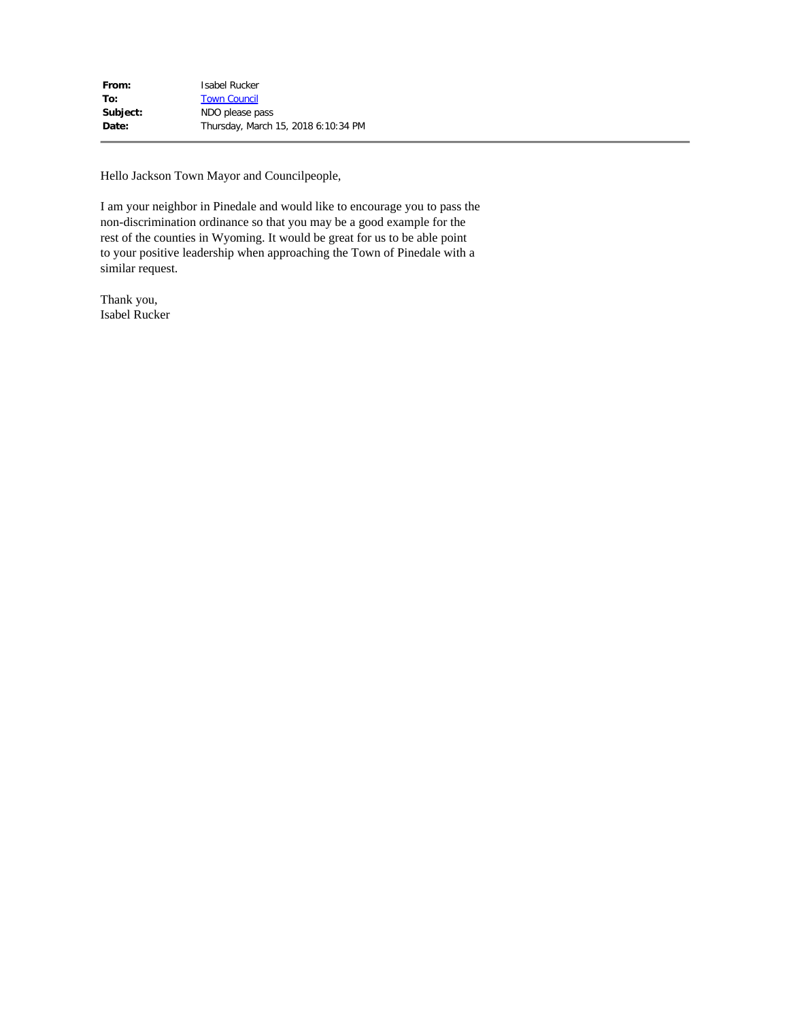Hello Jackson Town Mayor and Councilpeople,

I am your neighbor in Pinedale and would like to encourage you to pass the non-discrimination ordinance so that you may be a good example for the rest of the counties in Wyoming. It would be great for us to be able point to your positive leadership when approaching the Town of Pinedale with a similar request.

Thank you, Isabel Rucker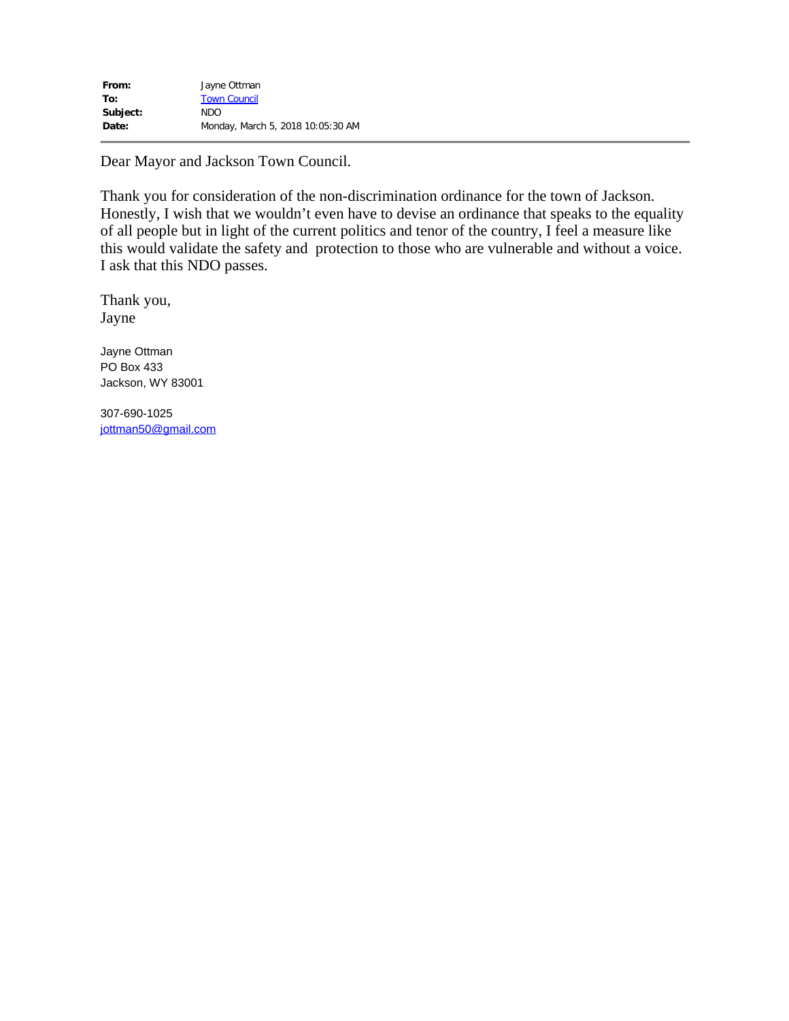Dear Mayor and Jackson Town Council.

Thank you for consideration of the non-discrimination ordinance for the town of Jackson. Honestly, I wish that we wouldn't even have to devise an ordinance that speaks to the equality of all people but in light of the current politics and tenor of the country, I feel a measure like this would validate the safety and protection to those who are vulnerable and without a voice. I ask that this NDO passes.

Thank you, Jayne

Jayne Ottman PO Box 433 Jackson, WY 83001

307-690-1025 [jottman50@gmail.com](mailto:jottman50@gmail.com)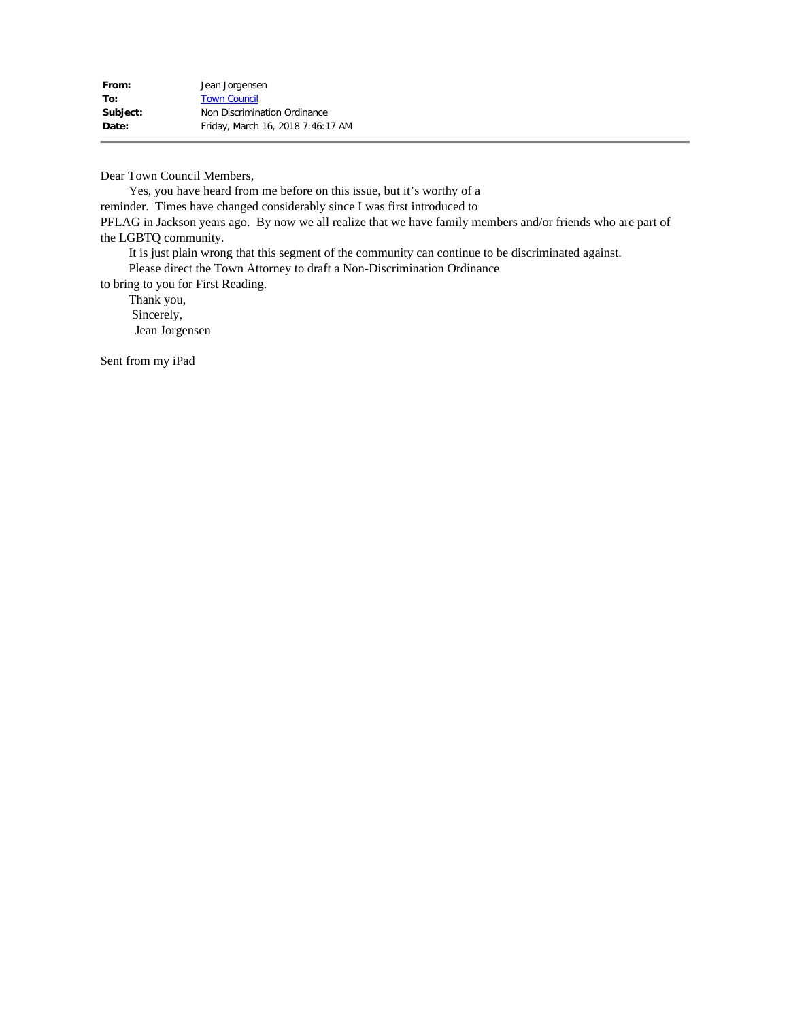Dear Town Council Members,

 Yes, you have heard from me before on this issue, but it's worthy of a reminder. Times have changed considerably since I was first introduced to PFLAG in Jackson years ago. By now we all realize that we have family members and/or friends who are part of the LGBTQ community.

It is just plain wrong that this segment of the community can continue to be discriminated against.

Please direct the Town Attorney to draft a Non-Discrimination Ordinance

to bring to you for First Reading.

 Thank you, Sincerely, Jean Jorgensen

Sent from my iPad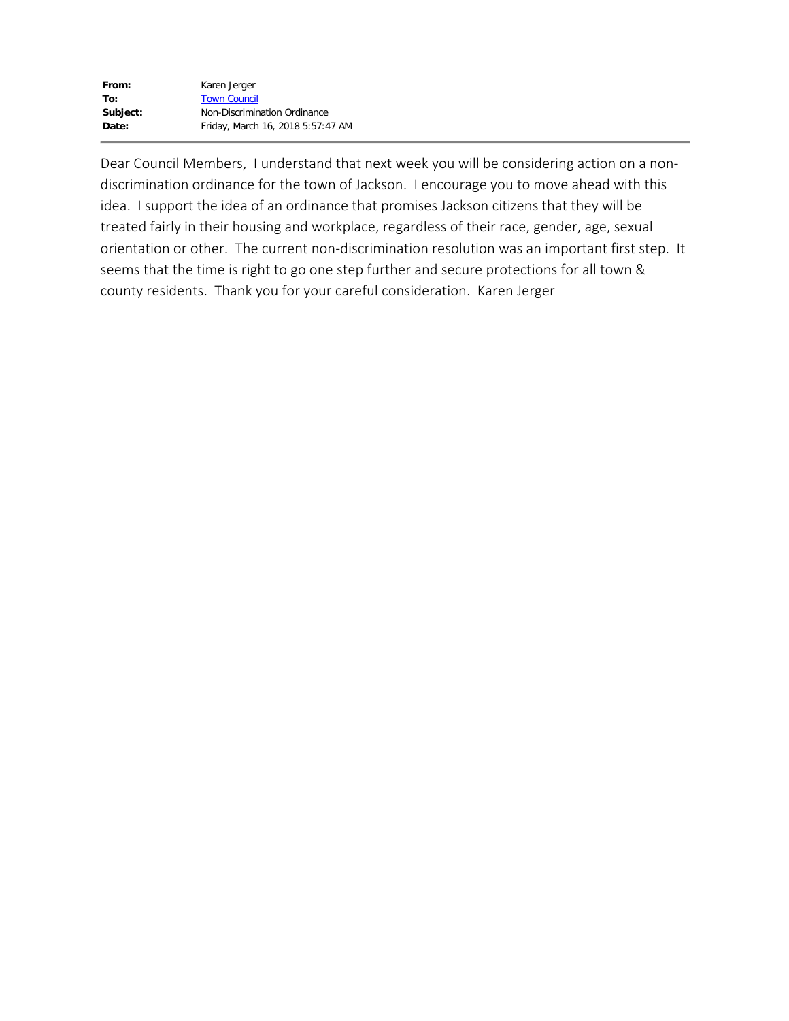| From:    | Karen Jerger                      |
|----------|-----------------------------------|
| To:      | <b>Town Council</b>               |
| Subject: | Non-Discrimination Ordinance      |
| Date:    | Friday, March 16, 2018 5:57:47 AM |

Dear Council Members, I understand that next week you will be considering action on a nondiscrimination ordinance for the town of Jackson. I encourage you to move ahead with this idea. I support the idea of an ordinance that promises Jackson citizens that they will be treated fairly in their housing and workplace, regardless of their race, gender, age, sexual orientation or other. The current non-discrimination resolution was an important first step. It seems that the time is right to go one step further and secure protections for all town & county residents. Thank you for your careful consideration. Karen Jerger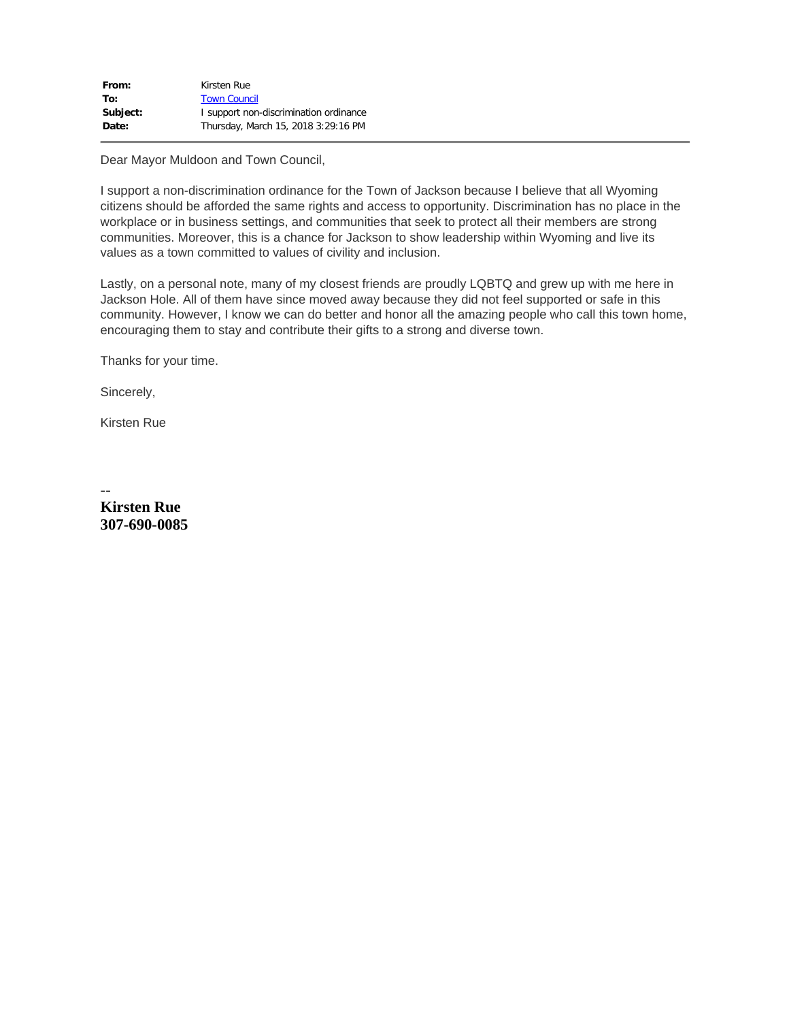| From:    | Kirsten Rue                            |
|----------|----------------------------------------|
| To:      | <b>Town Council</b>                    |
| Subject: | I support non-discrimination ordinance |
| Date:    | Thursday, March 15, 2018 3:29:16 PM    |

Dear Mayor Muldoon and Town Council,

I support a non-discrimination ordinance for the Town of Jackson because I believe that all Wyoming citizens should be afforded the same rights and access to opportunity. Discrimination has no place in the workplace or in business settings, and communities that seek to protect all their members are strong communities. Moreover, this is a chance for Jackson to show leadership within Wyoming and live its values as a town committed to values of civility and inclusion.

Lastly, on a personal note, many of my closest friends are proudly LQBTQ and grew up with me here in Jackson Hole. All of them have since moved away because they did not feel supported or safe in this community. However, I know we can do better and honor all the amazing people who call this town home, encouraging them to stay and contribute their gifts to a strong and diverse town.

Thanks for your time.

Sincerely,

Kirsten Rue

-- **Kirsten Rue 307-690-0085**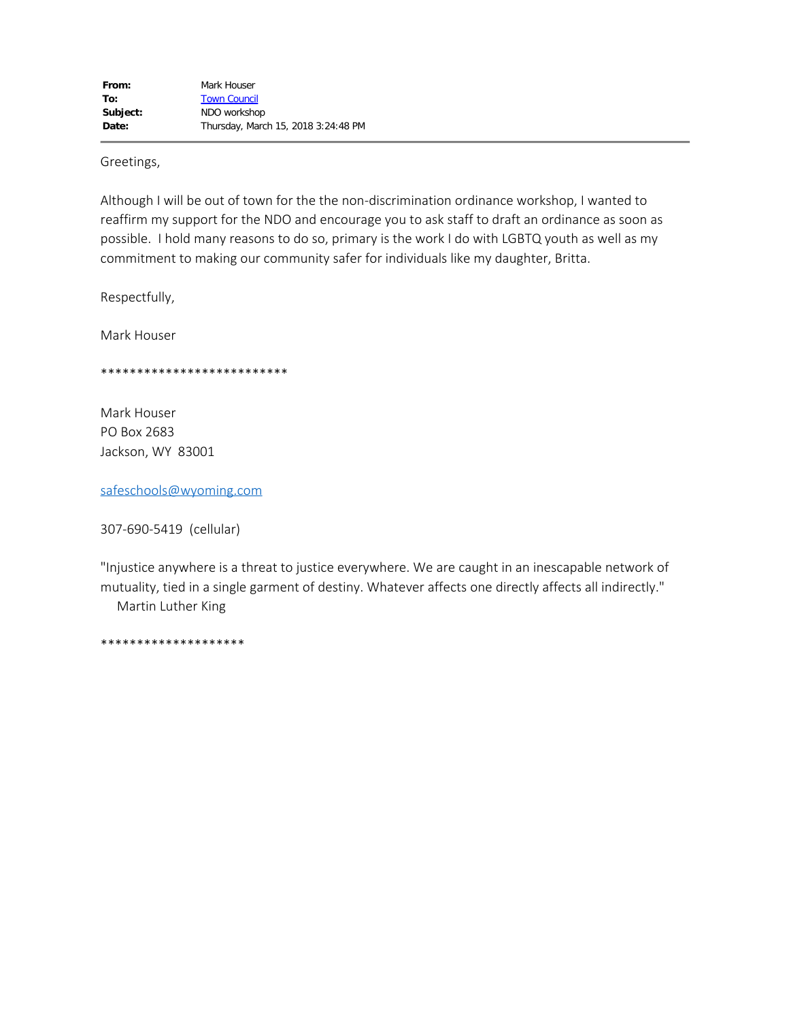Greetings,

Although I will be out of town for the the non-discrimination ordinance workshop, I wanted to reaffirm my support for the NDO and encourage you to ask staff to draft an ordinance as soon as possible. I hold many reasons to do so, primary is the work I do with LGBTQ youth as well as my commitment to making our community safer for individuals like my daughter, Britta.

Respectfully,

Mark Houser

\*\*\*\*\*\*\*\*\*\*\*\*\*\*\*\*\*\*\*\*\*\*\*\*\*\*

Mark Houser PO Box 2683 Jackson, WY 83001

[safeschools@wyoming.com](mailto:safeschools@wyoming.com)

307-690-5419 (cellular)

"Injustice anywhere is a threat to justice everywhere. We are caught in an inescapable network of mutuality, tied in a single garment of destiny. Whatever affects one directly affects all indirectly." Martin Luther King

\*\*\*\*\*\*\*\*\*\*\*\*\*\*\*\*\*\*\*\*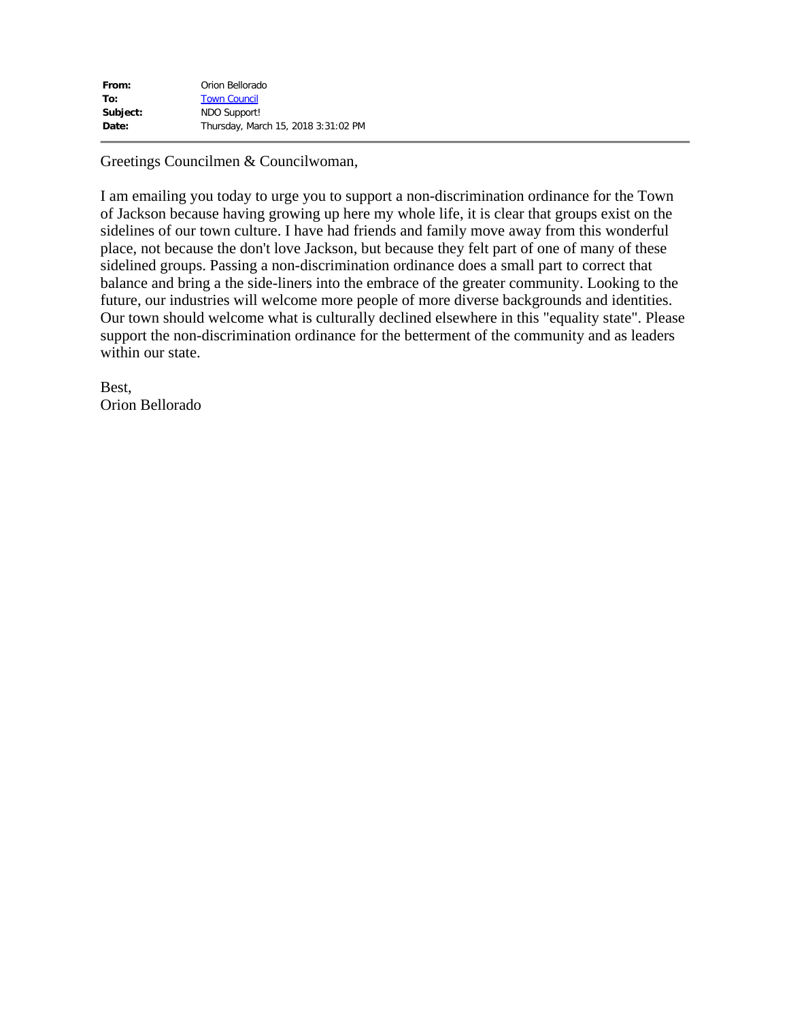| From:    | Orion Bellorado                     |
|----------|-------------------------------------|
| To:      | <b>Town Council</b>                 |
| Subject: | NDO Support!                        |
| Date:    | Thursday, March 15, 2018 3:31:02 PM |

Greetings Councilmen & Councilwoman,

I am emailing you today to urge you to support a non-discrimination ordinance for the Town of Jackson because having growing up here my whole life, it is clear that groups exist on the sidelines of our town culture. I have had friends and family move away from this wonderful place, not because the don't love Jackson, but because they felt part of one of many of these sidelined groups. Passing a non-discrimination ordinance does a small part to correct that balance and bring a the side-liners into the embrace of the greater community. Looking to the future, our industries will welcome more people of more diverse backgrounds and identities. Our town should welcome what is culturally declined elsewhere in this "equality state". Please support the non-discrimination ordinance for the betterment of the community and as leaders within our state.

Best, Orion Bellorado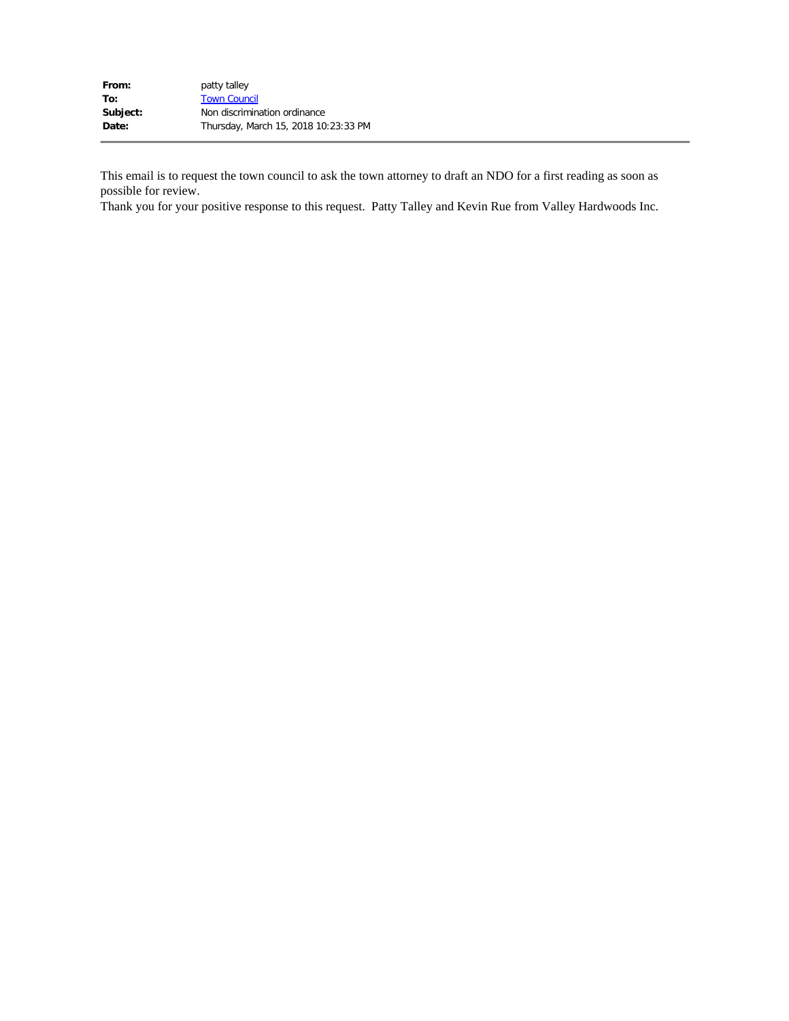| From:    | patty talley                         |
|----------|--------------------------------------|
| To:      | <b>Town Council</b>                  |
| Subject: | Non discrimination ordinance         |
| Date:    | Thursday, March 15, 2018 10:23:33 PM |

This email is to request the town council to ask the town attorney to draft an NDO for a first reading as soon as possible for review.

Thank you for your positive response to this request. Patty Talley and Kevin Rue from Valley Hardwoods Inc.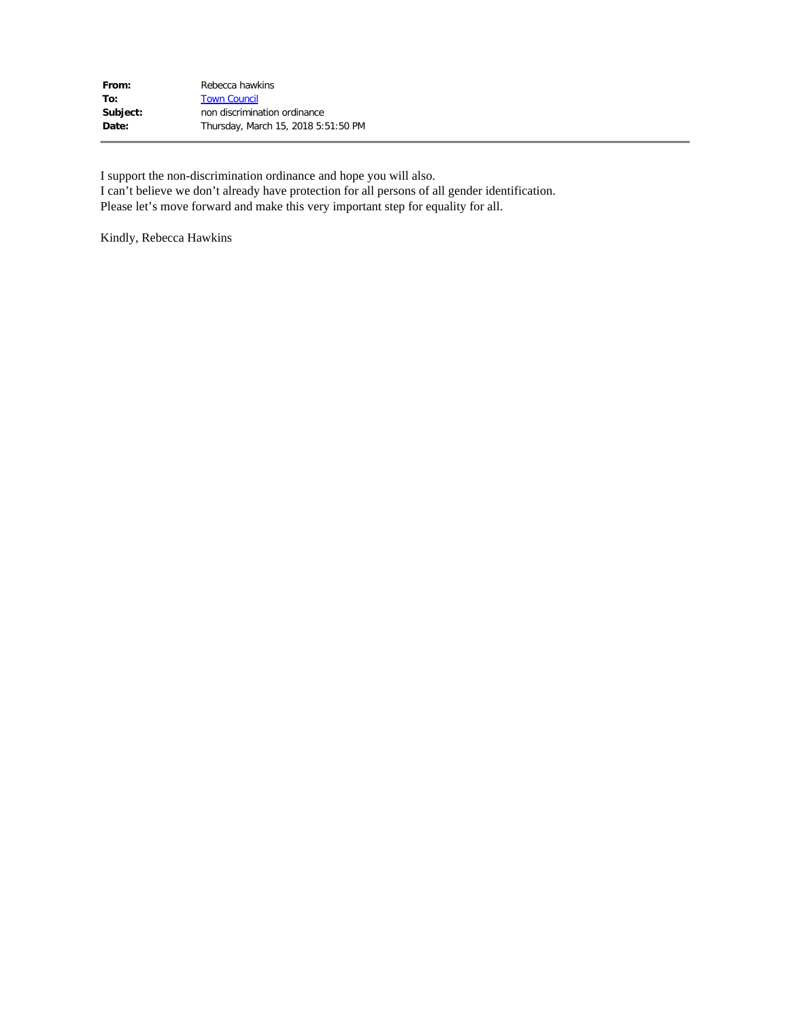| From:    | Rebecca hawkins                     |
|----------|-------------------------------------|
| To:      | <b>Town Council</b>                 |
| Subject: | non discrimination ordinance        |
| Date:    | Thursday, March 15, 2018 5:51:50 PM |
|          |                                     |

I support the non-discrimination ordinance and hope you will also.

I can't believe we don't already have protection for all persons of all gender identification. Please let's move forward and make this very important step for equality for all.

Kindly, Rebecca Hawkins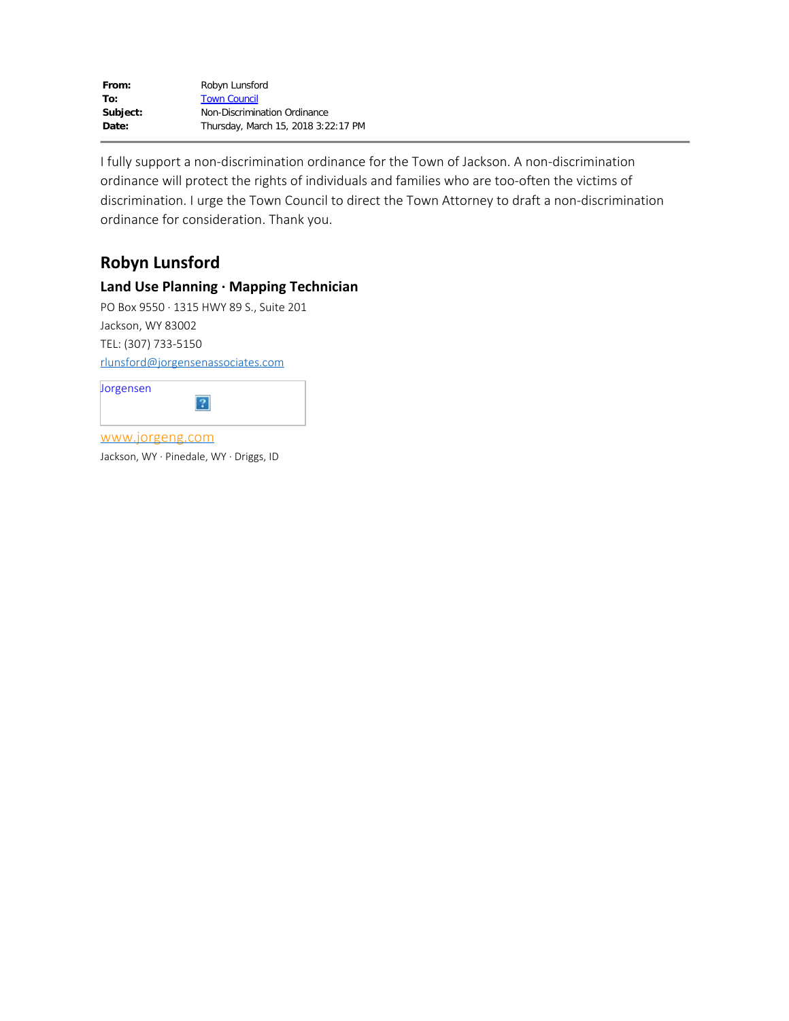I fully support a non-discrimination ordinance for the Town of Jackson. A non-discrimination ordinance will protect the rights of individuals and families who are too-often the victims of discrimination. I urge the Town Council to direct the Town Attorney to draft a non-discrimination ordinance for consideration. Thank you.

# **Robyn Lunsford**

#### **Land Use Planning ∙ Mapping Technician**

PO Box 9550 ∙ 1315 HWY 89 S., Suite 201 Jackson, WY 83002 TEL: (307) 733-5150 [rlunsford@jorgensenassociates.com](mailto:rlunsford@jorgensenassociates.com)

| Jorgensen       |  |
|-----------------|--|
| www.jorgeng.com |  |

Jackson, WY ∙ Pinedale, WY ∙ Driggs, ID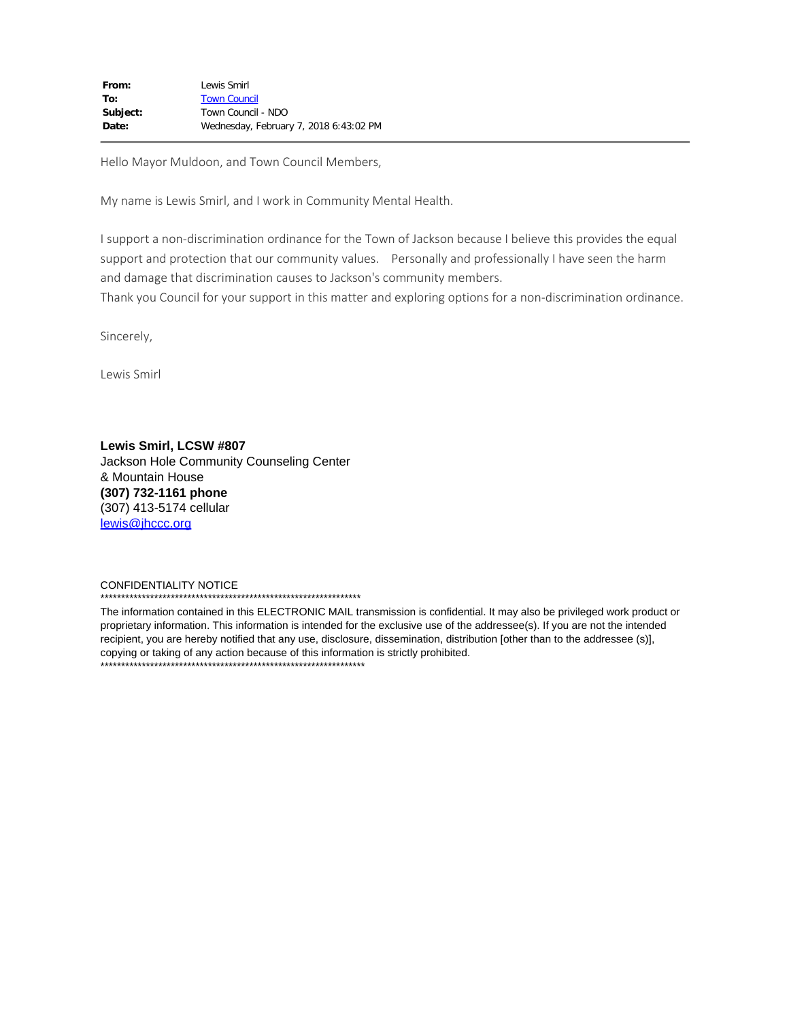Hello Mayor Muldoon, and Town Council Members,

My name is Lewis Smirl, and I work in Community Mental Health.

I support a non-discrimination ordinance for the Town of Jackson because I believe this provides the equal support and protection that our community values. Personally and professionally I have seen the harm and damage that discrimination causes to Jackson's community members.

Thank you Council for your support in this matter and exploring options for a non-discrimination ordinance.

Sincerely,

Lewis Smirl

**Lewis Smirl, LCSW #807** Jackson Hole Community Counseling Center & Mountain House **(307) 732-1161 phone** (307) 413-5174 cellular [lewis@jhccc.org](mailto:lewis@jhccc.org)

#### CONFIDENTIALITY NOTICE

\*\*\*\*\*\*\*\*\*\*\*\*\*\*\*\*\*\*\*\*\*\*\*\*\*\*\*\*\*\*\*\*\*\*\*\*\*\*\*\*\*\*\*\*\*\*\*\*\*\*\*\*\*\*\*\*\*\*\*\*\*\*\*

The information contained in this ELECTRONIC MAIL transmission is confidential. It may also be privileged work product or proprietary information. This information is intended for the exclusive use of the addressee(s). If you are not the intended recipient, you are hereby notified that any use, disclosure, dissemination, distribution [other than to the addressee (s)], copying or taking of any action because of this information is strictly prohibited. \*\*\*\*\*\*\*\*\*\*\*\*\*\*\*\*\*\*\*\*\*\*\*\*\*\*\*\*\*\*\*\*\*\*\*\*\*\*\*\*\*\*\*\*\*\*\*\*\*\*\*\*\*\*\*\*\*\*\*\*\*\*\*\*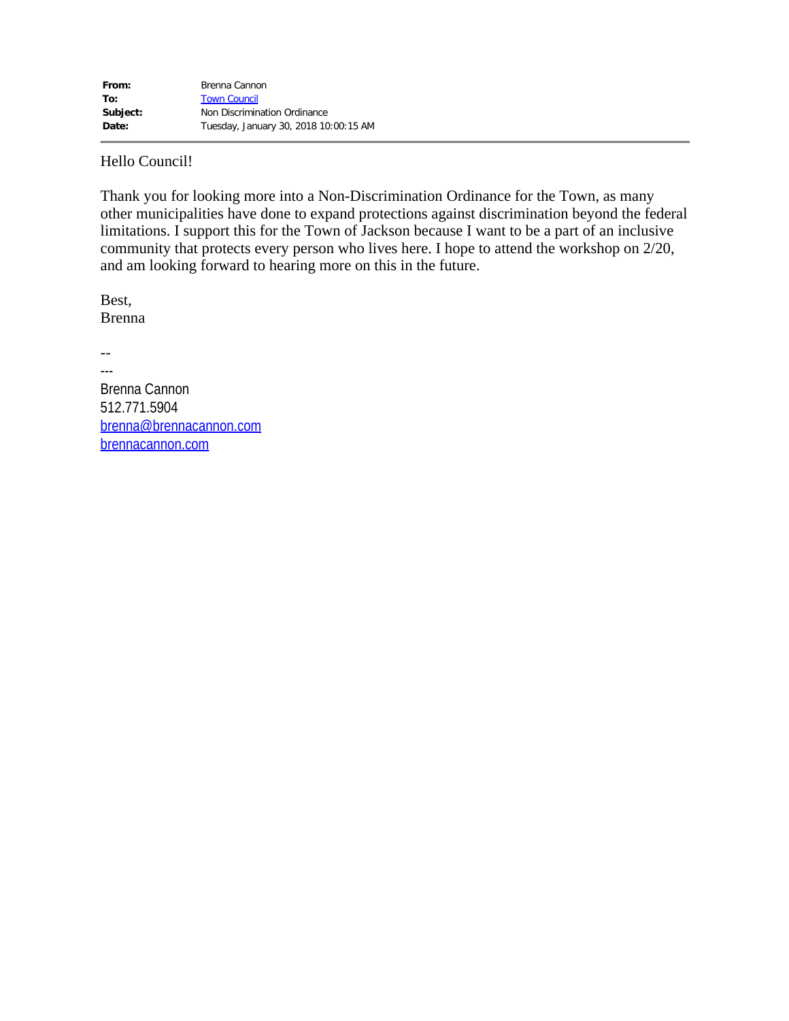Hello Council!

Thank you for looking more into a Non-Discrimination Ordinance for the Town, as many other municipalities have done to expand protections against discrimination beyond the federal limitations. I support this for the Town of Jackson because I want to be a part of an inclusive community that protects every person who lives here. I hope to attend the workshop on 2/20, and am looking forward to hearing more on this in the future.

Best, Brenna

--

--- Brenna Cannon 512.771.5904 [brenna@brennacannon.com](mailto:brenna@brennacannon.com) [brennacannon.com](http://brennacannon.com/)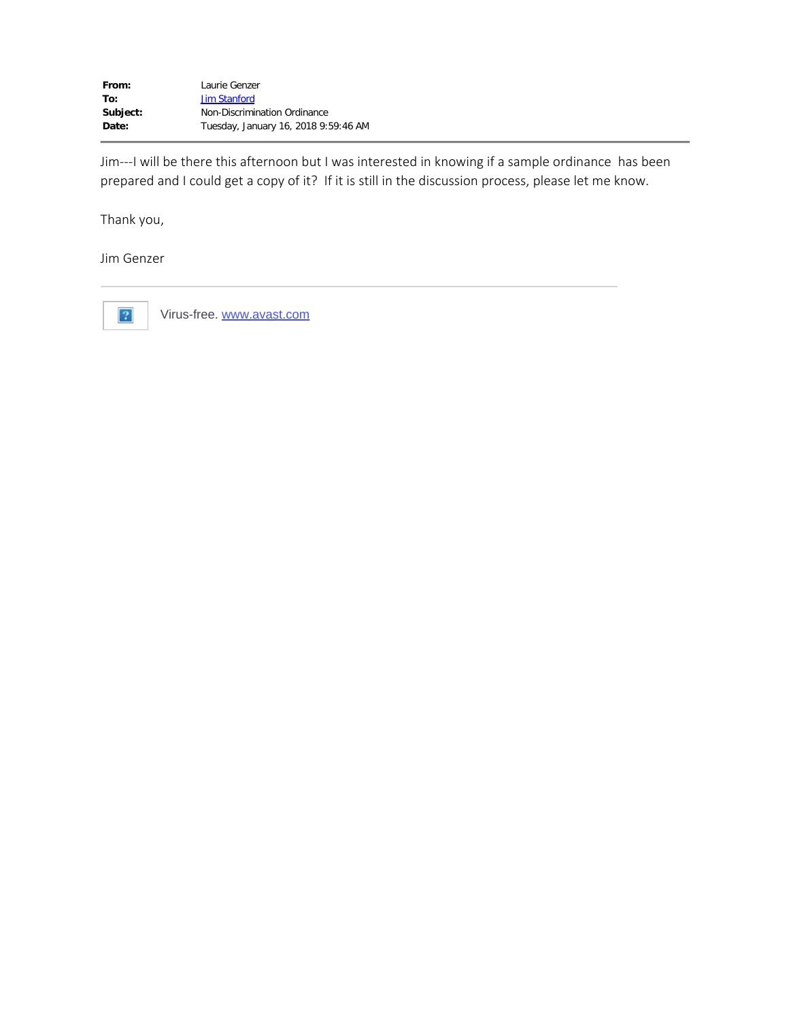Jim---I will be there this afternoon but I was interested in knowing if a sample ordinance has been prepared and I could get a copy of it? If it is still in the discussion process, please let me know.

Thank you,

Jim Genzer



Virus-free. [www.avast.com](https://www.avast.com/sig-email?utm_medium=email&utm_source=link&utm_campaign=sig-email&utm_content=emailclient&utm_term=link)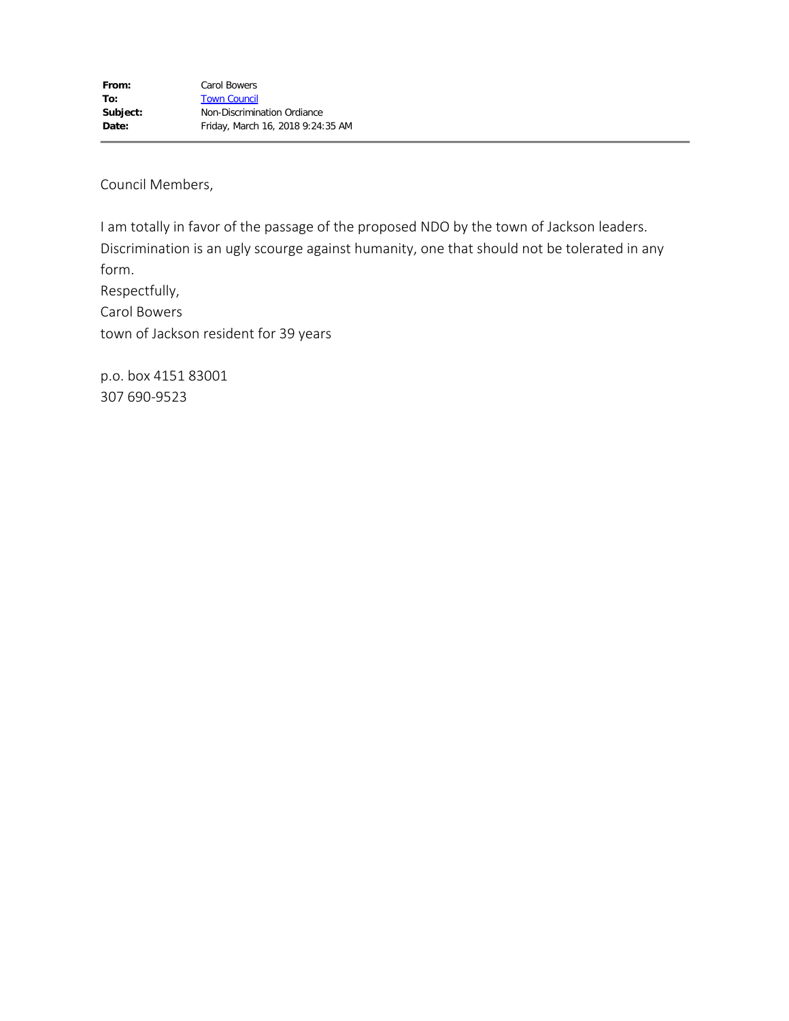Council Members,

I am totally in favor of the passage of the proposed NDO by the town of Jackson leaders. Discrimination is an ugly scourge against humanity, one that should not be tolerated in any form. Respectfully, Carol Bowers town of Jackson resident for 39 years

p.o. box 4151 83001 307 690-9523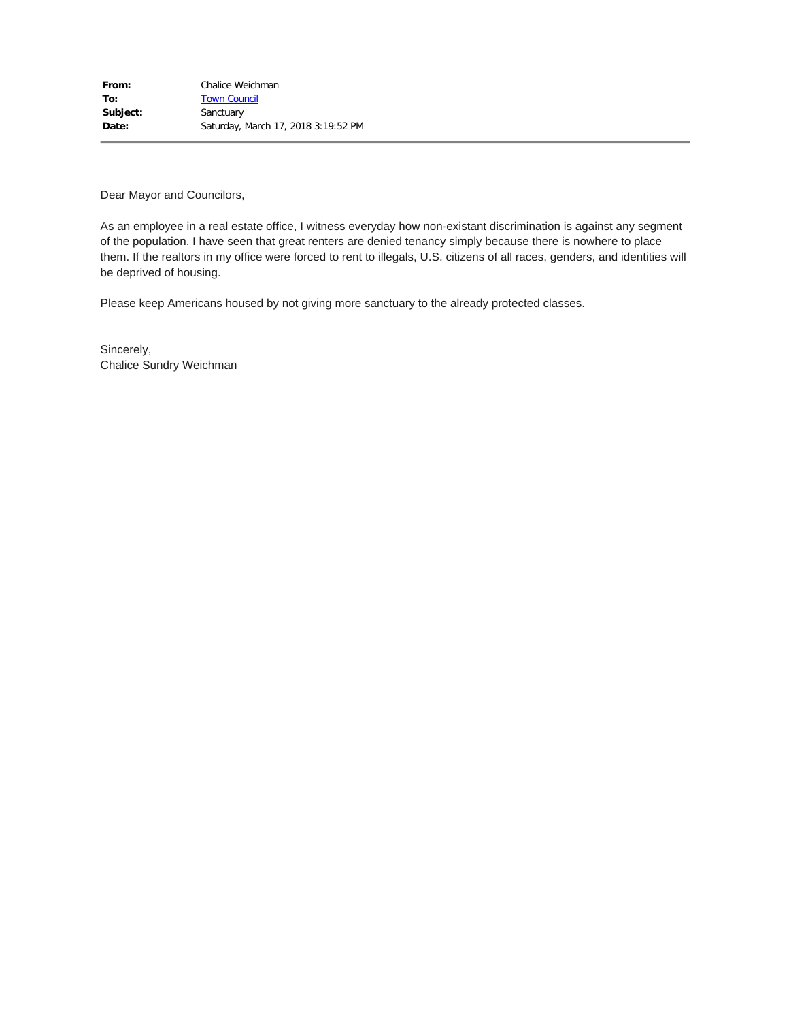Dear Mayor and Councilors,

As an employee in a real estate office, I witness everyday how non-existant discrimination is against any segment of the population. I have seen that great renters are denied tenancy simply because there is nowhere to place them. If the realtors in my office were forced to rent to illegals, U.S. citizens of all races, genders, and identities will be deprived of housing.

Please keep Americans housed by not giving more sanctuary to the already protected classes.

Sincerely, Chalice Sundry Weichman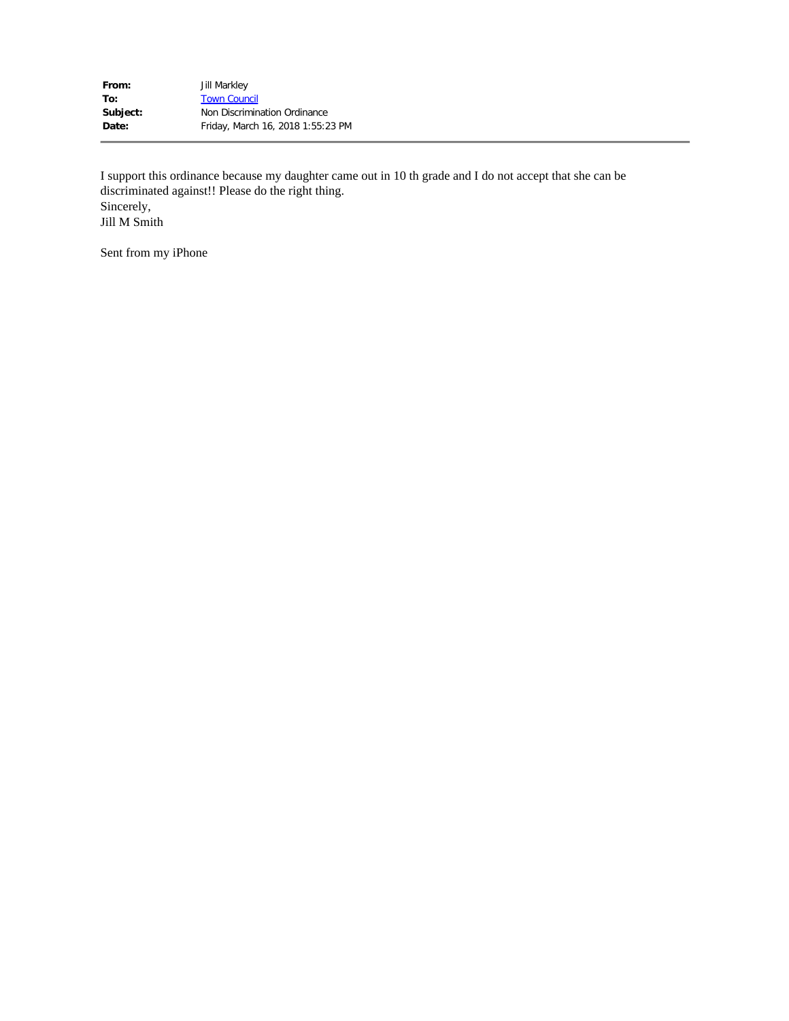| <b>Jill Markley</b>               |
|-----------------------------------|
| <b>Town Council</b>               |
| Non Discrimination Ordinance      |
| Friday, March 16, 2018 1:55:23 PM |
|                                   |

I support this ordinance because my daughter came out in 10 th grade and I do not accept that she can be discriminated against!! Please do the right thing. Sincerely, Jill M Smith

Sent from my iPhone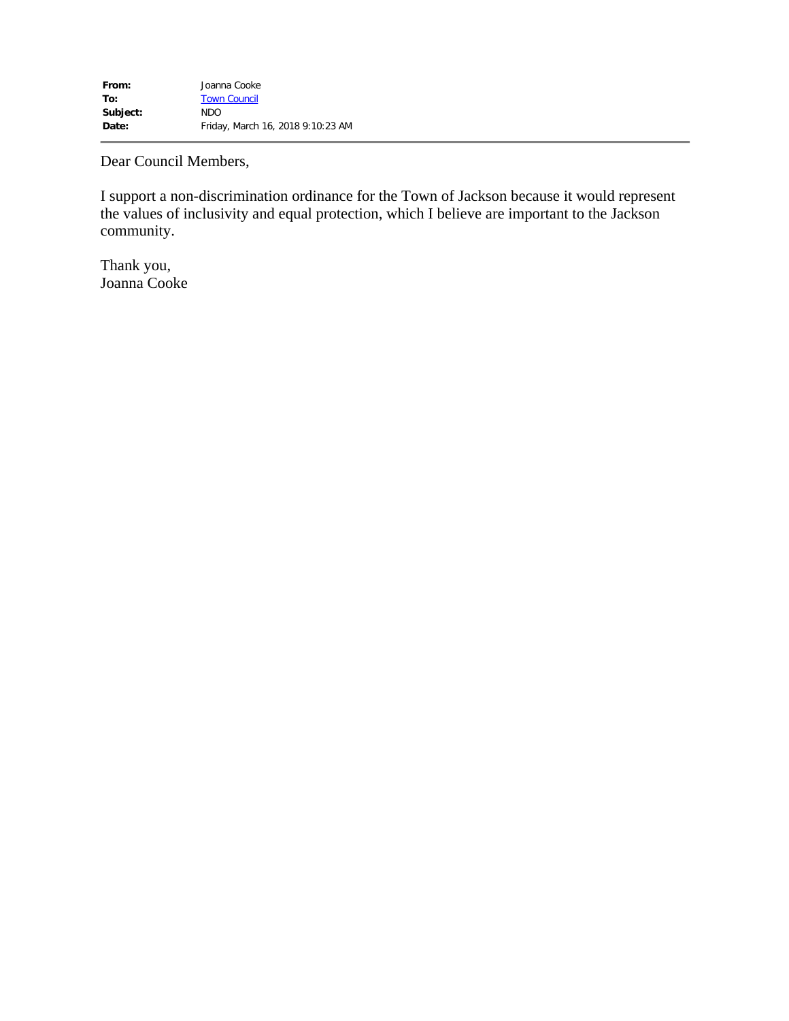Dear Council Members,

I support a non-discrimination ordinance for the Town of Jackson because it would represent the values of inclusivity and equal protection, which I believe are important to the Jackson community.

Thank you, Joanna Cooke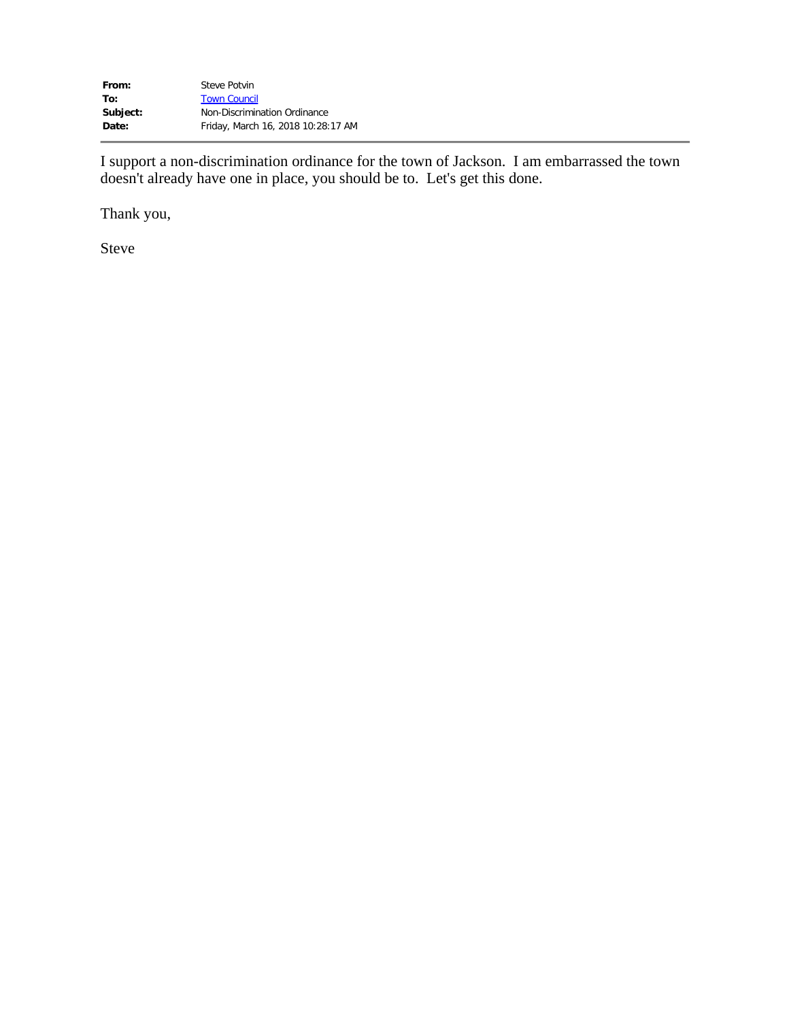| From:    | Steve Potvin                       |
|----------|------------------------------------|
| To:      | <b>Town Council</b>                |
| Subject: | Non-Discrimination Ordinance       |
| Date:    | Friday, March 16, 2018 10:28:17 AM |

I support a non-discrimination ordinance for the town of Jackson. I am embarrassed the town doesn't already have one in place, you should be to. Let's get this done.

Thank you,

Steve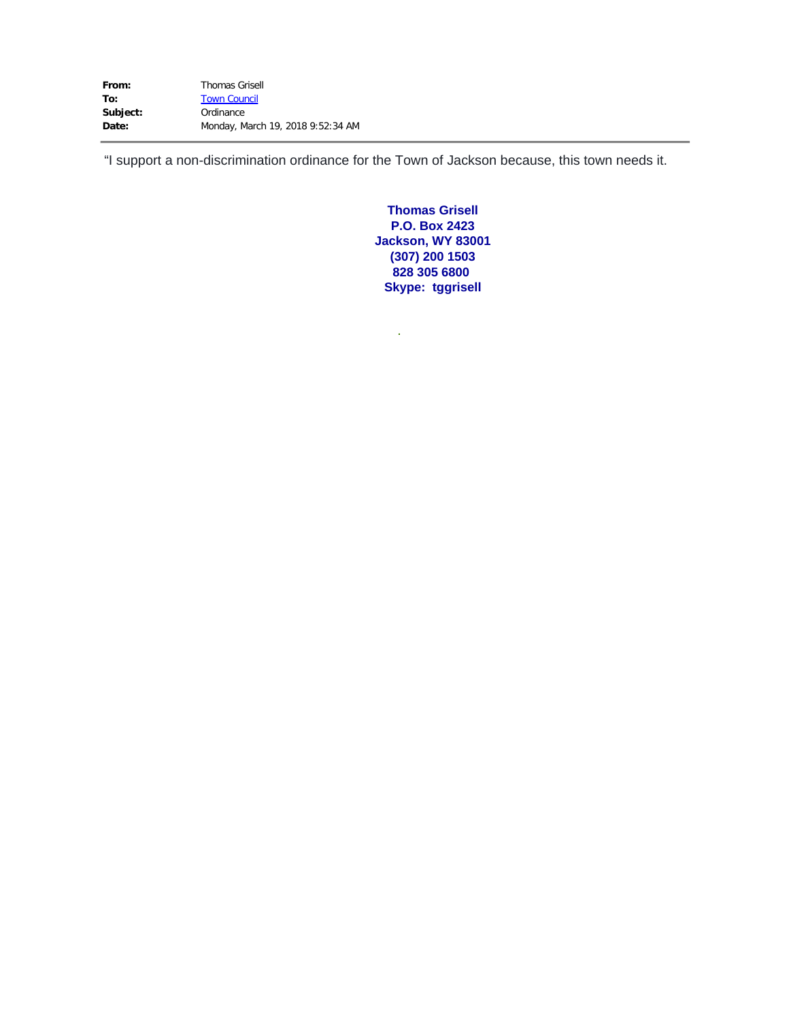| From:    | <b>Thomas Grisell</b>             |
|----------|-----------------------------------|
| To:      | <b>Town Council</b>               |
| Subject: | Ordinance                         |
| Date:    | Monday, March 19, 2018 9:52:34 AM |

"I support a non-discrimination ordinance for the Town of Jackson because, this town needs it.

**.** 

**Thomas Grisell P.O. Box 2423 Jackson, WY 83001 (307) 200 1503 828 305 6800 Skype: tggrisell**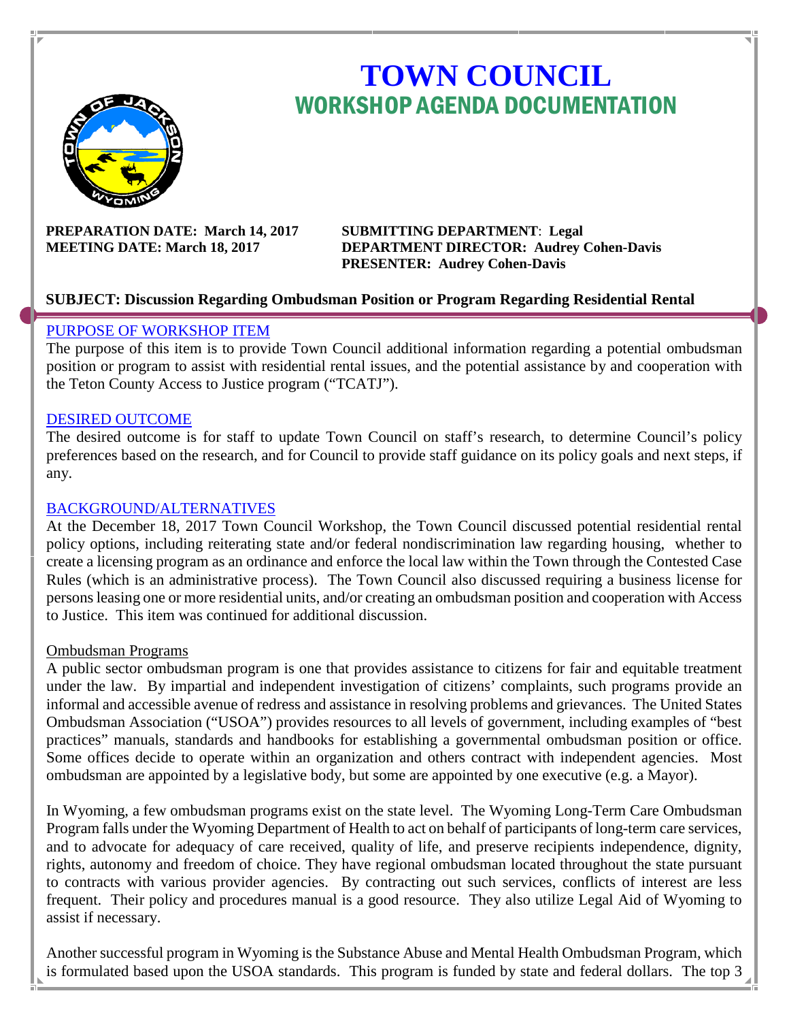

# **TOWN COUNCIL** WORKSHOP AGENDA DOCUMENTATION

**PREPARATION DATE: March 14, 2017 SUBMITTING DEPARTMENT**: **Legal** 

**MEETING DATE: March 18, 2017 DEPARTMENT DIRECTOR: Audrey Cohen-Davis PRESENTER: Audrey Cohen-Davis**

#### **SUBJECT: Discussion Regarding Ombudsman Position or Program Regarding Residential Rental**

#### PURPOSE OF WORKSHOP ITEM

The purpose of this item is to provide Town Council additional information regarding a potential ombudsman position or program to assist with residential rental issues, and the potential assistance by and cooperation with the Teton County Access to Justice program ("TCATJ").

#### DESIRED OUTCOME

The desired outcome is for staff to update Town Council on staff's research, to determine Council's policy preferences based on the research, and for Council to provide staff guidance on its policy goals and next steps, if any.

#### BACKGROUND/ALTERNATIVES

At the December 18, 2017 Town Council Workshop, the Town Council discussed potential residential rental policy options, including reiterating state and/or federal nondiscrimination law regarding housing, whether to create a licensing program as an ordinance and enforce the local law within the Town through the Contested Case Rules (which is an administrative process). The Town Council also discussed requiring a business license for persons leasing one or more residential units, and/or creating an ombudsman position and cooperation with Access to Justice. This item was continued for additional discussion.

#### Ombudsman Programs

A public sector ombudsman program is one that provides assistance to citizens for fair and equitable treatment under the law. By impartial and independent investigation of citizens' complaints, such programs provide an informal and accessible avenue of redress and assistance in resolving problems and grievances. The United States Ombudsman Association ("USOA") provides resources to all levels of government, including examples of "best practices" manuals, standards and handbooks for establishing a governmental ombudsman position or office. Some offices decide to operate within an organization and others contract with independent agencies. Most ombudsman are appointed by a legislative body, but some are appointed by one executive (e.g. a Mayor).

In Wyoming, a few ombudsman programs exist on the state level. The Wyoming Long-Term Care Ombudsman Program falls under the Wyoming Department of Health to act on behalf of participants of long-term care services, and to advocate for adequacy of care received, quality of life, and preserve recipients independence, dignity, rights, autonomy and freedom of choice. They have regional ombudsman located throughout the state pursuant to contracts with various provider agencies. By contracting out such services, conflicts of interest are less frequent. Their policy and procedures manual is a good resource. They also utilize Legal Aid of Wyoming to assist if necessary.

Another successful program in Wyoming is the Substance Abuse and Mental Health Ombudsman Program, which is formulated based upon the USOA standards. This program is funded by state and federal dollars. The top 3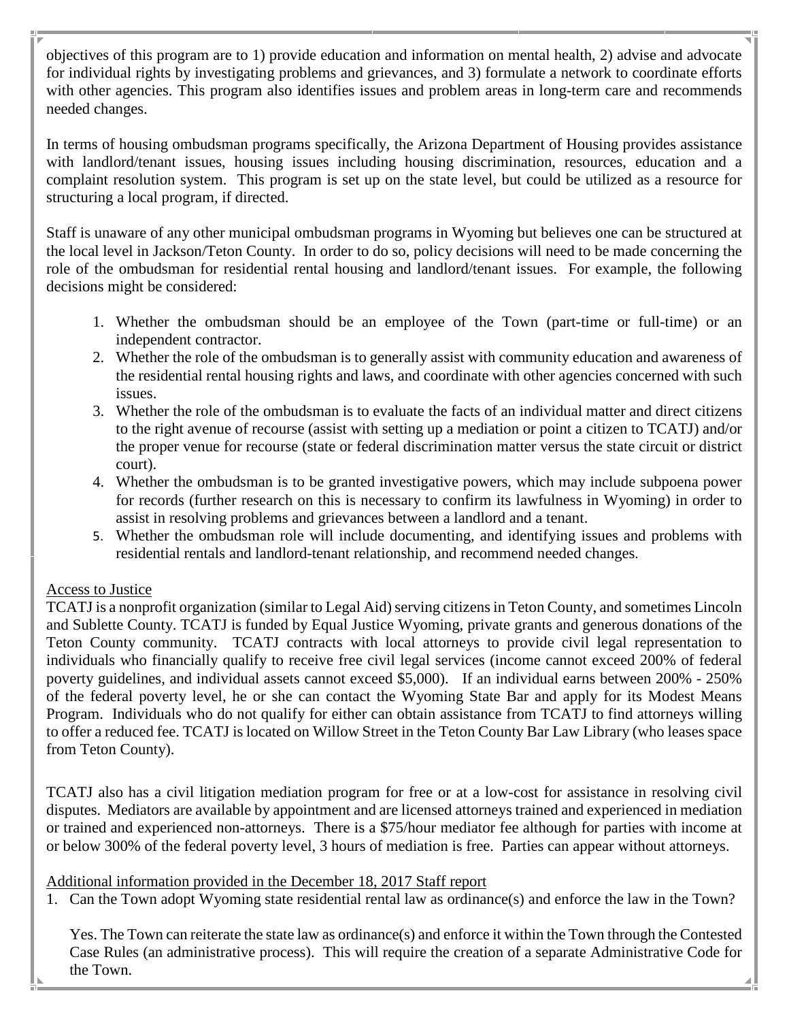objectives of this program are to 1) provide education and information on mental health, 2) advise and advocate for individual rights by investigating problems and grievances, and 3) formulate a network to coordinate efforts with other agencies. This program also identifies issues and problem areas in long-term care and recommends needed changes.

In terms of housing ombudsman programs specifically, the Arizona Department of Housing provides assistance with landlord/tenant issues, housing issues including housing discrimination, resources, education and a complaint resolution system. This program is set up on the state level, but could be utilized as a resource for structuring a local program, if directed.

Staff is unaware of any other municipal ombudsman programs in Wyoming but believes one can be structured at the local level in Jackson/Teton County. In order to do so, policy decisions will need to be made concerning the role of the ombudsman for residential rental housing and landlord/tenant issues. For example, the following decisions might be considered:

- 1. Whether the ombudsman should be an employee of the Town (part-time or full-time) or an independent contractor.
- 2. Whether the role of the ombudsman is to generally assist with community education and awareness of the residential rental housing rights and laws, and coordinate with other agencies concerned with such issues.
- 3. Whether the role of the ombudsman is to evaluate the facts of an individual matter and direct citizens to the right avenue of recourse (assist with setting up a mediation or point a citizen to TCATJ) and/or the proper venue for recourse (state or federal discrimination matter versus the state circuit or district court).
- 4. Whether the ombudsman is to be granted investigative powers, which may include subpoena power for records (further research on this is necessary to confirm its lawfulness in Wyoming) in order to assist in resolving problems and grievances between a landlord and a tenant.
- 5. Whether the ombudsman role will include documenting, and identifying issues and problems with residential rentals and landlord-tenant relationship, and recommend needed changes.

# Access to Justice

TCATJ is a nonprofit organization (similar to Legal Aid) serving citizens in Teton County, and sometimes Lincoln and Sublette County. TCATJ is funded by Equal Justice Wyoming, private grants and generous donations of the Teton County community. TCATJ contracts with local attorneys to provide civil legal representation to individuals who financially qualify to receive free civil legal services (income cannot exceed 200% of federal poverty guidelines, and individual assets cannot exceed \$5,000). If an individual earns between 200% - 250% of the federal poverty level, he or she can contact the Wyoming State Bar and apply for its Modest Means Program. Individuals who do not qualify for either can obtain assistance from TCATJ to find attorneys willing to offer a reduced fee. TCATJ is located on Willow Street in the Teton County Bar Law Library (who leases space from Teton County).

TCATJ also has a civil litigation mediation program for free or at a low-cost for assistance in resolving civil disputes. Mediators are available by appointment and are licensed attorneys trained and experienced in mediation or trained and experienced non-attorneys. There is a \$75/hour mediator fee although for parties with income at or below 300% of the federal poverty level, 3 hours of mediation is free. Parties can appear without attorneys.

# Additional information provided in the December 18, 2017 Staff report

1. Can the Town adopt Wyoming state residential rental law as ordinance(s) and enforce the law in the Town?

Yes. The Town can reiterate the state law as ordinance(s) and enforce it within the Town through the Contested Case Rules (an administrative process). This will require the creation of a separate Administrative Code for the Town.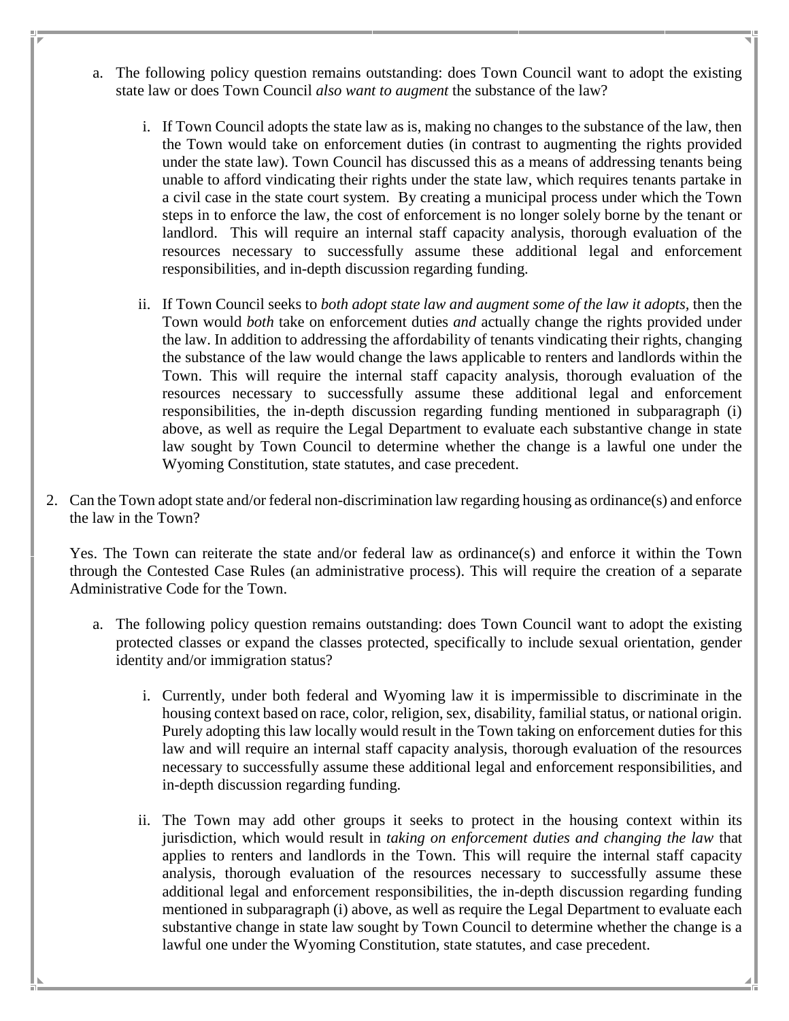- a. The following policy question remains outstanding: does Town Council want to adopt the existing state law or does Town Council *also want to augment* the substance of the law?
	- i. If Town Council adopts the state law as is, making no changes to the substance of the law, then the Town would take on enforcement duties (in contrast to augmenting the rights provided under the state law). Town Council has discussed this as a means of addressing tenants being unable to afford vindicating their rights under the state law, which requires tenants partake in a civil case in the state court system. By creating a municipal process under which the Town steps in to enforce the law, the cost of enforcement is no longer solely borne by the tenant or landlord. This will require an internal staff capacity analysis, thorough evaluation of the resources necessary to successfully assume these additional legal and enforcement responsibilities, and in-depth discussion regarding funding.
	- ii. If Town Council seeks to *both adopt state law and augment some of the law it adopts,* then the Town would *both* take on enforcement duties *and* actually change the rights provided under the law. In addition to addressing the affordability of tenants vindicating their rights, changing the substance of the law would change the laws applicable to renters and landlords within the Town. This will require the internal staff capacity analysis, thorough evaluation of the resources necessary to successfully assume these additional legal and enforcement responsibilities, the in-depth discussion regarding funding mentioned in subparagraph (i) above, as well as require the Legal Department to evaluate each substantive change in state law sought by Town Council to determine whether the change is a lawful one under the Wyoming Constitution, state statutes, and case precedent.
- 2. Can the Town adopt state and/or federal non-discrimination law regarding housing as ordinance(s) and enforce the law in the Town?

Yes. The Town can reiterate the state and/or federal law as ordinance(s) and enforce it within the Town through the Contested Case Rules (an administrative process). This will require the creation of a separate Administrative Code for the Town.

- a. The following policy question remains outstanding: does Town Council want to adopt the existing protected classes or expand the classes protected, specifically to include sexual orientation, gender identity and/or immigration status?
	- i. Currently, under both federal and Wyoming law it is impermissible to discriminate in the housing context based on race, color, religion, sex, disability, familial status, or national origin. Purely adopting this law locally would result in the Town taking on enforcement duties for this law and will require an internal staff capacity analysis, thorough evaluation of the resources necessary to successfully assume these additional legal and enforcement responsibilities, and in-depth discussion regarding funding.
	- ii. The Town may add other groups it seeks to protect in the housing context within its jurisdiction, which would result in *taking on enforcement duties and changing the law* that applies to renters and landlords in the Town. This will require the internal staff capacity analysis, thorough evaluation of the resources necessary to successfully assume these additional legal and enforcement responsibilities, the in-depth discussion regarding funding mentioned in subparagraph (i) above, as well as require the Legal Department to evaluate each substantive change in state law sought by Town Council to determine whether the change is a lawful one under the Wyoming Constitution, state statutes, and case precedent.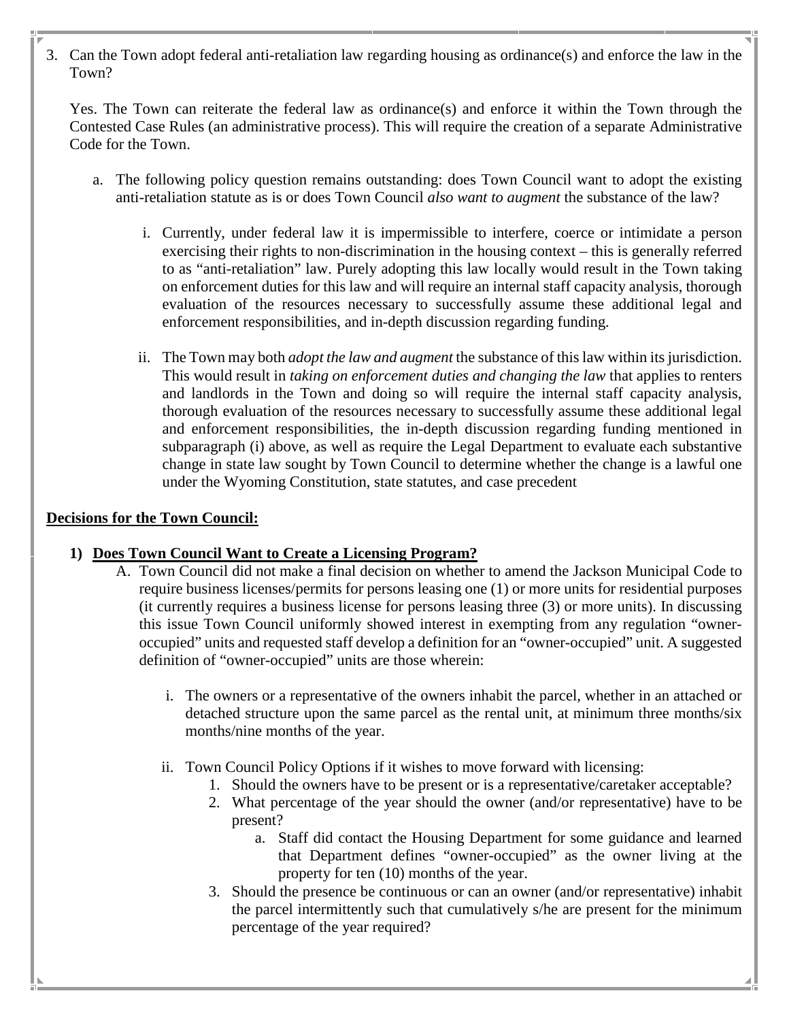3. Can the Town adopt federal anti-retaliation law regarding housing as ordinance(s) and enforce the law in the Town?

Yes. The Town can reiterate the federal law as ordinance(s) and enforce it within the Town through the Contested Case Rules (an administrative process). This will require the creation of a separate Administrative Code for the Town.

- a. The following policy question remains outstanding: does Town Council want to adopt the existing anti-retaliation statute as is or does Town Council *also want to augment* the substance of the law?
	- i. Currently, under federal law it is impermissible to interfere, coerce or intimidate a person exercising their rights to non-discrimination in the housing context – this is generally referred to as "anti-retaliation" law. Purely adopting this law locally would result in the Town taking on enforcement duties for this law and will require an internal staff capacity analysis, thorough evaluation of the resources necessary to successfully assume these additional legal and enforcement responsibilities, and in-depth discussion regarding funding.
	- ii. The Town may both *adopt the law and augment* the substance of this law within its jurisdiction. This would result in *taking on enforcement duties and changing the law* that applies to renters and landlords in the Town and doing so will require the internal staff capacity analysis, thorough evaluation of the resources necessary to successfully assume these additional legal and enforcement responsibilities, the in-depth discussion regarding funding mentioned in subparagraph (i) above, as well as require the Legal Department to evaluate each substantive change in state law sought by Town Council to determine whether the change is a lawful one under the Wyoming Constitution, state statutes, and case precedent

# **Decisions for the Town Council:**

# **1) Does Town Council Want to Create a Licensing Program?**

- A. Town Council did not make a final decision on whether to amend the Jackson Municipal Code to require business licenses/permits for persons leasing one (1) or more units for residential purposes (it currently requires a business license for persons leasing three (3) or more units). In discussing this issue Town Council uniformly showed interest in exempting from any regulation "owneroccupied" units and requested staff develop a definition for an "owner-occupied" unit. A suggested definition of "owner-occupied" units are those wherein:
	- i. The owners or a representative of the owners inhabit the parcel, whether in an attached or detached structure upon the same parcel as the rental unit, at minimum three months/six months/nine months of the year.
	- ii. Town Council Policy Options if it wishes to move forward with licensing:
		- 1. Should the owners have to be present or is a representative/caretaker acceptable?
		- 2. What percentage of the year should the owner (and/or representative) have to be present?
			- a. Staff did contact the Housing Department for some guidance and learned that Department defines "owner-occupied" as the owner living at the property for ten (10) months of the year.
		- 3. Should the presence be continuous or can an owner (and/or representative) inhabit the parcel intermittently such that cumulatively s/he are present for the minimum percentage of the year required?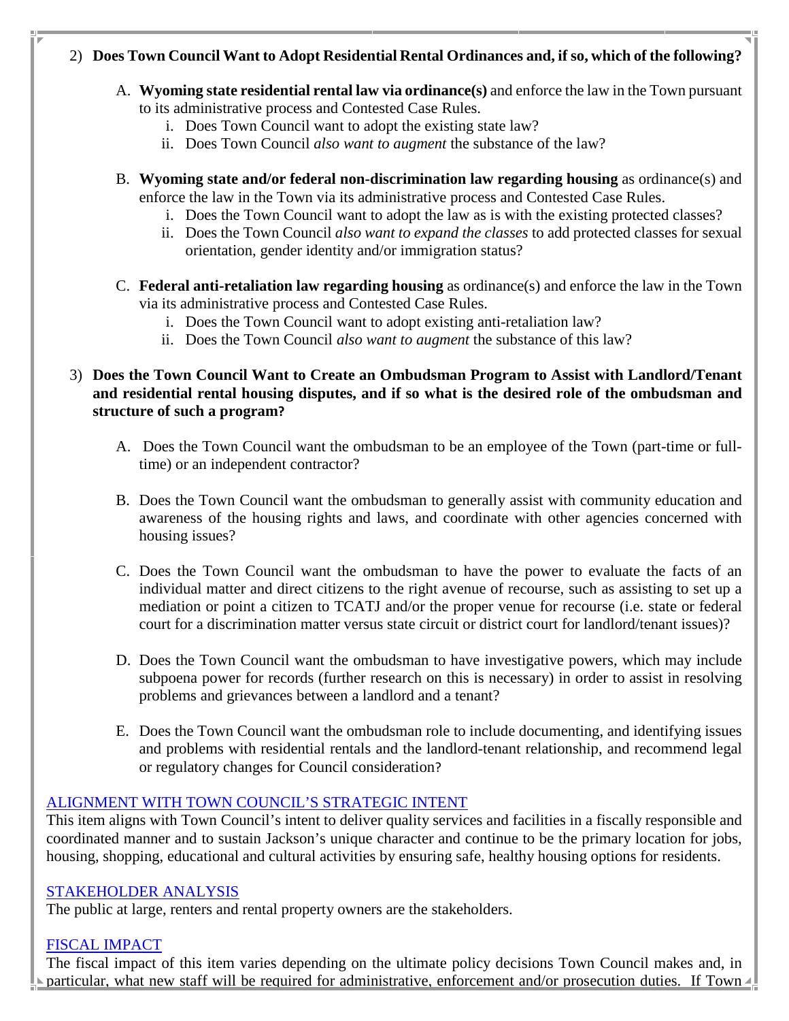# 2) **Does Town Council Want to Adopt Residential Rental Ordinances and, if so, which of the following?**

- A. **Wyoming state residential rental law via ordinance(s)** and enforce the law in the Town pursuant to its administrative process and Contested Case Rules.
	- i. Does Town Council want to adopt the existing state law?
	- ii. Does Town Council *also want to augment* the substance of the law?
- B. **Wyoming state and/or federal non-discrimination law regarding housing** as ordinance(s) and enforce the law in the Town via its administrative process and Contested Case Rules.
	- i. Does the Town Council want to adopt the law as is with the existing protected classes?
	- ii. Does the Town Council *also want to expand the classes* to add protected classes for sexual orientation, gender identity and/or immigration status?
- C. **Federal anti-retaliation law regarding housing** as ordinance(s) and enforce the law in the Town via its administrative process and Contested Case Rules.
	- i. Does the Town Council want to adopt existing anti-retaliation law?
	- ii. Does the Town Council *also want to augment* the substance of this law?

# 3) **Does the Town Council Want to Create an Ombudsman Program to Assist with Landlord/Tenant and residential rental housing disputes, and if so what is the desired role of the ombudsman and structure of such a program?**

- A. Does the Town Council want the ombudsman to be an employee of the Town (part-time or fulltime) or an independent contractor?
- B. Does the Town Council want the ombudsman to generally assist with community education and awareness of the housing rights and laws, and coordinate with other agencies concerned with housing issues?
- C. Does the Town Council want the ombudsman to have the power to evaluate the facts of an individual matter and direct citizens to the right avenue of recourse, such as assisting to set up a mediation or point a citizen to TCATJ and/or the proper venue for recourse (i.e. state or federal court for a discrimination matter versus state circuit or district court for landlord/tenant issues)?
- D. Does the Town Council want the ombudsman to have investigative powers, which may include subpoena power for records (further research on this is necessary) in order to assist in resolving problems and grievances between a landlord and a tenant?
- E. Does the Town Council want the ombudsman role to include documenting, and identifying issues and problems with residential rentals and the landlord-tenant relationship, and recommend legal or regulatory changes for Council consideration?

# ALIGNMENT WITH TOWN COUNCIL'S STRATEGIC INTENT

This item aligns with Town Council's intent to deliver quality services and facilities in a fiscally responsible and coordinated manner and to sustain Jackson's unique character and continue to be the primary location for jobs, housing, shopping, educational and cultural activities by ensuring safe, healthy housing options for residents.

#### STAKEHOLDER ANALYSIS

The public at large, renters and rental property owners are the stakeholders.

# FISCAL IMPACT

The fiscal impact of this item varies depending on the ultimate policy decisions Town Council makes and, in particular, what new staff will be required for administrative, enforcement and/or prosecution duties. If Town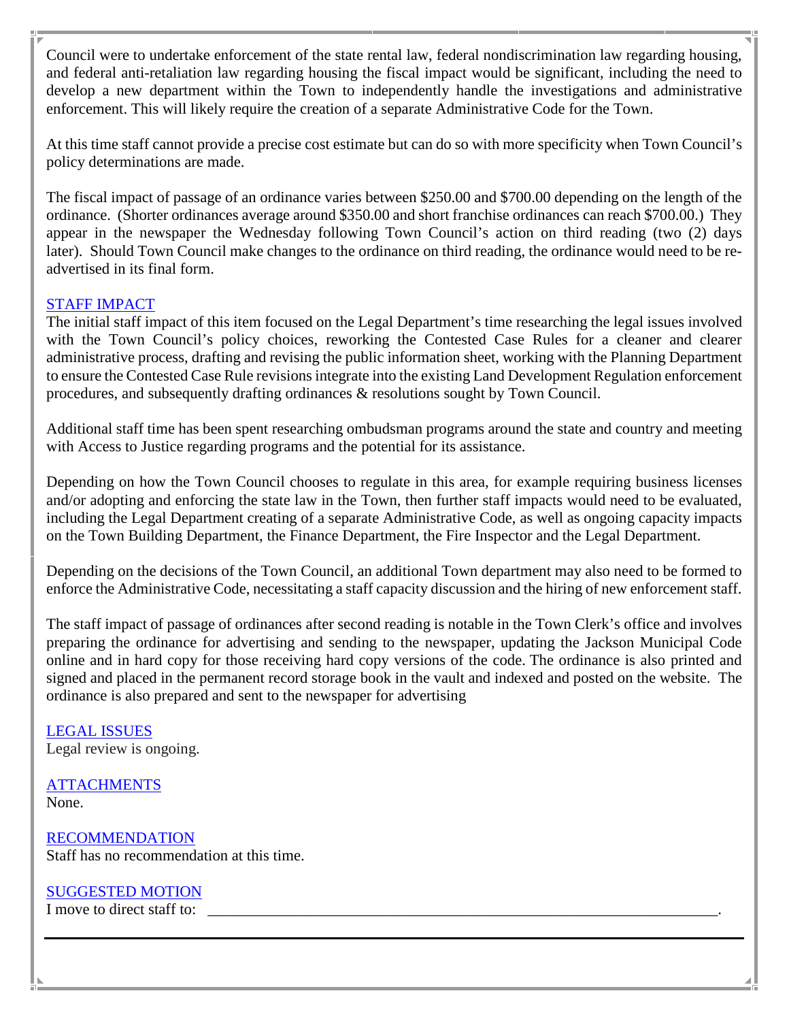Council were to undertake enforcement of the state rental law, federal nondiscrimination law regarding housing, and federal anti-retaliation law regarding housing the fiscal impact would be significant, including the need to develop a new department within the Town to independently handle the investigations and administrative enforcement. This will likely require the creation of a separate Administrative Code for the Town.

At this time staff cannot provide a precise cost estimate but can do so with more specificity when Town Council's policy determinations are made.

The fiscal impact of passage of an ordinance varies between \$250.00 and \$700.00 depending on the length of the ordinance. (Shorter ordinances average around \$350.00 and short franchise ordinances can reach \$700.00.) They appear in the newspaper the Wednesday following Town Council's action on third reading (two (2) days later). Should Town Council make changes to the ordinance on third reading, the ordinance would need to be readvertised in its final form.

# STAFF IMPACT

The initial staff impact of this item focused on the Legal Department's time researching the legal issues involved with the Town Council's policy choices, reworking the Contested Case Rules for a cleaner and clearer administrative process, drafting and revising the public information sheet, working with the Planning Department to ensure the Contested Case Rule revisions integrate into the existing Land Development Regulation enforcement procedures, and subsequently drafting ordinances & resolutions sought by Town Council.

Additional staff time has been spent researching ombudsman programs around the state and country and meeting with Access to Justice regarding programs and the potential for its assistance.

Depending on how the Town Council chooses to regulate in this area, for example requiring business licenses and/or adopting and enforcing the state law in the Town, then further staff impacts would need to be evaluated, including the Legal Department creating of a separate Administrative Code, as well as ongoing capacity impacts on the Town Building Department, the Finance Department, the Fire Inspector and the Legal Department.

Depending on the decisions of the Town Council, an additional Town department may also need to be formed to enforce the Administrative Code, necessitating a staff capacity discussion and the hiring of new enforcement staff.

The staff impact of passage of ordinances after second reading is notable in the Town Clerk's office and involves preparing the ordinance for advertising and sending to the newspaper, updating the Jackson Municipal Code online and in hard copy for those receiving hard copy versions of the code. The ordinance is also printed and signed and placed in the permanent record storage book in the vault and indexed and posted on the website. The ordinance is also prepared and sent to the newspaper for advertising

LEGAL ISSUES Legal review is ongoing.

#### **ATTACHMENTS** None.

RECOMMENDATION Staff has no recommendation at this time.

# SUGGESTED MOTION

I move to direct staff to: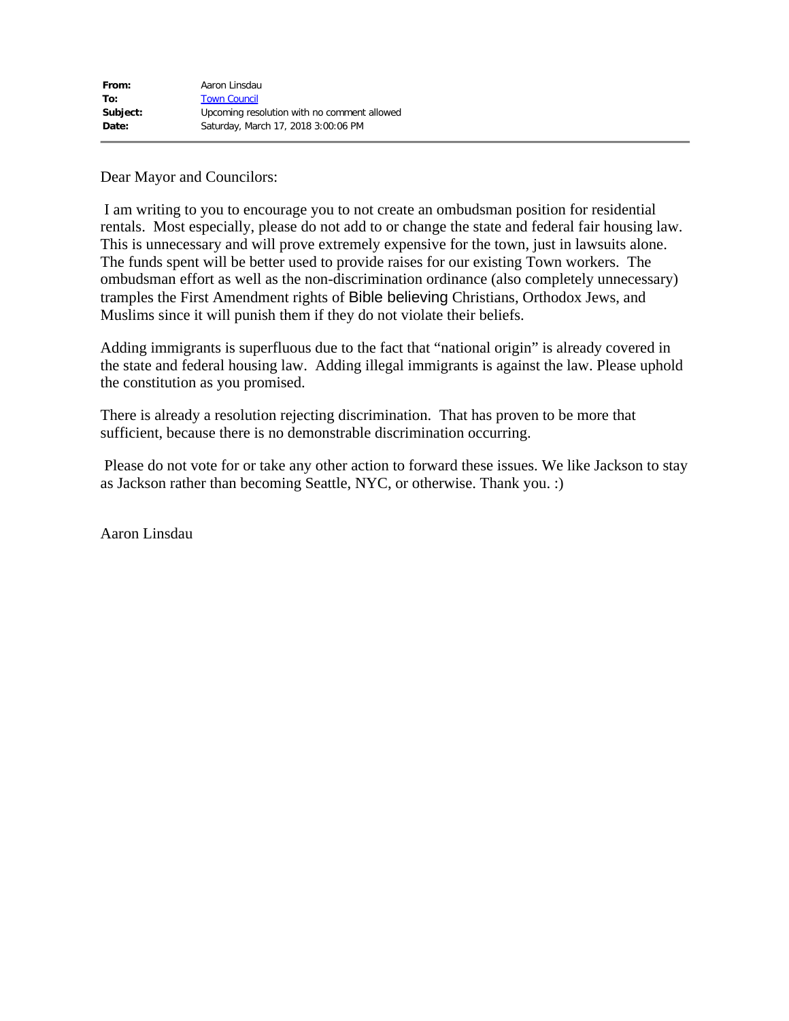Dear Mayor and Councilors:

I am writing to you to encourage you to not create an ombudsman position for residential rentals. Most especially, please do not add to or change the state and federal fair housing law. This is unnecessary and will prove extremely expensive for the town, just in lawsuits alone. The funds spent will be better used to provide raises for our existing Town workers. The ombudsman effort as well as the non-discrimination ordinance (also completely unnecessary) tramples the First Amendment rights of Bible believing Christians, Orthodox Jews, and Muslims since it will punish them if they do not violate their beliefs.

Adding immigrants is superfluous due to the fact that "national origin" is already covered in the state and federal housing law. Adding illegal immigrants is against the law. Please uphold the constitution as you promised.

There is already a resolution rejecting discrimination. That has proven to be more that sufficient, because there is no demonstrable discrimination occurring.

Please do not vote for or take any other action to forward these issues. We like Jackson to stay as Jackson rather than becoming Seattle, NYC, or otherwise. Thank you. :)

Aaron Linsdau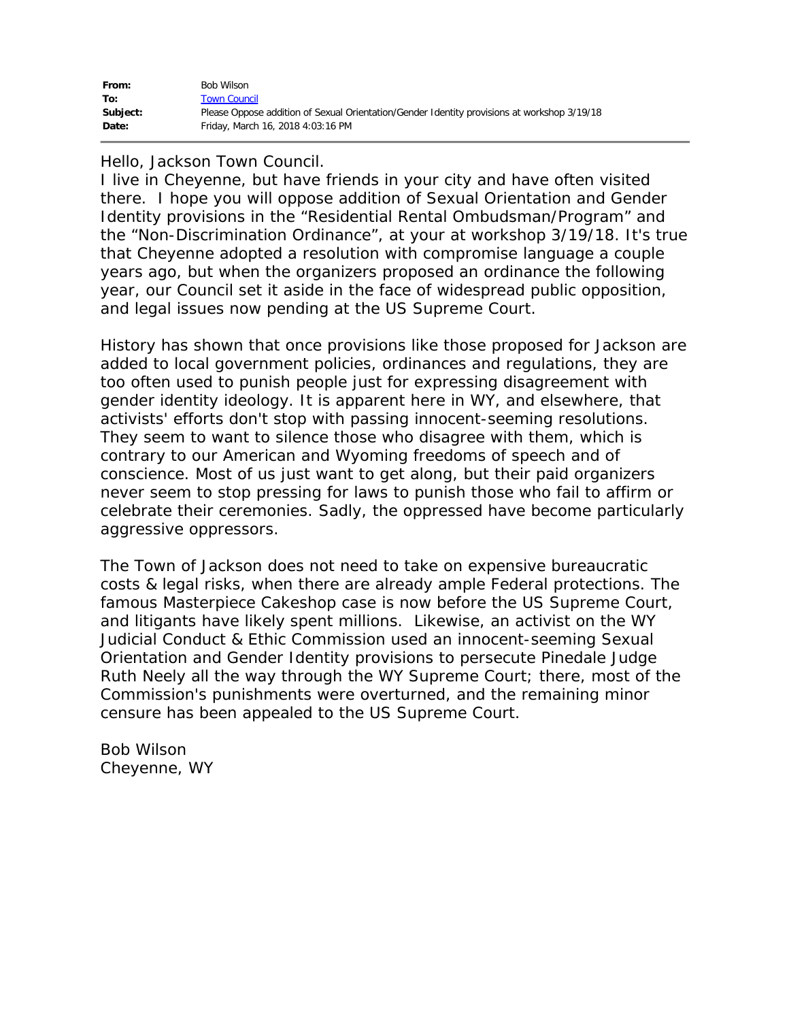| From:    | Bob Wilson                                                                                  |
|----------|---------------------------------------------------------------------------------------------|
| To:      | <b>Town Council</b>                                                                         |
| Subject: | Please Oppose addition of Sexual Orientation/Gender Identity provisions at workshop 3/19/18 |
| Date:    | Friday, March 16, 2018 4:03:16 PM                                                           |

#### Hello, Jackson Town Council.

I live in Cheyenne, but have friends in your city and have often visited there. I hope you will oppose addition of Sexual Orientation and Gender Identity provisions in the "Residential Rental Ombudsman/Program" and the "Non-Discrimination Ordinance", at your at workshop 3/19/18. It's true that Cheyenne adopted a resolution with compromise language a couple years ago, but when the organizers proposed an ordinance the following year, our Council set it aside in the face of widespread public opposition, and legal issues now pending at the US Supreme Court.

History has shown that once provisions like those proposed for Jackson are added to local government policies, ordinances and regulations, they are too often used to punish people just for expressing disagreement with gender identity ideology. It is apparent here in WY, and elsewhere, that activists' efforts don't stop with passing innocent-seeming resolutions. They seem to want to silence those who disagree with them, which is contrary to our American and Wyoming freedoms of speech and of conscience. Most of us just want to get along, but their paid organizers never seem to stop pressing for laws to punish those who fail to affirm or celebrate their ceremonies. Sadly, the oppressed have become particularly aggressive oppressors.

The Town of Jackson does not need to take on expensive bureaucratic costs & legal risks, when there are already ample Federal protections. The famous Masterpiece Cakeshop case is now before the US Supreme Court, and litigants have likely spent millions. Likewise, an activist on the WY Judicial Conduct & Ethic Commission used an innocent-seeming Sexual Orientation and Gender Identity provisions to persecute Pinedale Judge Ruth Neely all the way through the WY Supreme Court; there, most of the Commission's punishments were overturned, and the remaining minor censure has been appealed to the US Supreme Court.

Bob Wilson Cheyenne, WY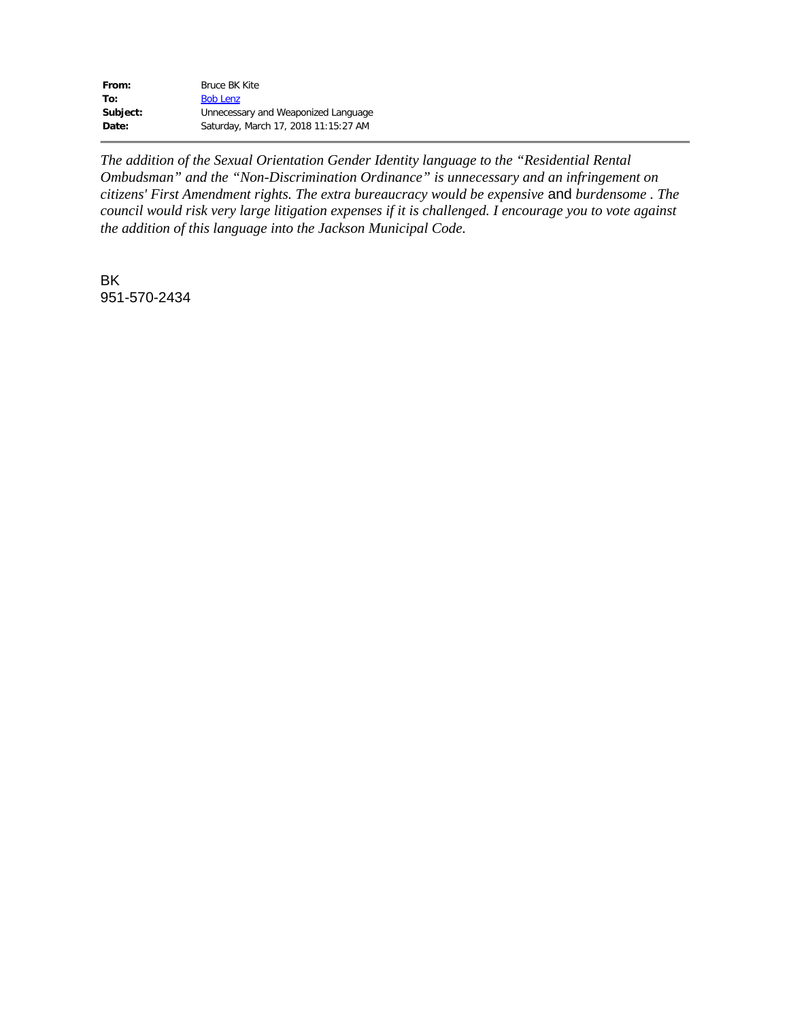| From:    | Bruce BK Kite                        |
|----------|--------------------------------------|
| To:      | <b>Bob Lenz</b>                      |
| Subject: | Unnecessary and Weaponized Language  |
| Date:    | Saturday, March 17, 2018 11:15:27 AM |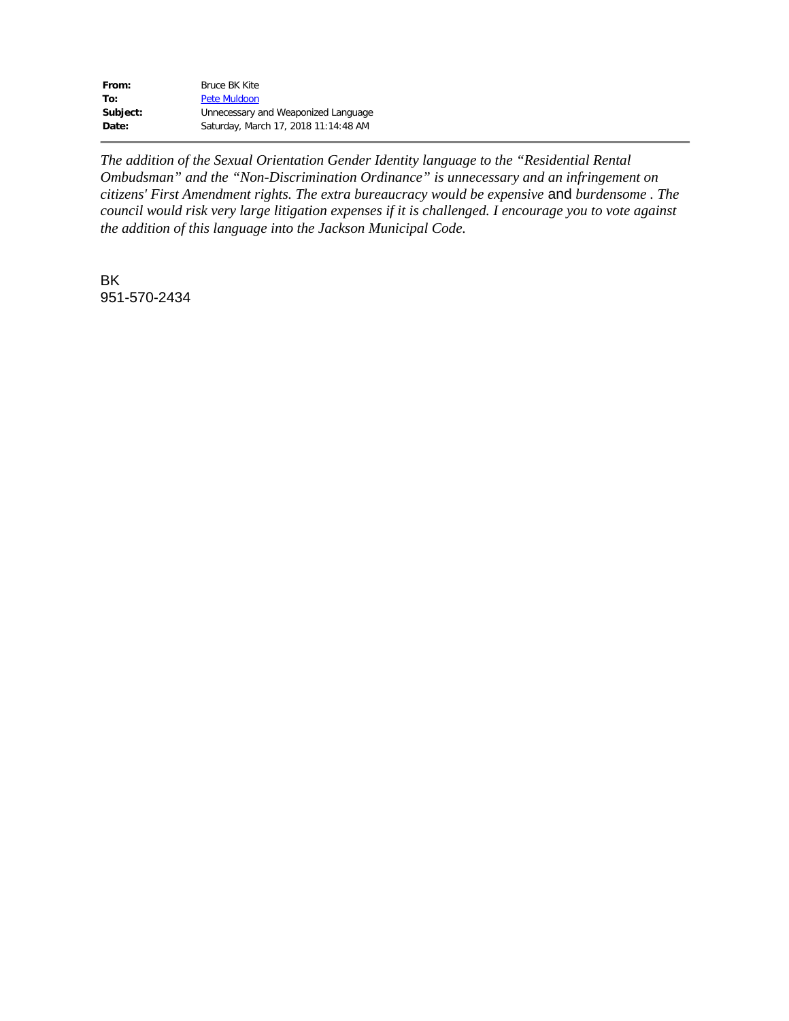| From:    | Bruce BK Kite                        |
|----------|--------------------------------------|
| To:      | Pete Muldoon                         |
| Subject: | Unnecessary and Weaponized Language  |
| Date:    | Saturday, March 17, 2018 11:14:48 AM |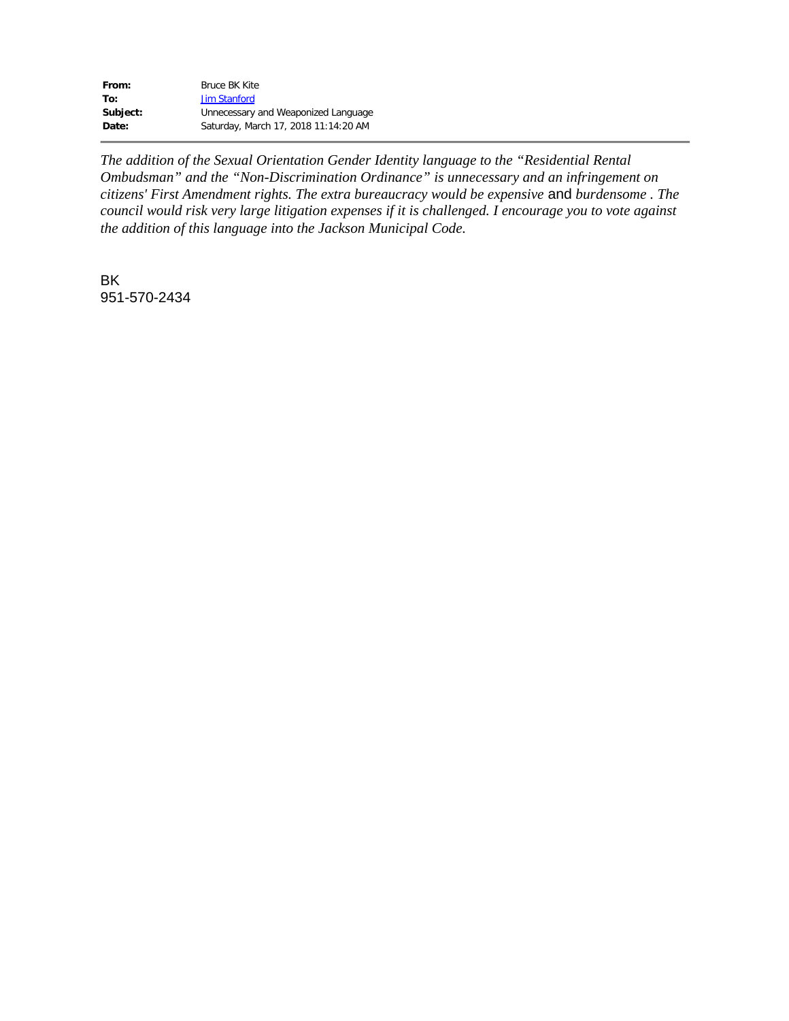| From:    | Bruce BK Kite                        |
|----------|--------------------------------------|
| To:      | <b>Jim Stanford</b>                  |
| Subject: | Unnecessary and Weaponized Language  |
| Date:    | Saturday, March 17, 2018 11:14:20 AM |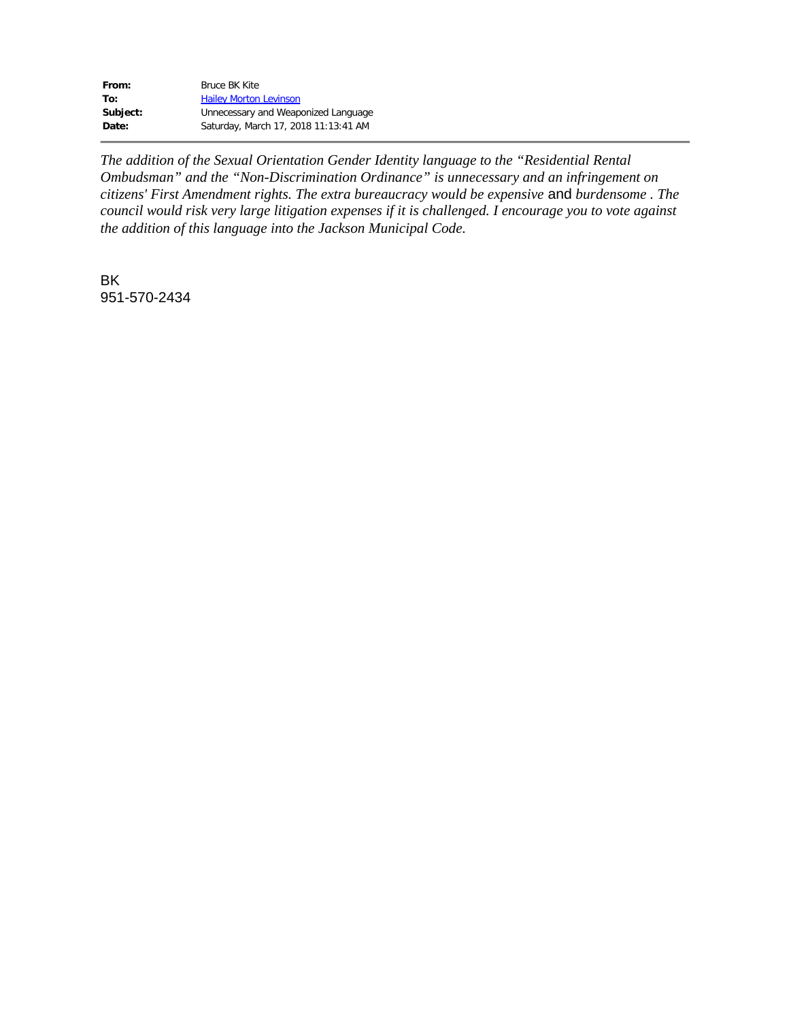| From:    | Bruce BK Kite                        |
|----------|--------------------------------------|
| To:      | <b>Hailey Morton Levinson</b>        |
| Subject: | Unnecessary and Weaponized Language  |
| Date:    | Saturday, March 17, 2018 11:13:41 AM |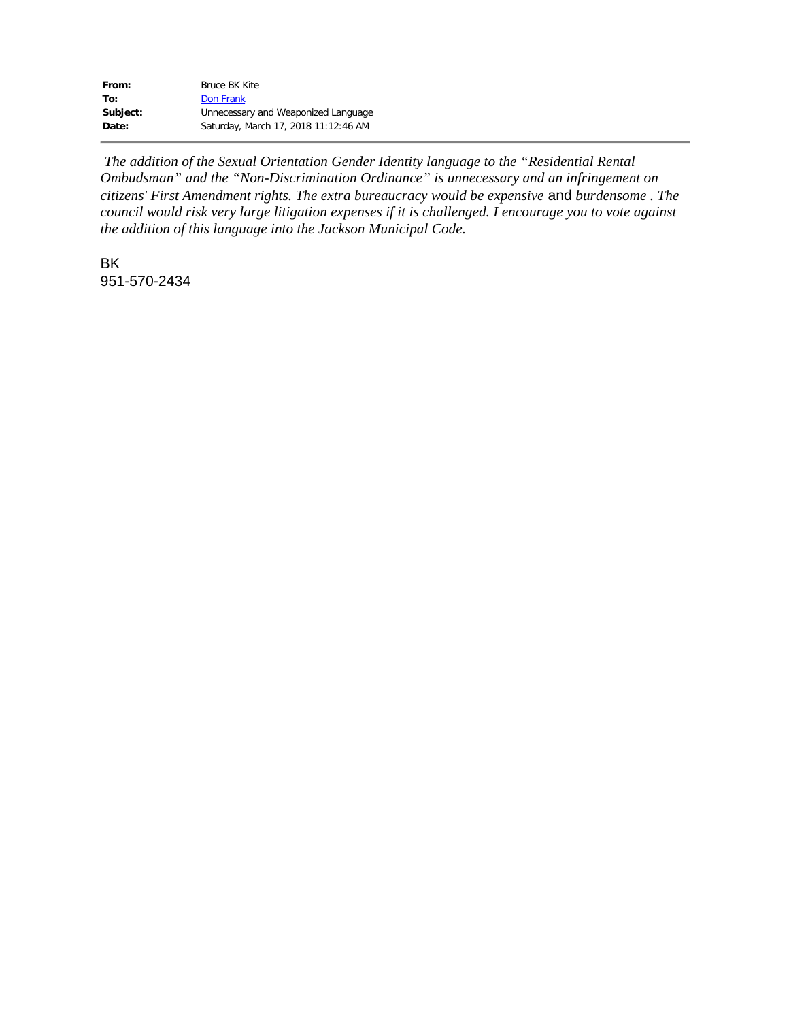| From:    | Bruce BK Kite                        |
|----------|--------------------------------------|
| To:      | Don Frank                            |
| Subject: | Unnecessary and Weaponized Language  |
| Date:    | Saturday, March 17, 2018 11:12:46 AM |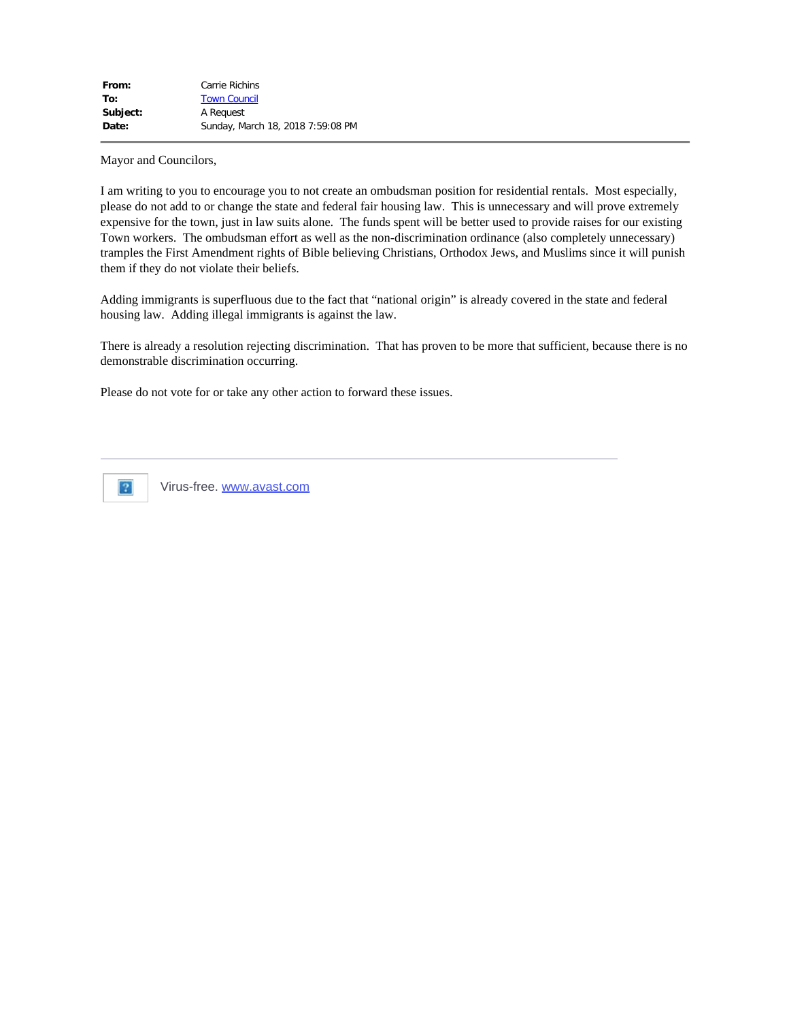Mayor and Councilors,

I am writing to you to encourage you to not create an ombudsman position for residential rentals. Most especially, please do not add to or change the state and federal fair housing law. This is unnecessary and will prove extremely expensive for the town, just in law suits alone. The funds spent will be better used to provide raises for our existing Town workers. The ombudsman effort as well as the non-discrimination ordinance (also completely unnecessary) tramples the First Amendment rights of Bible believing Christians, Orthodox Jews, and Muslims since it will punish them if they do not violate their beliefs.

Adding immigrants is superfluous due to the fact that "national origin" is already covered in the state and federal housing law. Adding illegal immigrants is against the law.

There is already a resolution rejecting discrimination. That has proven to be more that sufficient, because there is no demonstrable discrimination occurring.

Please do not vote for or take any other action to forward these issues.



Virus-free. [www.avast.com](https://www.avast.com/sig-email?utm_medium=email&utm_source=link&utm_campaign=sig-email&utm_content=emailclient&utm_term=link)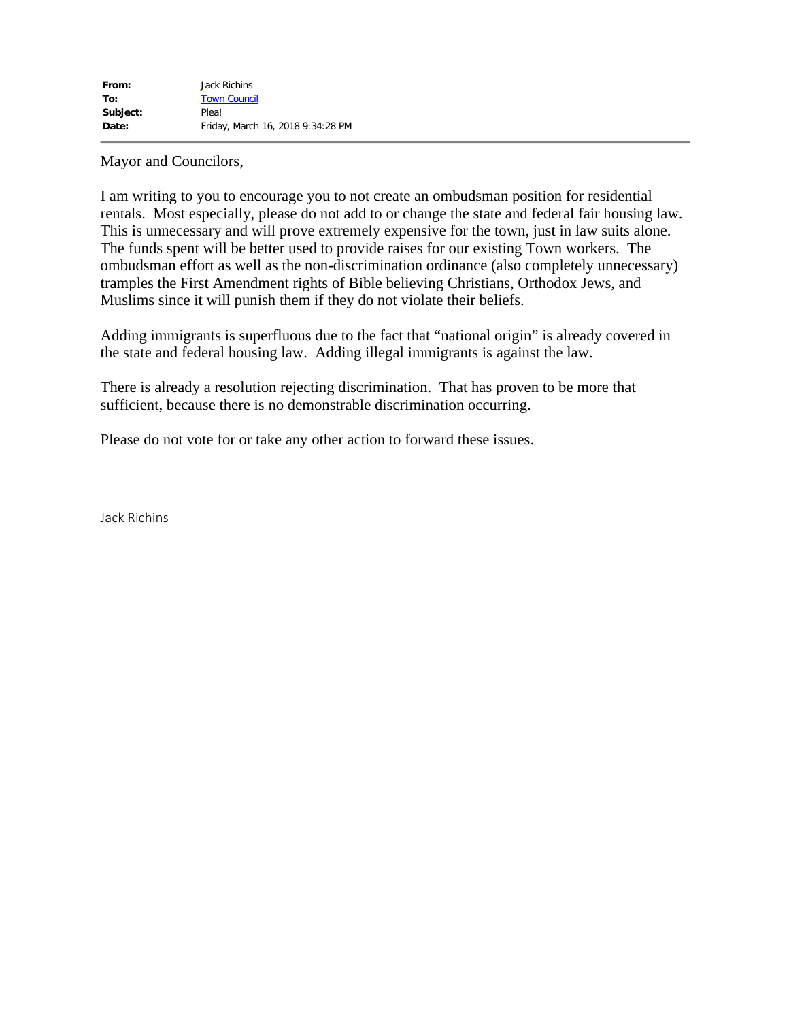Mayor and Councilors,

I am writing to you to encourage you to not create an ombudsman position for residential rentals. Most especially, please do not add to or change the state and federal fair housing law. This is unnecessary and will prove extremely expensive for the town, just in law suits alone. The funds spent will be better used to provide raises for our existing Town workers. The ombudsman effort as well as the non-discrimination ordinance (also completely unnecessary) tramples the First Amendment rights of Bible believing Christians, Orthodox Jews, and Muslims since it will punish them if they do not violate their beliefs.

Adding immigrants is superfluous due to the fact that "national origin" is already covered in the state and federal housing law. Adding illegal immigrants is against the law.

There is already a resolution rejecting discrimination. That has proven to be more that sufficient, because there is no demonstrable discrimination occurring.

Please do not vote for or take any other action to forward these issues.

Jack Richins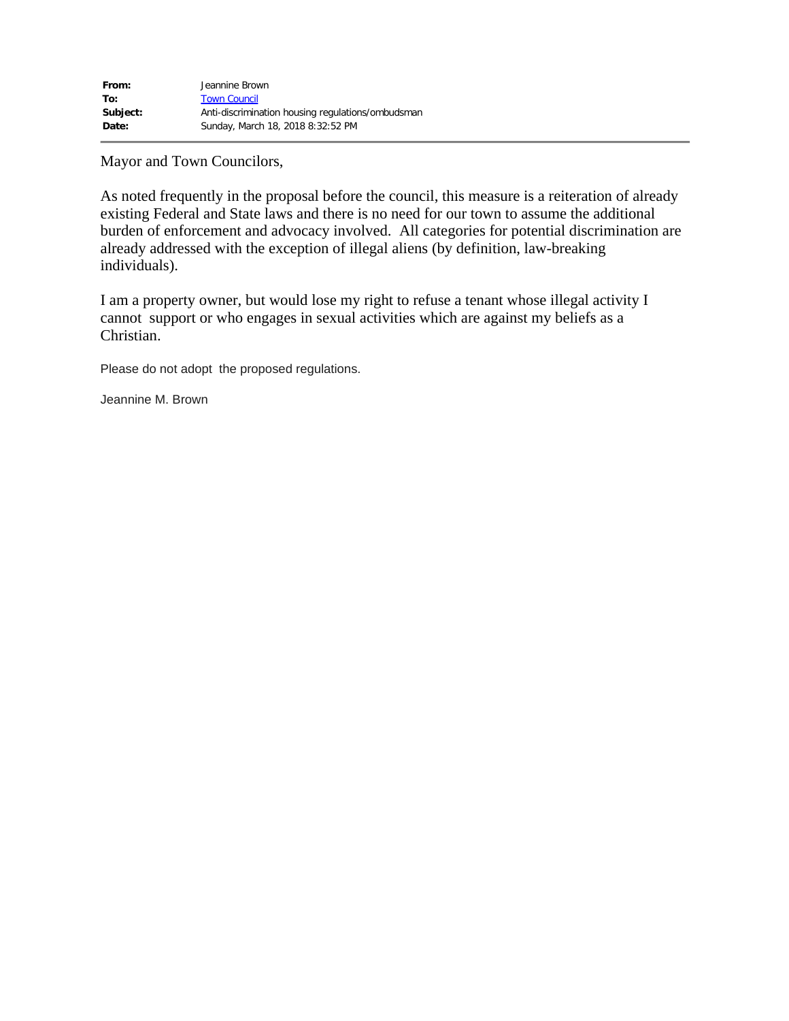Mayor and Town Councilors,

As noted frequently in the proposal before the council, this measure is a reiteration of already existing Federal and State laws and there is no need for our town to assume the additional burden of enforcement and advocacy involved. All categories for potential discrimination are already addressed with the exception of illegal aliens (by definition, law-breaking individuals).

I am a property owner, but would lose my right to refuse a tenant whose illegal activity I cannot support or who engages in sexual activities which are against my beliefs as a Christian.

Please do not adopt the proposed regulations.

Jeannine M. Brown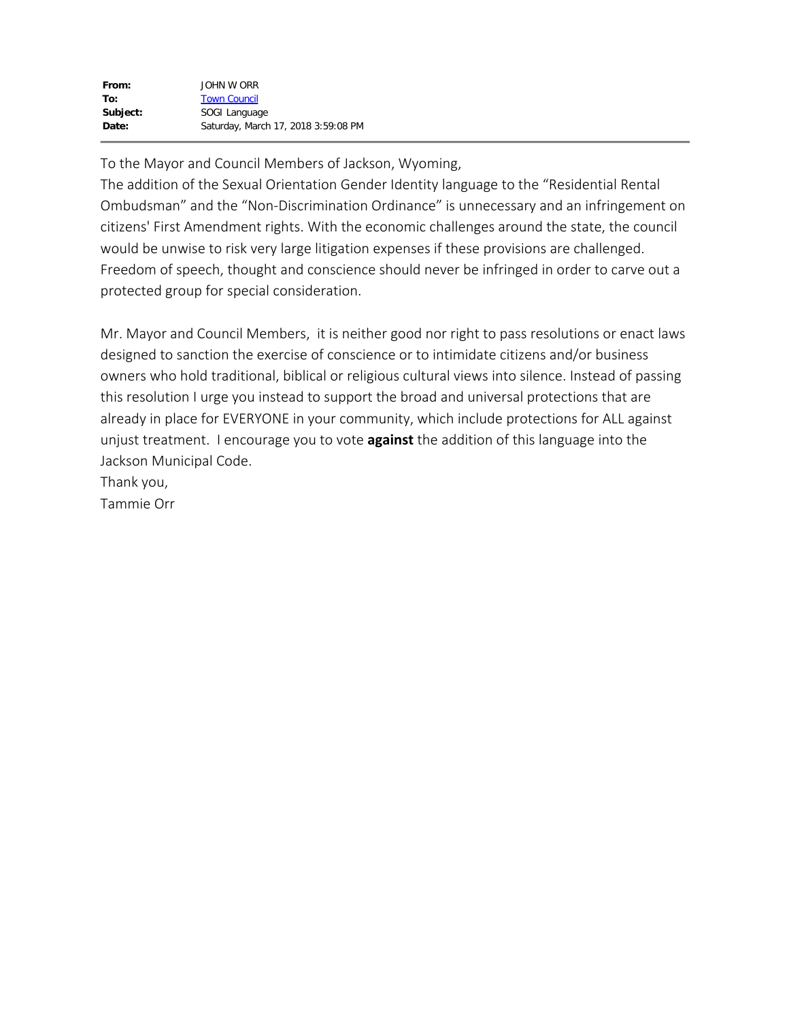To the Mayor and Council Members of Jackson, Wyoming,

The addition of the Sexual Orientation Gender Identity language to the "Residential Rental Ombudsman" and the "Non-Discrimination Ordinance" is unnecessary and an infringement on citizens' First Amendment rights. With the economic challenges around the state, the council would be unwise to risk very large litigation expenses if these provisions are challenged. Freedom of speech, thought and conscience should never be infringed in order to carve out a protected group for special consideration.

Mr. Mayor and Council Members, it is neither good nor right to pass resolutions or enact laws designed to sanction the exercise of conscience or to intimidate citizens and/or business owners who hold traditional, biblical or religious cultural views into silence. Instead of passing this resolution I urge you instead to support the broad and universal protections that are already in place for EVERYONE in your community, which include protections for ALL against unjust treatment. I encourage you to vote **against** the addition of this language into the Jackson Municipal Code.

Thank you,

Tammie Orr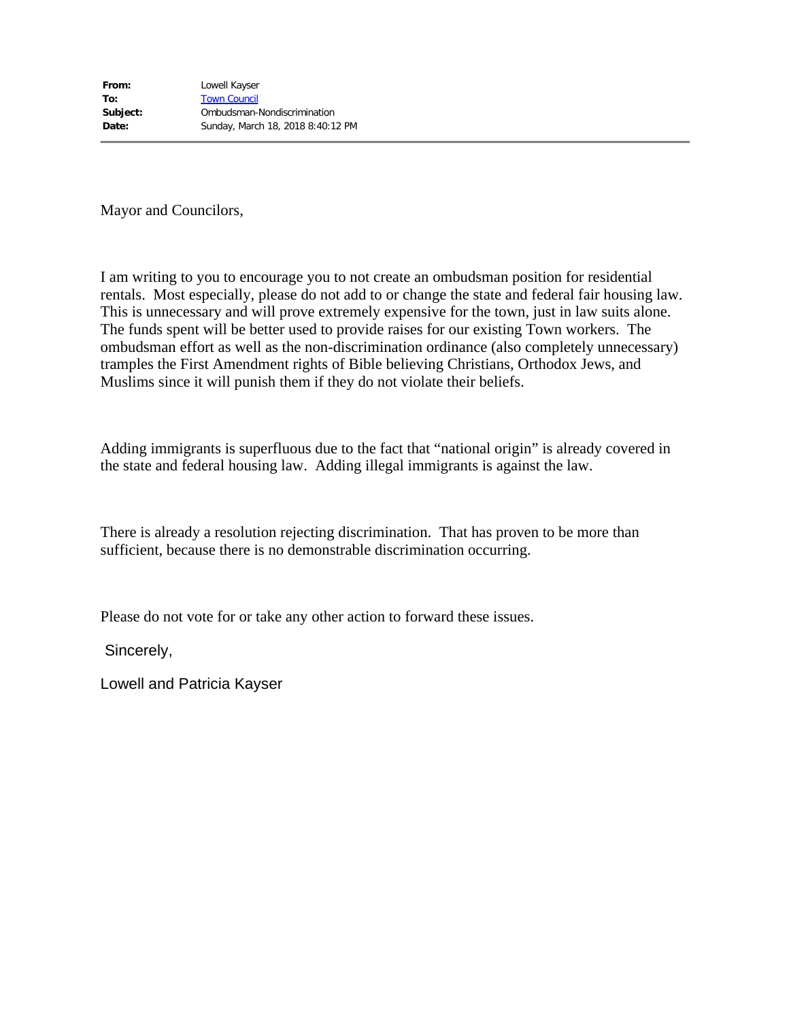Mayor and Councilors,

I am writing to you to encourage you to not create an ombudsman position for residential rentals. Most especially, please do not add to or change the state and federal fair housing law. This is unnecessary and will prove extremely expensive for the town, just in law suits alone. The funds spent will be better used to provide raises for our existing Town workers. The ombudsman effort as well as the non-discrimination ordinance (also completely unnecessary) tramples the First Amendment rights of Bible believing Christians, Orthodox Jews, and Muslims since it will punish them if they do not violate their beliefs.

Adding immigrants is superfluous due to the fact that "national origin" is already covered in the state and federal housing law. Adding illegal immigrants is against the law.

There is already a resolution rejecting discrimination. That has proven to be more than sufficient, because there is no demonstrable discrimination occurring.

Please do not vote for or take any other action to forward these issues.

Sincerely,

Lowell and Patricia Kayser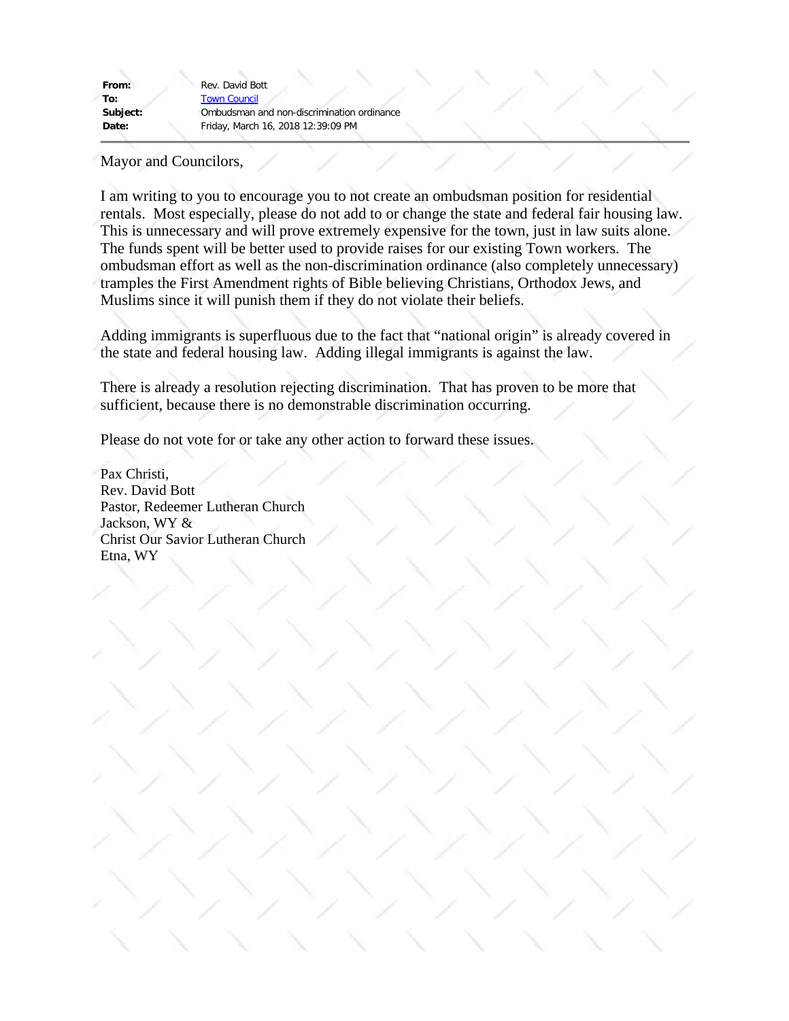From: Rev. David Bott **To:** [Town Council](mailto:electedofficials@jacksonwy.gov) **Subject:** Ombudsman and non-discrimination ordinance **Date:** Friday, March 16, 2018 12:39:09 PM

Mayor and Councilors,

I am writing to you to encourage you to not create an ombudsman position for residential rentals. Most especially, please do not add to or change the state and federal fair housing law. This is unnecessary and will prove extremely expensive for the town, just in law suits alone. The funds spent will be better used to provide raises for our existing Town workers. The ombudsman effort as well as the non-discrimination ordinance (also completely unnecessary) tramples the First Amendment rights of Bible believing Christians, Orthodox Jews, and Muslims since it will punish them if they do not violate their beliefs.

Adding immigrants is superfluous due to the fact that "national origin" is already covered in the state and federal housing law. Adding illegal immigrants is against the law.

There is already a resolution rejecting discrimination. That has proven to be more that sufficient, because there is no demonstrable discrimination occurring.

Please do not vote for or take any other action to forward these issues.

Pax Christi, Rev. David Bott Pastor, Redeemer Lutheran Church Jackson, WY & Christ Our Savior Lutheran Church Etna, WY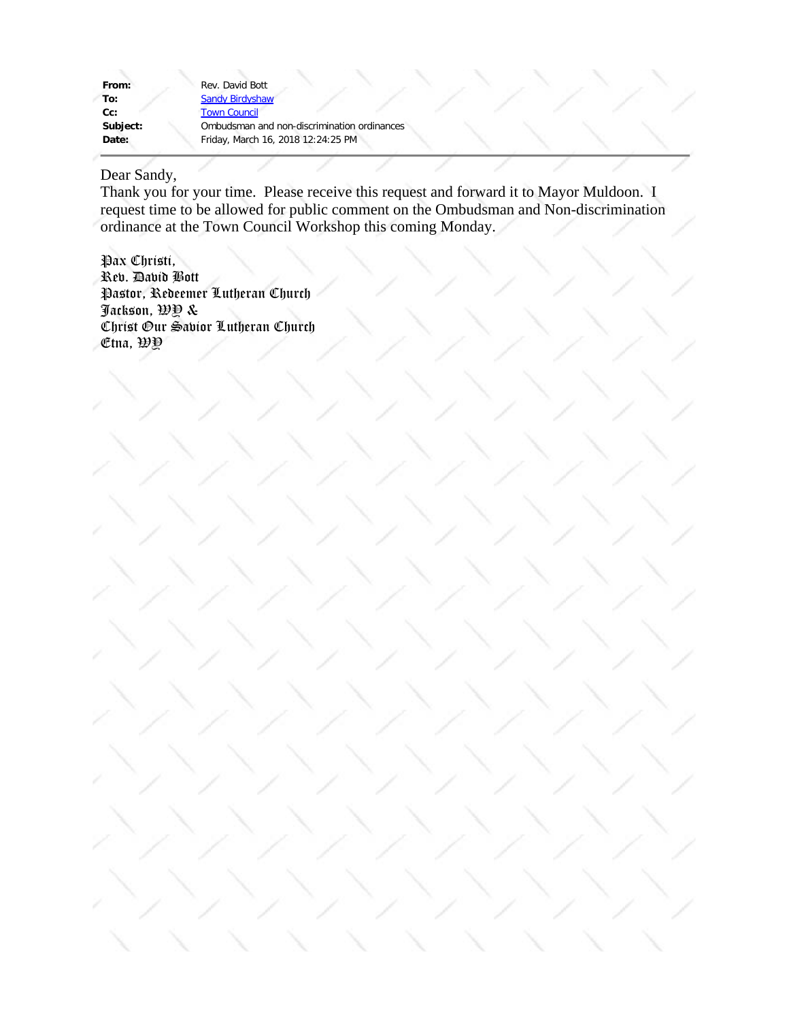| From:    | Rev. David Bott        |
|----------|------------------------|
| To:      | <b>Sandy Birdyshaw</b> |
| cc:      | <b>Town Council</b>    |
| Subject: | Ombudsman and          |
| Date:    | Friday, March 16,      |
|          |                        |

sman and non-discrimination ordinances **Date:** Friday, March 16, 2018 12:24:25 PM

# Dear Sandy,

Thank you for your time. Please receive this request and forward it to Mayor Muldoon. I request time to be allowed for public comment on the Ombudsman and Non-discrimination ordinance at the Town Council Workshop this coming Monday.

Pax Christi, Rev. David Bott Pastor, Redeemer Lutheran Church Jackson, WY & Christ Our Savior Lutheran Church Etna, WY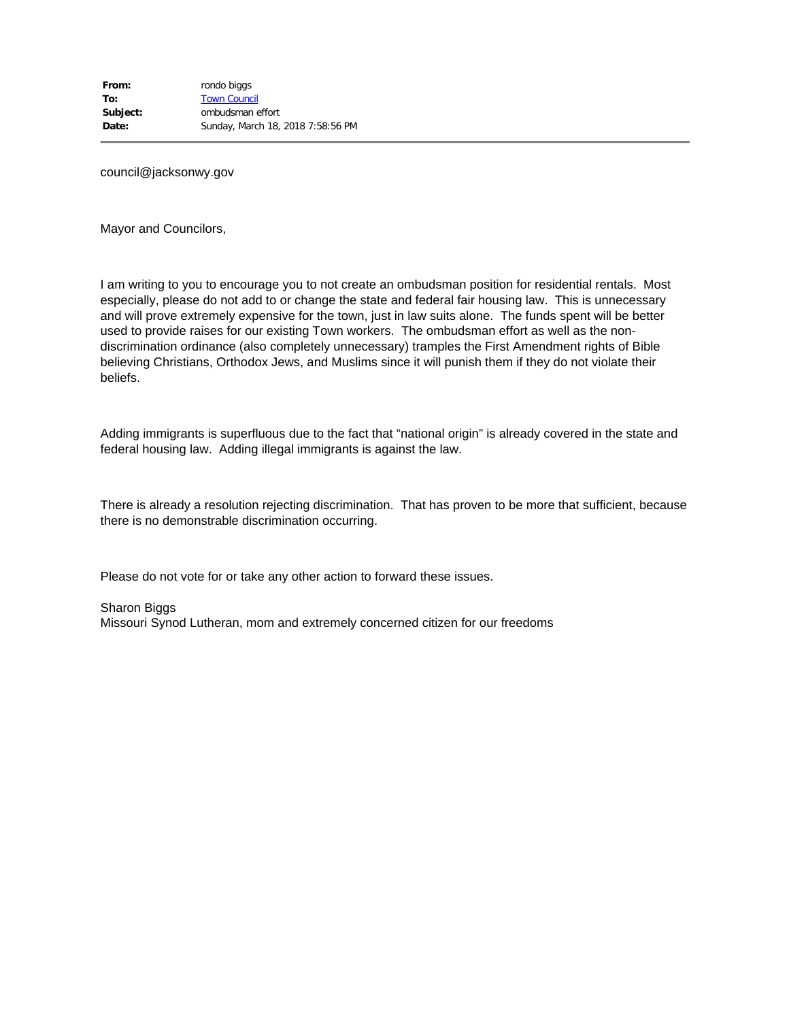council@jacksonwy.gov

Mayor and Councilors,

I am writing to you to encourage you to not create an ombudsman position for residential rentals. Most especially, please do not add to or change the state and federal fair housing law. This is unnecessary and will prove extremely expensive for the town, just in law suits alone. The funds spent will be better used to provide raises for our existing Town workers. The ombudsman effort as well as the nondiscrimination ordinance (also completely unnecessary) tramples the First Amendment rights of Bible believing Christians, Orthodox Jews, and Muslims since it will punish them if they do not violate their beliefs.

Adding immigrants is superfluous due to the fact that "national origin" is already covered in the state and federal housing law. Adding illegal immigrants is against the law.

There is already a resolution rejecting discrimination. That has proven to be more that sufficient, because there is no demonstrable discrimination occurring.

Please do not vote for or take any other action to forward these issues.

Sharon Biggs

Missouri Synod Lutheran, mom and extremely concerned citizen for our freedoms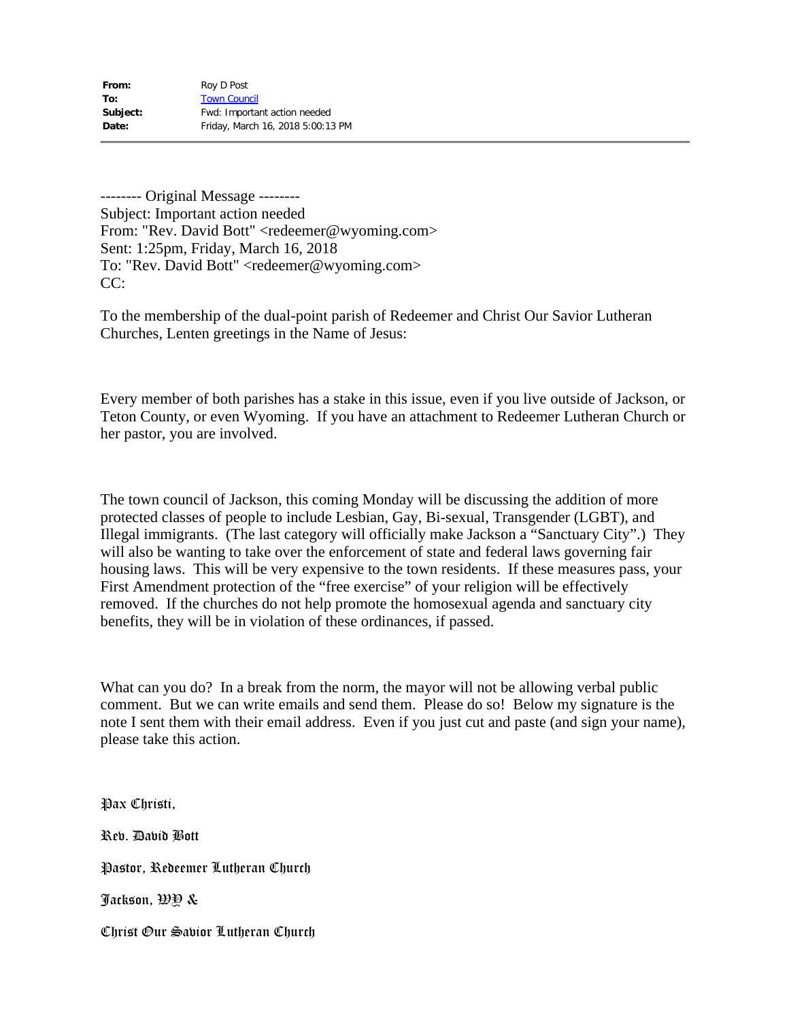-------- Original Message -------- Subject: Important action needed From: "Rev. David Bott" <redeemer@wyoming.com> Sent: 1:25pm, Friday, March 16, 2018 To: "Rev. David Bott" <redeemer@wyoming.com> CC:

To the membership of the dual-point parish of Redeemer and Christ Our Savior Lutheran Churches, Lenten greetings in the Name of Jesus:

Every member of both parishes has a stake in this issue, even if you live outside of Jackson, or Teton County, or even Wyoming. If you have an attachment to Redeemer Lutheran Church or her pastor, you are involved.

The town council of Jackson, this coming Monday will be discussing the addition of more protected classes of people to include Lesbian, Gay, Bi-sexual, Transgender (LGBT), and Illegal immigrants. (The last category will officially make Jackson a "Sanctuary City".) They will also be wanting to take over the enforcement of state and federal laws governing fair housing laws. This will be very expensive to the town residents. If these measures pass, your First Amendment protection of the "free exercise" of your religion will be effectively removed. If the churches do not help promote the homosexual agenda and sanctuary city benefits, they will be in violation of these ordinances, if passed.

What can you do? In a break from the norm, the mayor will not be allowing verbal public comment. But we can write emails and send them. Please do so! Below my signature is the note I sent them with their email address. Even if you just cut and paste (and sign your name), please take this action.

Pax Christi, Rev. David Bott Pastor, Redeemer Lutheran Church Jackson, WY & Christ Our Savior Lutheran Church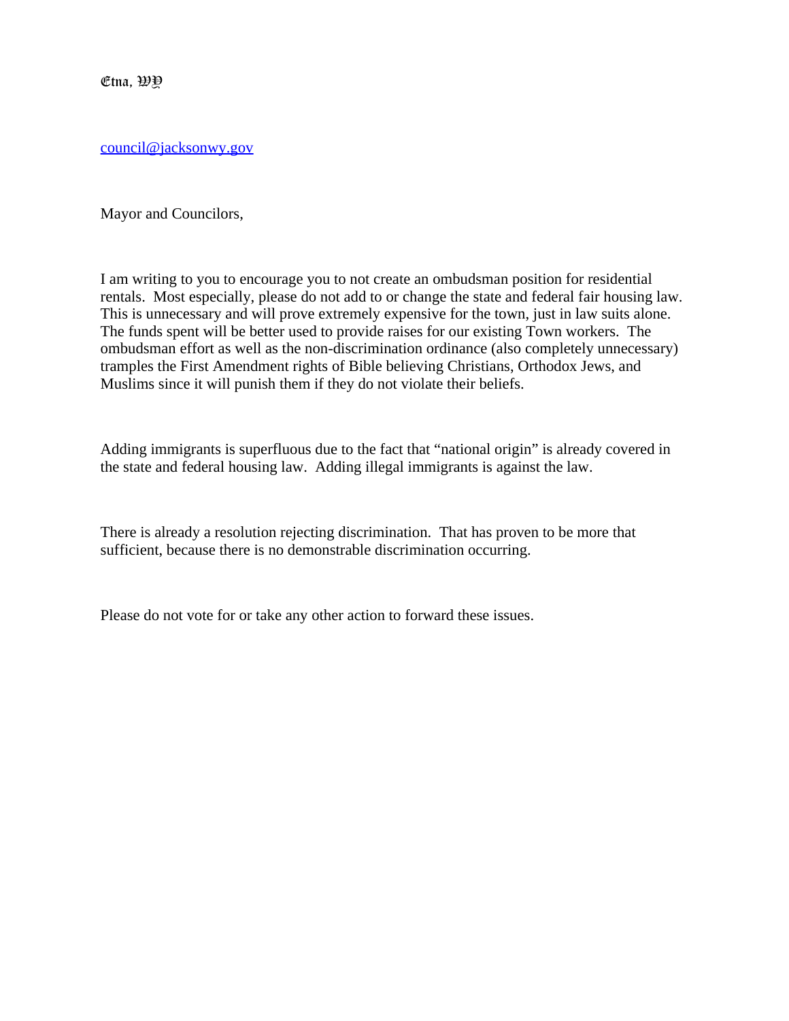$\mathfrak{E}$ tna,  $\mathfrak{B} \mathfrak{Y}$ 

[council@jacksonwy.gov](file:////c/council@jacksonwy.gov)

Mayor and Councilors,

I am writing to you to encourage you to not create an ombudsman position for residential rentals. Most especially, please do not add to or change the state and federal fair housing law. This is unnecessary and will prove extremely expensive for the town, just in law suits alone. The funds spent will be better used to provide raises for our existing Town workers. The ombudsman effort as well as the non-discrimination ordinance (also completely unnecessary) tramples the First Amendment rights of Bible believing Christians, Orthodox Jews, and Muslims since it will punish them if they do not violate their beliefs.

Adding immigrants is superfluous due to the fact that "national origin" is already covered in the state and federal housing law. Adding illegal immigrants is against the law.

There is already a resolution rejecting discrimination. That has proven to be more that sufficient, because there is no demonstrable discrimination occurring.

Please do not vote for or take any other action to forward these issues.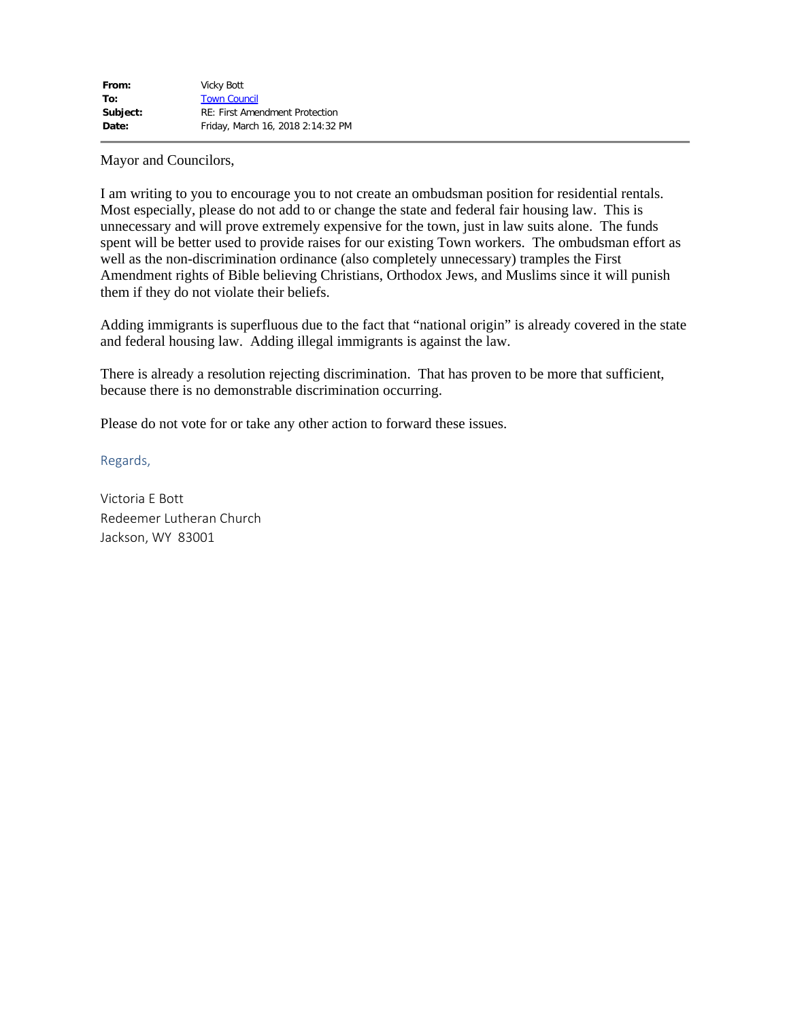Mayor and Councilors,

I am writing to you to encourage you to not create an ombudsman position for residential rentals. Most especially, please do not add to or change the state and federal fair housing law. This is unnecessary and will prove extremely expensive for the town, just in law suits alone. The funds spent will be better used to provide raises for our existing Town workers. The ombudsman effort as well as the non-discrimination ordinance (also completely unnecessary) tramples the First Amendment rights of Bible believing Christians, Orthodox Jews, and Muslims since it will punish them if they do not violate their beliefs.

Adding immigrants is superfluous due to the fact that "national origin" is already covered in the state and federal housing law. Adding illegal immigrants is against the law.

There is already a resolution rejecting discrimination. That has proven to be more that sufficient, because there is no demonstrable discrimination occurring.

Please do not vote for or take any other action to forward these issues.

Regards,

Victoria E Bott Redeemer Lutheran Church Jackson, WY 83001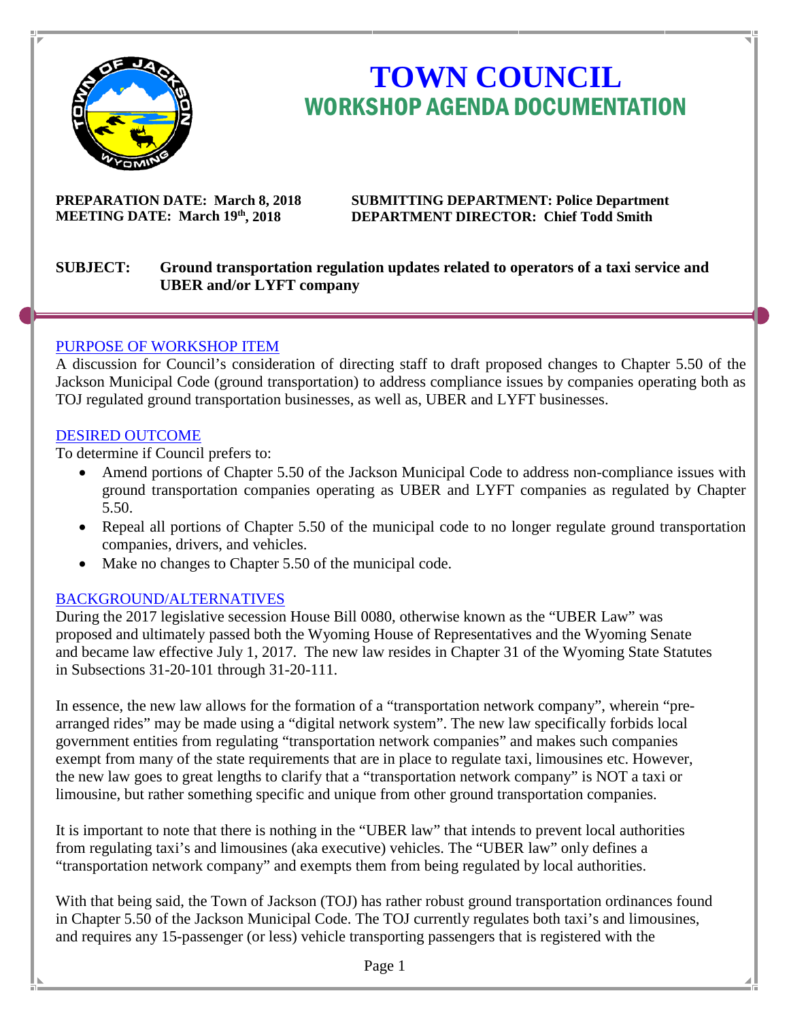

# **TOWN COUNCIL** WORKSHOP AGENDA DOCUMENTATION

**PREPARATION DATE: March 8, 2018 SUBMITTING DEPARTMENT: Police Department MEETING DATE: March 19th, 2018 DEPARTMENT DIRECTOR: Chief Todd Smith** 

# **SUBJECT: Ground transportation regulation updates related to operators of a taxi service and UBER and/or LYFT company**

# PURPOSE OF WORKSHOP ITEM

A discussion for Council's consideration of directing staff to draft proposed changes to Chapter 5.50 of the Jackson Municipal Code (ground transportation) to address compliance issues by companies operating both as TOJ regulated ground transportation businesses, as well as, UBER and LYFT businesses.

# DESIRED OUTCOME

To determine if Council prefers to:

- Amend portions of Chapter 5.50 of the Jackson Municipal Code to address non-compliance issues with ground transportation companies operating as UBER and LYFT companies as regulated by Chapter 5.50.
- Repeal all portions of Chapter 5.50 of the municipal code to no longer regulate ground transportation companies, drivers, and vehicles.
- Make no changes to Chapter 5.50 of the municipal code.

# BACKGROUND/ALTERNATIVES

During the 2017 legislative secession House Bill 0080, otherwise known as the "UBER Law" was proposed and ultimately passed both the Wyoming House of Representatives and the Wyoming Senate and became law effective July 1, 2017. The new law resides in Chapter 31 of the Wyoming State Statutes in Subsections 31-20-101 through 31-20-111.

In essence, the new law allows for the formation of a "transportation network company", wherein "prearranged rides" may be made using a "digital network system". The new law specifically forbids local government entities from regulating "transportation network companies" and makes such companies exempt from many of the state requirements that are in place to regulate taxi, limousines etc. However, the new law goes to great lengths to clarify that a "transportation network company" is NOT a taxi or limousine, but rather something specific and unique from other ground transportation companies.

It is important to note that there is nothing in the "UBER law" that intends to prevent local authorities from regulating taxi's and limousines (aka executive) vehicles. The "UBER law" only defines a "transportation network company" and exempts them from being regulated by local authorities.

With that being said, the Town of Jackson (TOJ) has rather robust ground transportation ordinances found in Chapter 5.50 of the Jackson Municipal Code. The TOJ currently regulates both taxi's and limousines, and requires any 15-passenger (or less) vehicle transporting passengers that is registered with the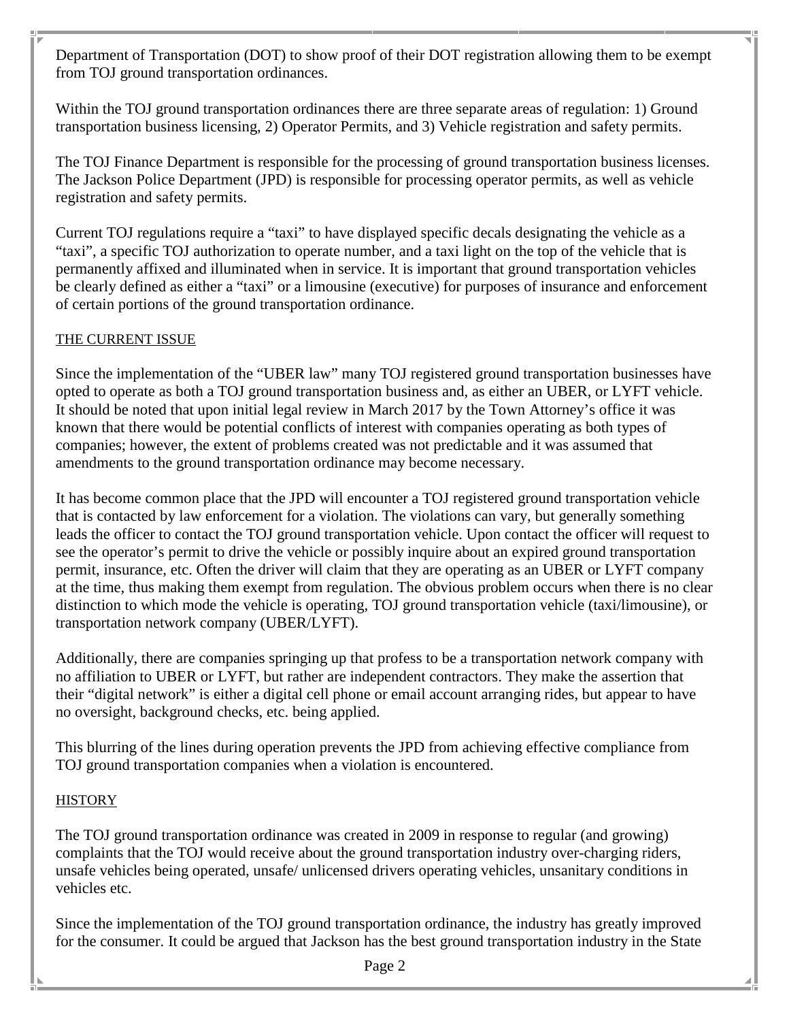Department of Transportation (DOT) to show proof of their DOT registration allowing them to be exempt from TOJ ground transportation ordinances.

Within the TOJ ground transportation ordinances there are three separate areas of regulation: 1) Ground transportation business licensing, 2) Operator Permits, and 3) Vehicle registration and safety permits.

The TOJ Finance Department is responsible for the processing of ground transportation business licenses. The Jackson Police Department (JPD) is responsible for processing operator permits, as well as vehicle registration and safety permits.

Current TOJ regulations require a "taxi" to have displayed specific decals designating the vehicle as a "taxi", a specific TOJ authorization to operate number, and a taxi light on the top of the vehicle that is permanently affixed and illuminated when in service. It is important that ground transportation vehicles be clearly defined as either a "taxi" or a limousine (executive) for purposes of insurance and enforcement of certain portions of the ground transportation ordinance.

# THE CURRENT ISSUE

Since the implementation of the "UBER law" many TOJ registered ground transportation businesses have opted to operate as both a TOJ ground transportation business and, as either an UBER, or LYFT vehicle. It should be noted that upon initial legal review in March 2017 by the Town Attorney's office it was known that there would be potential conflicts of interest with companies operating as both types of companies; however, the extent of problems created was not predictable and it was assumed that amendments to the ground transportation ordinance may become necessary.

It has become common place that the JPD will encounter a TOJ registered ground transportation vehicle that is contacted by law enforcement for a violation. The violations can vary, but generally something leads the officer to contact the TOJ ground transportation vehicle. Upon contact the officer will request to see the operator's permit to drive the vehicle or possibly inquire about an expired ground transportation permit, insurance, etc. Often the driver will claim that they are operating as an UBER or LYFT company at the time, thus making them exempt from regulation. The obvious problem occurs when there is no clear distinction to which mode the vehicle is operating, TOJ ground transportation vehicle (taxi/limousine), or transportation network company (UBER/LYFT).

Additionally, there are companies springing up that profess to be a transportation network company with no affiliation to UBER or LYFT, but rather are independent contractors. They make the assertion that their "digital network" is either a digital cell phone or email account arranging rides, but appear to have no oversight, background checks, etc. being applied.

This blurring of the lines during operation prevents the JPD from achieving effective compliance from TOJ ground transportation companies when a violation is encountered.

#### **HISTORY**

The TOJ ground transportation ordinance was created in 2009 in response to regular (and growing) complaints that the TOJ would receive about the ground transportation industry over-charging riders, unsafe vehicles being operated, unsafe/ unlicensed drivers operating vehicles, unsanitary conditions in vehicles etc.

Since the implementation of the TOJ ground transportation ordinance, the industry has greatly improved for the consumer. It could be argued that Jackson has the best ground transportation industry in the State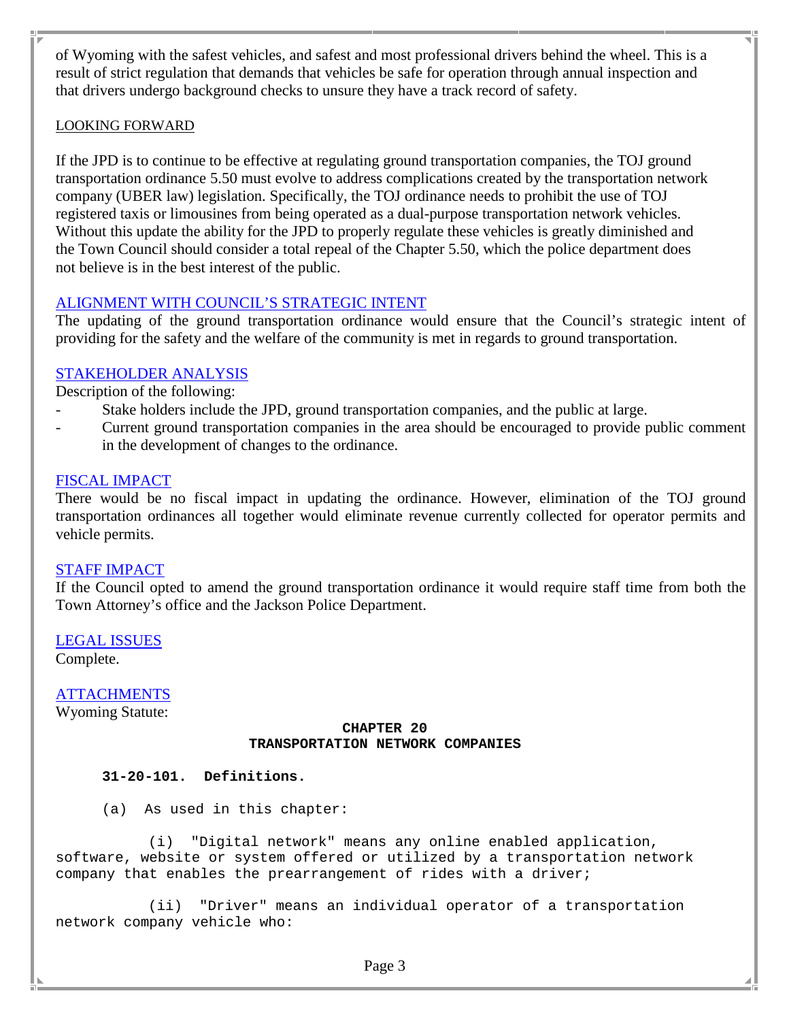of Wyoming with the safest vehicles, and safest and most professional drivers behind the wheel. This is a result of strict regulation that demands that vehicles be safe for operation through annual inspection and that drivers undergo background checks to unsure they have a track record of safety.

#### LOOKING FORWARD

If the JPD is to continue to be effective at regulating ground transportation companies, the TOJ ground transportation ordinance 5.50 must evolve to address complications created by the transportation network company (UBER law) legislation. Specifically, the TOJ ordinance needs to prohibit the use of TOJ registered taxis or limousines from being operated as a dual-purpose transportation network vehicles. Without this update the ability for the JPD to properly regulate these vehicles is greatly diminished and the Town Council should consider a total repeal of the Chapter 5.50, which the police department does not believe is in the best interest of the public.

# ALIGNMENT WITH COUNCIL'S STRATEGIC INTENT

The updating of the ground transportation ordinance would ensure that the Council's strategic intent of providing for the safety and the welfare of the community is met in regards to ground transportation.

# STAKEHOLDER ANALYSIS

Description of the following:

- Stake holders include the JPD, ground transportation companies, and the public at large.
- Current ground transportation companies in the area should be encouraged to provide public comment in the development of changes to the ordinance.

#### FISCAL IMPACT

There would be no fiscal impact in updating the ordinance. However, elimination of the TOJ ground transportation ordinances all together would eliminate revenue currently collected for operator permits and vehicle permits.

#### STAFF IMPACT

If the Council opted to amend the ground transportation ordinance it would require staff time from both the Town Attorney's office and the Jackson Police Department.

LEGAL ISSUES Complete.

**ATTACHMENTS** 

Wyoming Statute:

#### **CHAPTER 20 TRANSPORTATION NETWORK COMPANIES**

#### **31-20-101. Definitions.**

(a) As used in this chapter:

(i) "Digital network" means any online enabled application, software, website or system offered or utilized by a transportation network company that enables the prearrangement of rides with a driver;

(ii) "Driver" means an individual operator of a transportation network company vehicle who: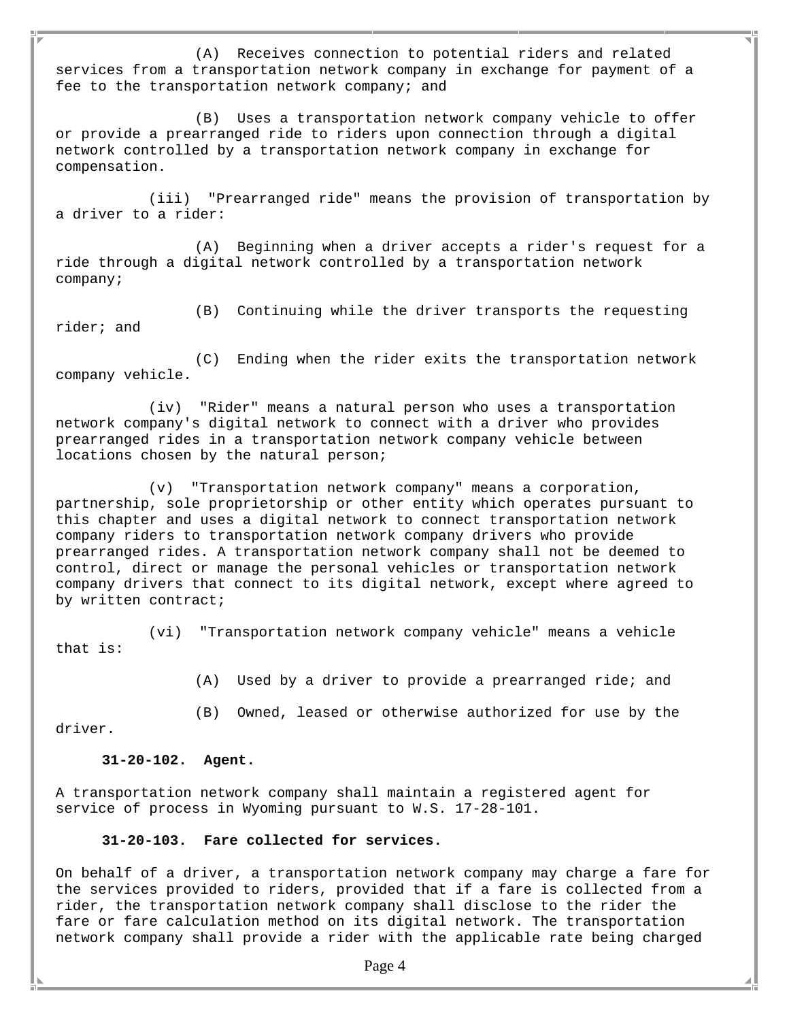(A) Receives connection to potential riders and related services from a transportation network company in exchange for payment of a fee to the transportation network company; and

(B) Uses a transportation network company vehicle to offer or provide a prearranged ride to riders upon connection through a digital network controlled by a transportation network company in exchange for compensation.

(iii) "Prearranged ride" means the provision of transportation by a driver to a rider:

(A) Beginning when a driver accepts a rider's request for a ride through a digital network controlled by a transportation network company;

(B) Continuing while the driver transports the requesting rider; and

(C) Ending when the rider exits the transportation network company vehicle.

(iv) "Rider" means a natural person who uses a transportation network company's digital network to connect with a driver who provides prearranged rides in a transportation network company vehicle between locations chosen by the natural person;

(v) "Transportation network company" means a corporation, partnership, sole proprietorship or other entity which operates pursuant to this chapter and uses a digital network to connect transportation network company riders to transportation network company drivers who provide prearranged rides. A transportation network company shall not be deemed to control, direct or manage the personal vehicles or transportation network company drivers that connect to its digital network, except where agreed to by written contract;

(vi) "Transportation network company vehicle" means a vehicle that is:

(A) Used by a driver to provide a prearranged ride; and

(B) Owned, leased or otherwise authorized for use by the

driver.

#### **31-20-102. Agent.**

A transportation network company shall maintain a registered agent for service of process in Wyoming pursuant to W.S. 17-28-101.

#### **31-20-103. Fare collected for services.**

On behalf of a driver, a transportation network company may charge a fare for the services provided to riders, provided that if a fare is collected from a rider, the transportation network company shall disclose to the rider the fare or fare calculation method on its digital network. The transportation network company shall provide a rider with the applicable rate being charged

Page 4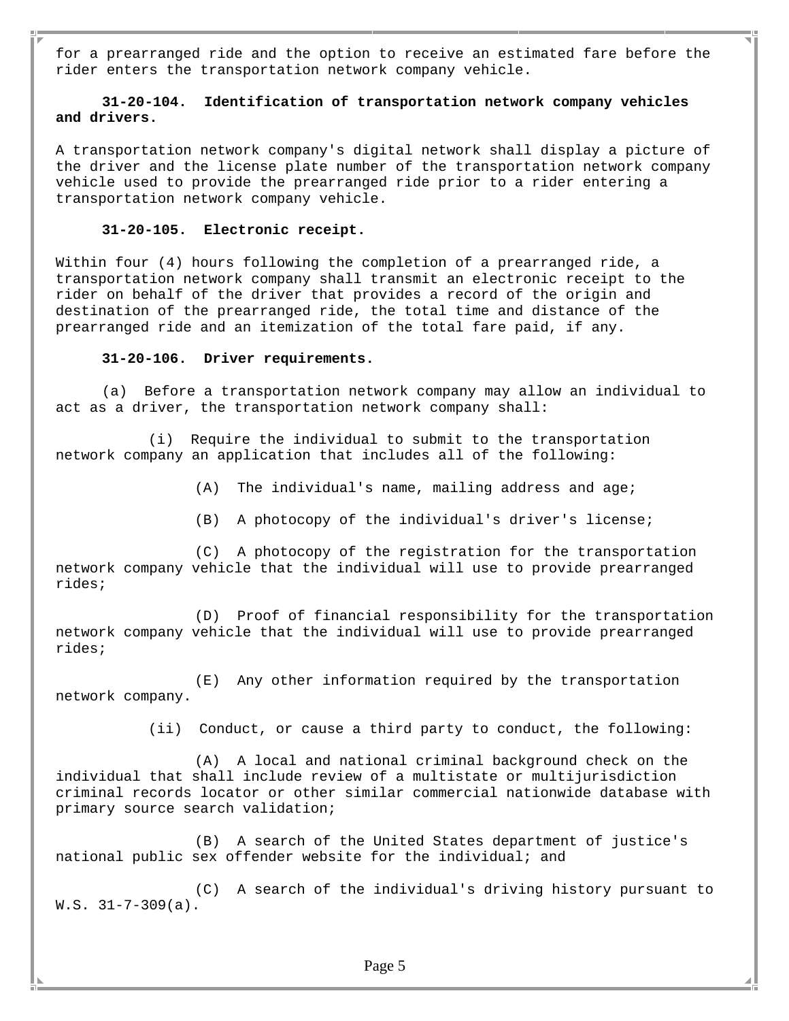for a prearranged ride and the option to receive an estimated fare before the rider enters the transportation network company vehicle.

#### **31-20-104. Identification of transportation network company vehicles and drivers.**

A transportation network company's digital network shall display a picture of the driver and the license plate number of the transportation network company vehicle used to provide the prearranged ride prior to a rider entering a transportation network company vehicle.

#### **31-20-105. Electronic receipt.**

Within four (4) hours following the completion of a prearranged ride, a transportation network company shall transmit an electronic receipt to the rider on behalf of the driver that provides a record of the origin and destination of the prearranged ride, the total time and distance of the prearranged ride and an itemization of the total fare paid, if any.

#### **31-20-106. Driver requirements.**

(a) Before a transportation network company may allow an individual to act as a driver, the transportation network company shall:

(i) Require the individual to submit to the transportation network company an application that includes all of the following:

(A) The individual's name, mailing address and age;

(B) A photocopy of the individual's driver's license;

(C) A photocopy of the registration for the transportation network company vehicle that the individual will use to provide prearranged rides;

(D) Proof of financial responsibility for the transportation network company vehicle that the individual will use to provide prearranged rides;

(E) Any other information required by the transportation network company.

(ii) Conduct, or cause a third party to conduct, the following:

(A) A local and national criminal background check on the individual that shall include review of a multistate or multijurisdiction criminal records locator or other similar commercial nationwide database with primary source search validation;

(B) A search of the United States department of justice's national public sex offender website for the individual; and

(C) A search of the individual's driving history pursuant to W.S. 31-7-309(a).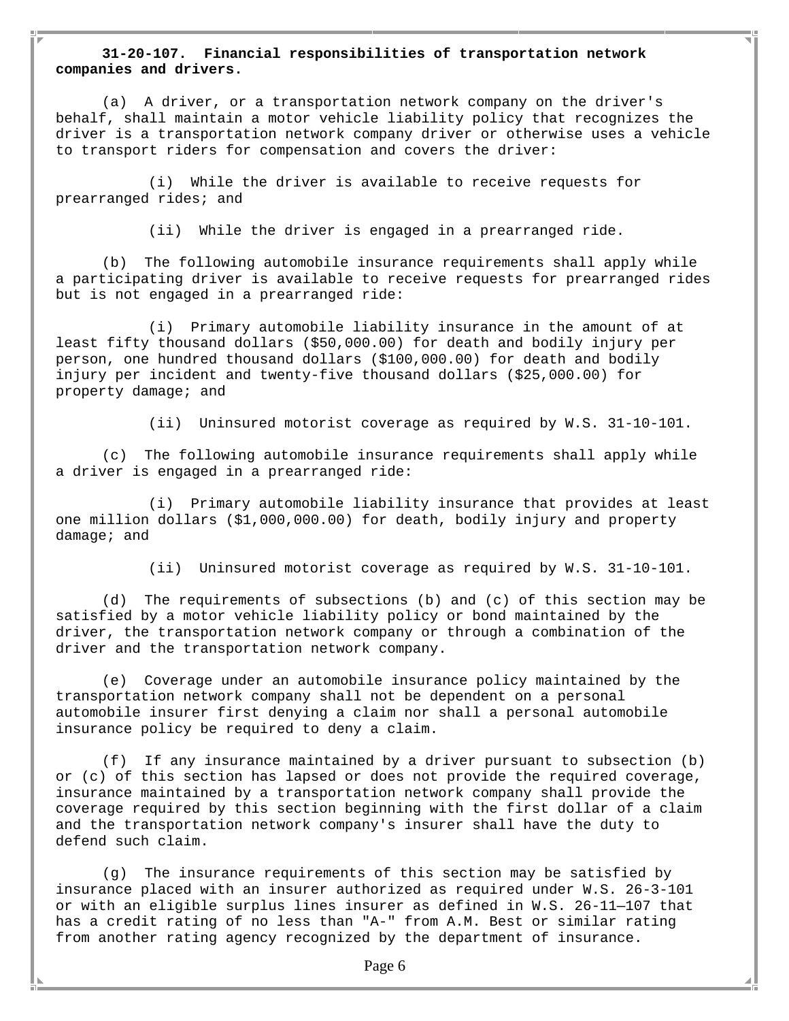#### **31-20-107. Financial responsibilities of transportation network companies and drivers.**

(a) A driver, or a transportation network company on the driver's behalf, shall maintain a motor vehicle liability policy that recognizes the driver is a transportation network company driver or otherwise uses a vehicle to transport riders for compensation and covers the driver:

(i) While the driver is available to receive requests for prearranged rides; and

(ii) While the driver is engaged in a prearranged ride.

(b) The following automobile insurance requirements shall apply while a participating driver is available to receive requests for prearranged rides but is not engaged in a prearranged ride:

(i) Primary automobile liability insurance in the amount of at least fifty thousand dollars (\$50,000.00) for death and bodily injury per person, one hundred thousand dollars (\$100,000.00) for death and bodily injury per incident and twenty-five thousand dollars (\$25,000.00) for property damage; and

(ii) Uninsured motorist coverage as required by W.S. 31-10-101.

(c) The following automobile insurance requirements shall apply while a driver is engaged in a prearranged ride:

(i) Primary automobile liability insurance that provides at least one million dollars (\$1,000,000.00) for death, bodily injury and property damage; and

(ii) Uninsured motorist coverage as required by W.S. 31-10-101.

(d) The requirements of subsections (b) and (c) of this section may be satisfied by a motor vehicle liability policy or bond maintained by the driver, the transportation network company or through a combination of the driver and the transportation network company.

(e) Coverage under an automobile insurance policy maintained by the transportation network company shall not be dependent on a personal automobile insurer first denying a claim nor shall a personal automobile insurance policy be required to deny a claim.

(f) If any insurance maintained by a driver pursuant to subsection (b) or (c) of this section has lapsed or does not provide the required coverage, insurance maintained by a transportation network company shall provide the coverage required by this section beginning with the first dollar of a claim and the transportation network company's insurer shall have the duty to defend such claim.

(g) The insurance requirements of this section may be satisfied by insurance placed with an insurer authorized as required under W.S. 26-3-101 or with an eligible surplus lines insurer as defined in W.S. 26-11—107 that has a credit rating of no less than "A-" from A.M. Best or similar rating from another rating agency recognized by the department of insurance.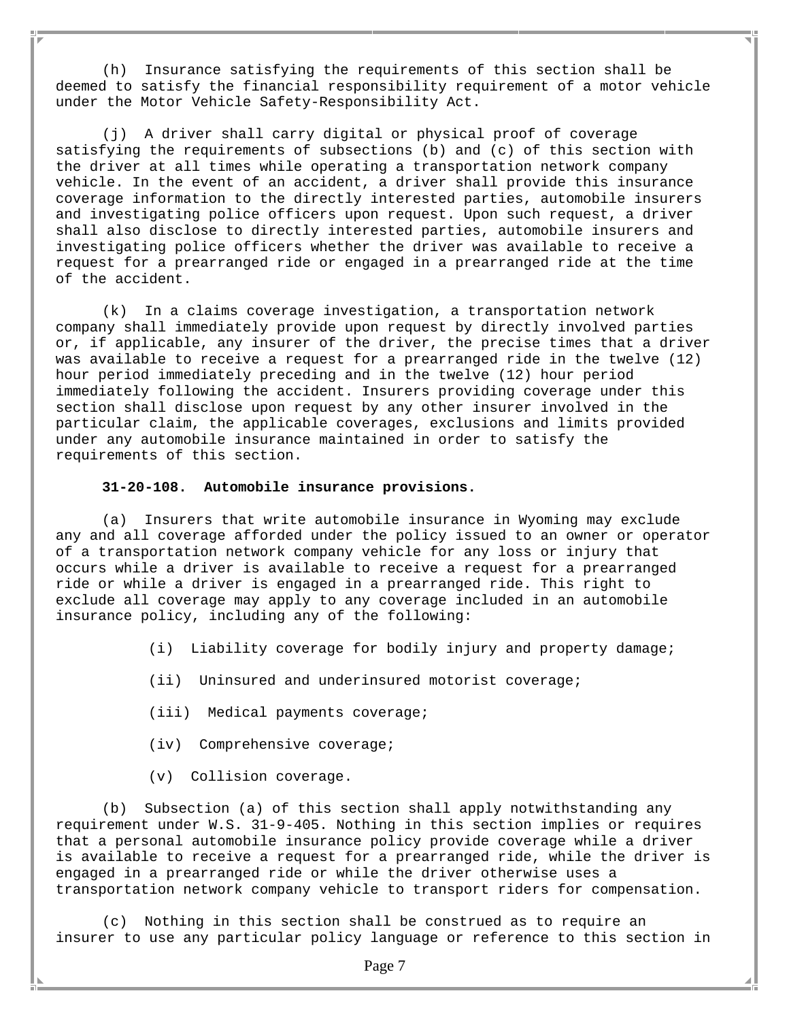(h) Insurance satisfying the requirements of this section shall be deemed to satisfy the financial responsibility requirement of a motor vehicle under the Motor Vehicle Safety-Responsibility Act.

(j) A driver shall carry digital or physical proof of coverage satisfying the requirements of subsections (b) and (c) of this section with the driver at all times while operating a transportation network company vehicle. In the event of an accident, a driver shall provide this insurance coverage information to the directly interested parties, automobile insurers and investigating police officers upon request. Upon such request, a driver shall also disclose to directly interested parties, automobile insurers and investigating police officers whether the driver was available to receive a request for a prearranged ride or engaged in a prearranged ride at the time of the accident.

(k) In a claims coverage investigation, a transportation network company shall immediately provide upon request by directly involved parties or, if applicable, any insurer of the driver, the precise times that a driver was available to receive a request for a prearranged ride in the twelve (12) hour period immediately preceding and in the twelve (12) hour period immediately following the accident. Insurers providing coverage under this section shall disclose upon request by any other insurer involved in the particular claim, the applicable coverages, exclusions and limits provided under any automobile insurance maintained in order to satisfy the requirements of this section.

#### **31-20-108. Automobile insurance provisions.**

(a) Insurers that write automobile insurance in Wyoming may exclude any and all coverage afforded under the policy issued to an owner or operator of a transportation network company vehicle for any loss or injury that occurs while a driver is available to receive a request for a prearranged ride or while a driver is engaged in a prearranged ride. This right to exclude all coverage may apply to any coverage included in an automobile insurance policy, including any of the following:

- (i) Liability coverage for bodily injury and property damage;
- (ii) Uninsured and underinsured motorist coverage;
- (iii) Medical payments coverage;
- (iv) Comprehensive coverage;
- (v) Collision coverage.

(b) Subsection (a) of this section shall apply notwithstanding any requirement under W.S. 31-9-405. Nothing in this section implies or requires that a personal automobile insurance policy provide coverage while a driver is available to receive a request for a prearranged ride, while the driver is engaged in a prearranged ride or while the driver otherwise uses a transportation network company vehicle to transport riders for compensation.

(c) Nothing in this section shall be construed as to require an insurer to use any particular policy language or reference to this section in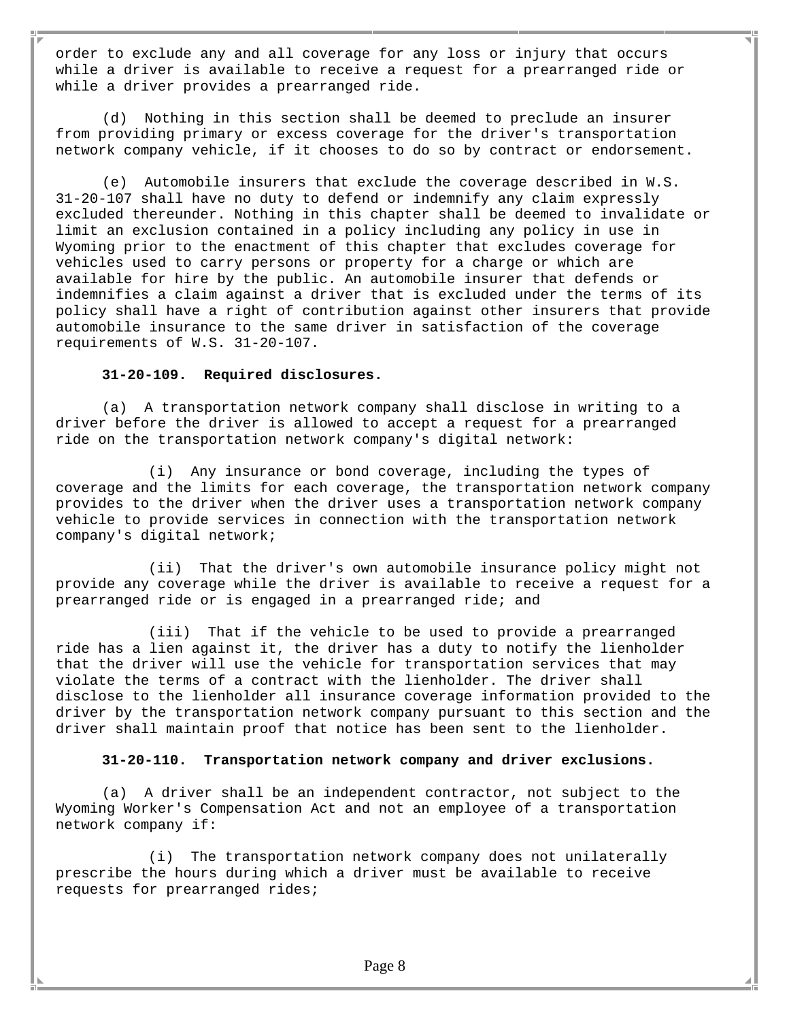order to exclude any and all coverage for any loss or injury that occurs while a driver is available to receive a request for a prearranged ride or while a driver provides a prearranged ride.

(d) Nothing in this section shall be deemed to preclude an insurer from providing primary or excess coverage for the driver's transportation network company vehicle, if it chooses to do so by contract or endorsement.

(e) Automobile insurers that exclude the coverage described in W.S. 31-20-107 shall have no duty to defend or indemnify any claim expressly excluded thereunder. Nothing in this chapter shall be deemed to invalidate or limit an exclusion contained in a policy including any policy in use in Wyoming prior to the enactment of this chapter that excludes coverage for vehicles used to carry persons or property for a charge or which are available for hire by the public. An automobile insurer that defends or indemnifies a claim against a driver that is excluded under the terms of its policy shall have a right of contribution against other insurers that provide automobile insurance to the same driver in satisfaction of the coverage requirements of W.S. 31-20-107.

#### **31-20-109. Required disclosures.**

(a) A transportation network company shall disclose in writing to a driver before the driver is allowed to accept a request for a prearranged ride on the transportation network company's digital network:

(i) Any insurance or bond coverage, including the types of coverage and the limits for each coverage, the transportation network company provides to the driver when the driver uses a transportation network company vehicle to provide services in connection with the transportation network company's digital network;

(ii) That the driver's own automobile insurance policy might not provide any coverage while the driver is available to receive a request for a prearranged ride or is engaged in a prearranged ride; and

(iii) That if the vehicle to be used to provide a prearranged ride has a lien against it, the driver has a duty to notify the lienholder that the driver will use the vehicle for transportation services that may violate the terms of a contract with the lienholder. The driver shall disclose to the lienholder all insurance coverage information provided to the driver by the transportation network company pursuant to this section and the driver shall maintain proof that notice has been sent to the lienholder.

#### **31-20-110. Transportation network company and driver exclusions.**

(a) A driver shall be an independent contractor, not subject to the Wyoming Worker's Compensation Act and not an employee of a transportation network company if:

(i) The transportation network company does not unilaterally prescribe the hours during which a driver must be available to receive requests for prearranged rides;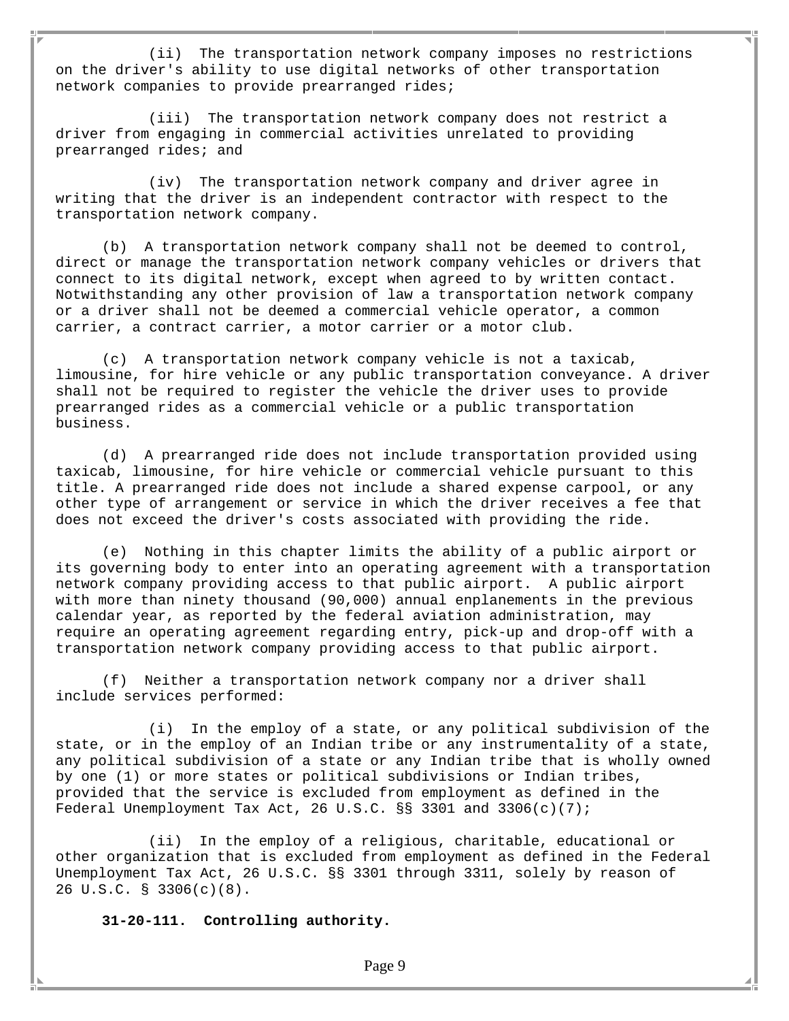(ii) The transportation network company imposes no restrictions on the driver's ability to use digital networks of other transportation network companies to provide prearranged rides;

(iii) The transportation network company does not restrict a driver from engaging in commercial activities unrelated to providing prearranged rides; and

(iv) The transportation network company and driver agree in writing that the driver is an independent contractor with respect to the transportation network company.

(b) A transportation network company shall not be deemed to control, direct or manage the transportation network company vehicles or drivers that connect to its digital network, except when agreed to by written contact. Notwithstanding any other provision of law a transportation network company or a driver shall not be deemed a commercial vehicle operator, a common carrier, a contract carrier, a motor carrier or a motor club.

(c) A transportation network company vehicle is not a taxicab, limousine, for hire vehicle or any public transportation conveyance. A driver shall not be required to register the vehicle the driver uses to provide prearranged rides as a commercial vehicle or a public transportation business.

(d) A prearranged ride does not include transportation provided using taxicab, limousine, for hire vehicle or commercial vehicle pursuant to this title. A prearranged ride does not include a shared expense carpool, or any other type of arrangement or service in which the driver receives a fee that does not exceed the driver's costs associated with providing the ride.

(e) Nothing in this chapter limits the ability of a public airport or its governing body to enter into an operating agreement with a transportation network company providing access to that public airport. A public airport with more than ninety thousand (90,000) annual enplanements in the previous calendar year, as reported by the federal aviation administration, may require an operating agreement regarding entry, pick-up and drop-off with a transportation network company providing access to that public airport.

(f) Neither a transportation network company nor a driver shall include services performed:

(i) In the employ of a state, or any political subdivision of the state, or in the employ of an Indian tribe or any instrumentality of a state, any political subdivision of a state or any Indian tribe that is wholly owned by one (1) or more states or political subdivisions or Indian tribes, provided that the service is excluded from employment as defined in the Federal Unemployment Tax Act, 26 U.S.C. §§ 3301 and 3306(c)(7);

(ii) In the employ of a religious, charitable, educational or other organization that is excluded from employment as defined in the Federal Unemployment Tax Act, 26 U.S.C. §§ 3301 through 3311, solely by reason of 26 U.S.C. § 3306(c)(8).

**31-20-111. Controlling authority.**

Page 9